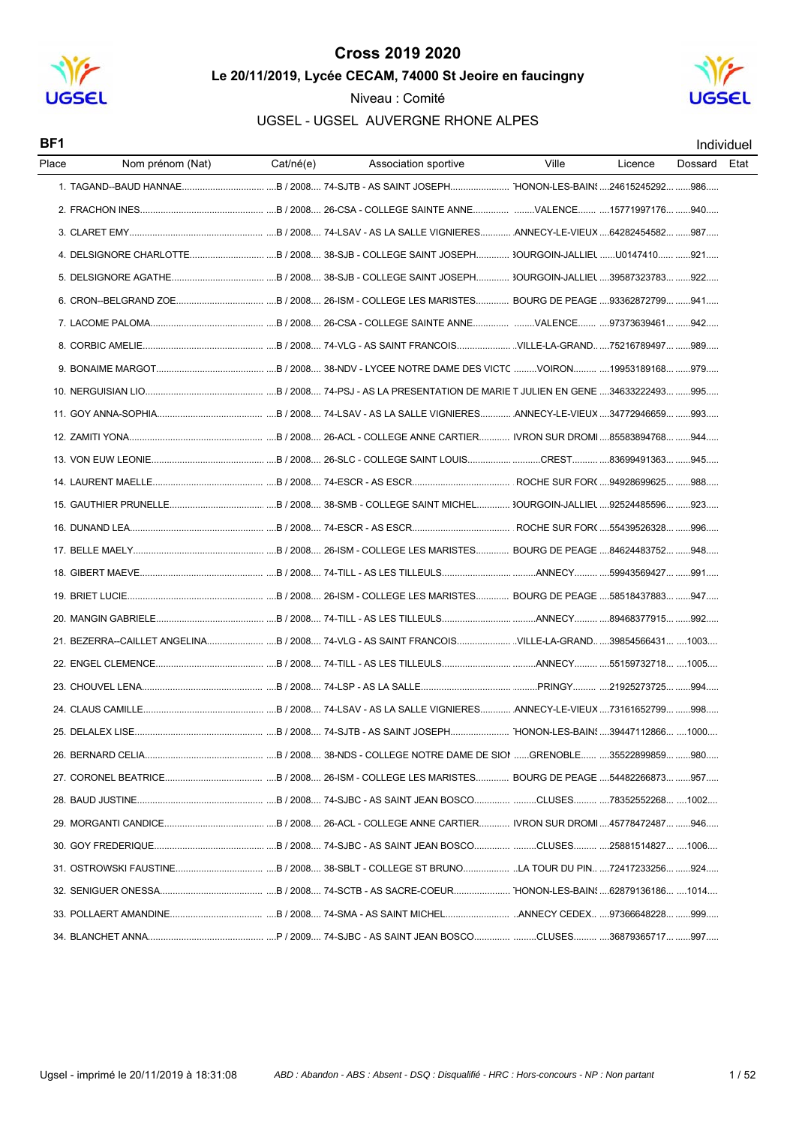



| BF1   |                                                                                                |           |                      |       |         |         | Individue |
|-------|------------------------------------------------------------------------------------------------|-----------|----------------------|-------|---------|---------|-----------|
| Place | Nom prénom (Nat)                                                                               | Cat/né(e) | Association sportive | Ville | Licence | Dossard | Etat      |
|       |                                                                                                |           |                      |       |         |         |           |
|       |                                                                                                |           |                      |       |         |         |           |
|       |                                                                                                |           |                      |       |         |         |           |
|       |                                                                                                |           |                      |       |         |         |           |
|       |                                                                                                |           |                      |       |         |         |           |
|       |                                                                                                |           |                      |       |         |         |           |
|       |                                                                                                |           |                      |       |         |         |           |
|       |                                                                                                |           |                      |       |         |         |           |
|       |                                                                                                |           |                      |       |         |         |           |
|       |                                                                                                |           |                      |       |         |         |           |
|       |                                                                                                |           |                      |       |         |         |           |
|       |                                                                                                |           |                      |       |         |         |           |
|       |                                                                                                |           |                      |       |         |         |           |
|       |                                                                                                |           |                      |       |         |         |           |
|       |                                                                                                |           |                      |       |         |         |           |
|       |                                                                                                |           |                      |       |         |         |           |
|       |                                                                                                |           |                      |       |         |         |           |
|       |                                                                                                |           |                      |       |         |         |           |
|       |                                                                                                |           |                      |       |         |         |           |
|       |                                                                                                |           |                      |       |         |         |           |
|       | 21. BEZERRA--CAILLET ANGELINAB / 2008 74-VLG - AS SAINT FRANCOISVILLE-LA-GRAND39854566431 1003 |           |                      |       |         |         |           |
|       |                                                                                                |           |                      |       |         |         |           |
|       |                                                                                                |           |                      |       |         |         |           |
|       |                                                                                                |           |                      |       |         |         |           |
|       |                                                                                                |           |                      |       |         |         |           |
|       |                                                                                                |           |                      |       |         |         |           |
|       |                                                                                                |           |                      |       |         |         |           |
|       |                                                                                                |           |                      |       |         |         |           |
|       |                                                                                                |           |                      |       |         |         |           |
|       |                                                                                                |           |                      |       |         |         |           |
|       |                                                                                                |           |                      |       |         |         |           |
|       |                                                                                                |           |                      |       |         |         |           |
|       |                                                                                                |           |                      |       |         |         |           |
|       |                                                                                                |           |                      |       |         |         |           |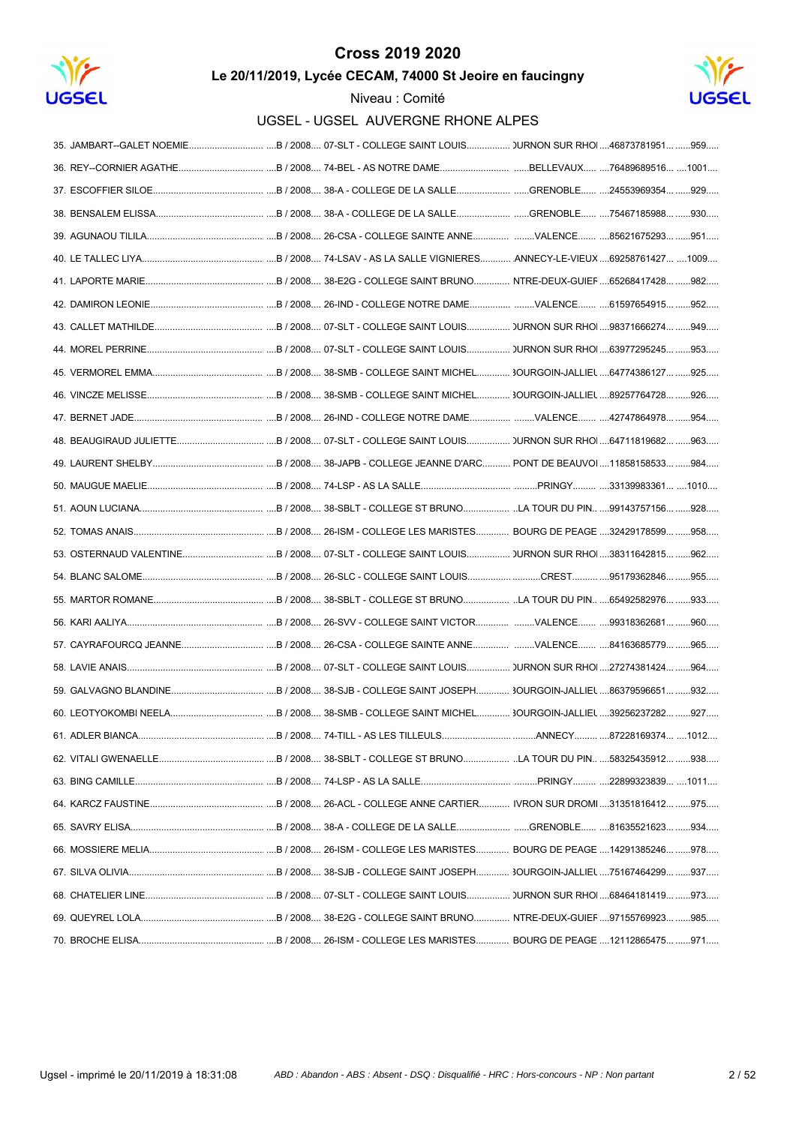

**Le 20/11/2019, Lycée CECAM, 74000 St Jeoire en faucingny**

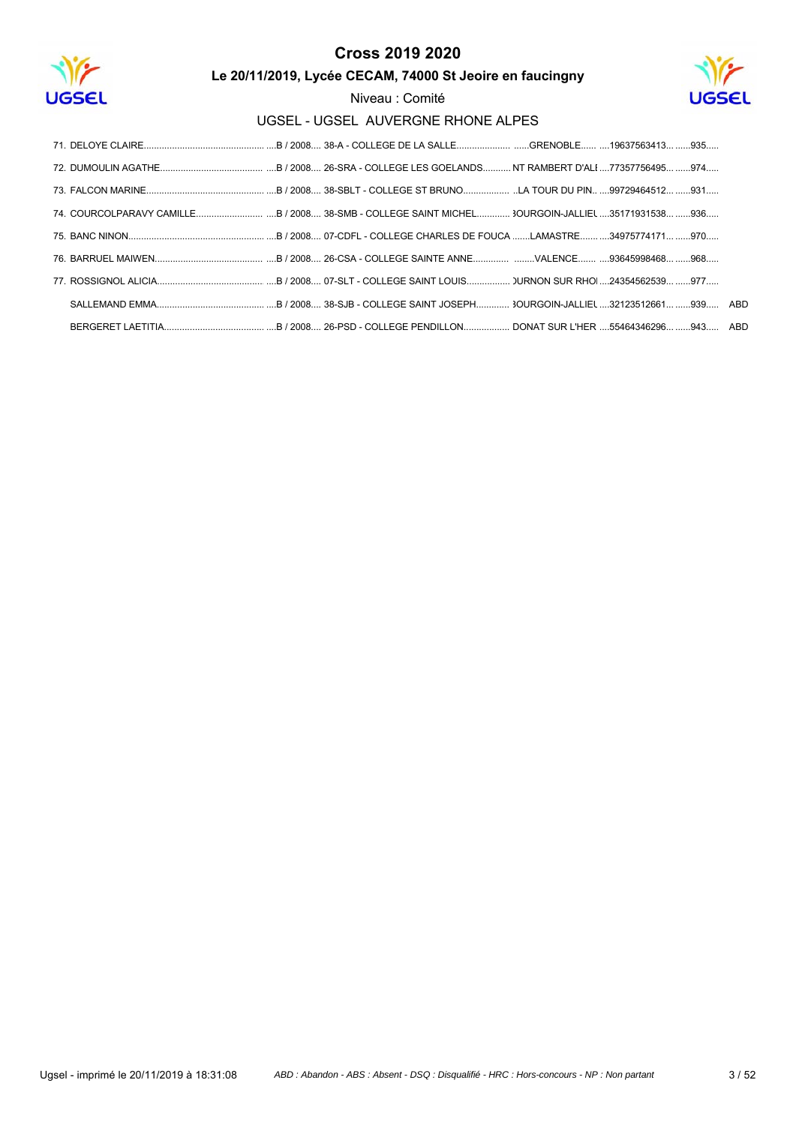

**Le 20/11/2019, Lycée CECAM, 74000 St Jeoire en faucingny**



## Niveau : Comité

| UGSEL - UGSEL AUVERGNE RHONE ALPES |  |  |
|------------------------------------|--|--|
|                                    |  |  |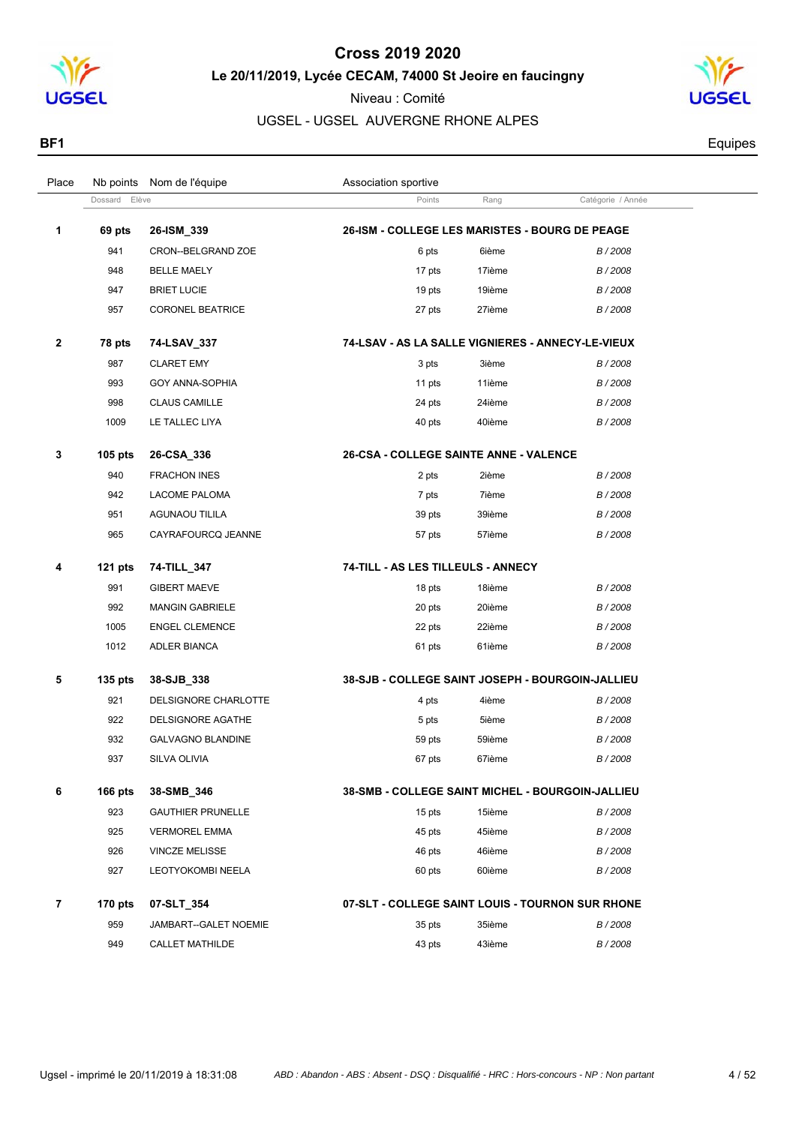

Niveau : Comité

#### UGSEL - UGSEL AUVERGNE RHONE ALPES

Place Nb points Nom de l'équipe  $\blacksquare$  Association sportive



| BF1 | $\sim$<br>лре: |
|-----|----------------|
|     |                |

|                | Dossard Elève  |                          | Points                                            | Rang   | Catégorie / Année |  |
|----------------|----------------|--------------------------|---------------------------------------------------|--------|-------------------|--|
| 1              | 69 pts         | 26-ISM_339               | 26-ISM - COLLEGE LES MARISTES - BOURG DE PEAGE    |        |                   |  |
|                | 941            | CRON--BELGRAND ZOE       | 6 pts                                             | 6ième  | B/2008            |  |
|                | 948            | <b>BELLE MAELY</b>       | 17 pts                                            | 17ième | B/2008            |  |
|                | 947            | <b>BRIET LUCIE</b>       | 19 pts                                            | 19ième | B/2008            |  |
|                | 957            | CORONEL BEATRICE         | 27 pts                                            | 27ième | B/2008            |  |
| $\overline{2}$ | 78 pts         | 74-LSAV_337              | 74-LSAV - AS LA SALLE VIGNIERES - ANNECY-LE-VIEUX |        |                   |  |
|                | 987            | <b>CLARET EMY</b>        | 3 pts                                             | 3ième  | B/2008            |  |
|                | 993            | GOY ANNA-SOPHIA          | 11 pts                                            | 11ième | B/2008            |  |
|                | 998            | <b>CLAUS CAMILLE</b>     | 24 pts                                            | 24ième | B/2008            |  |
|                | 1009           | LE TALLEC LIYA           | 40 pts                                            | 40ième | B/2008            |  |
| 3              | $105$ pts      | 26-CSA_336               | <b>26-CSA - COLLEGE SAINTE ANNE - VALENCE</b>     |        |                   |  |
|                | 940            | <b>FRACHON INES</b>      | 2 pts                                             | 2ième  | B/2008            |  |
|                | 942            | <b>LACOME PALOMA</b>     | 7 pts                                             | 7ième  | B/2008            |  |
|                | 951            | <b>AGUNAOU TILILA</b>    | 39 pts                                            | 39ième | B/2008            |  |
|                | 965            | CAYRAFOURCQ JEANNE       | 57 pts                                            | 57ième | B/2008            |  |
| 4              | $121$ pts      | 74-TILL_347              | 74-TILL - AS LES TILLEULS - ANNECY                |        |                   |  |
|                | 991            | <b>GIBERT MAEVE</b>      | 18 pts                                            | 18ième | B/2008            |  |
|                | 992            | <b>MANGIN GABRIELE</b>   | 20 pts                                            | 20ième | B/2008            |  |
|                | 1005           | <b>ENGEL CLEMENCE</b>    | 22 pts                                            | 22ième | B/2008            |  |
|                | 1012           | ADLER BIANCA             | 61 pts                                            | 61ième | B/2008            |  |
| 5              | <b>135 pts</b> | 38-SJB_338               | 38-SJB - COLLEGE SAINT JOSEPH - BOURGOIN-JALLIEU  |        |                   |  |
|                | 921            | DELSIGNORE CHARLOTTE     | 4 pts                                             | 4ième  | B/2008            |  |
|                | 922            | DELSIGNORE AGATHE        | 5 pts                                             | 5ième  | B/2008            |  |
|                | 932            | <b>GALVAGNO BLANDINE</b> | 59 pts                                            | 59ième | B/2008            |  |
|                | 937            | SILVA OLIVIA             | 67 pts                                            | 67ième | B/2008            |  |
| 6              | <b>166 pts</b> | 38-SMB_346               | 38-SMB - COLLEGE SAINT MICHEL - BOURGOIN-JALLIEU  |        |                   |  |
|                | 923            | <b>GAUTHIER PRUNELLE</b> | 15 pts                                            | 15ième | B/2008            |  |
|                | 925            | <b>VERMOREL EMMA</b>     | 45 pts                                            | 45ième | B/2008            |  |
|                | 926            | <b>VINCZE MELISSE</b>    | 46 pts                                            | 46ième | B/2008            |  |
|                | 927            | LEOTYOKOMBI NEELA        | 60 pts                                            | 60ième | B/2008            |  |
| $\overline{7}$ | 170 pts        | 07-SLT_354               | 07-SLT - COLLEGE SAINT LOUIS - TOURNON SUR RHONE  |        |                   |  |
|                | 959            | JAMBART--GALET NOEMIE    | 35 pts                                            | 35ième | B/2008            |  |
|                | 949            | <b>CALLET MATHILDE</b>   | 43 pts                                            | 43ième | B/2008            |  |
|                |                |                          |                                                   |        |                   |  |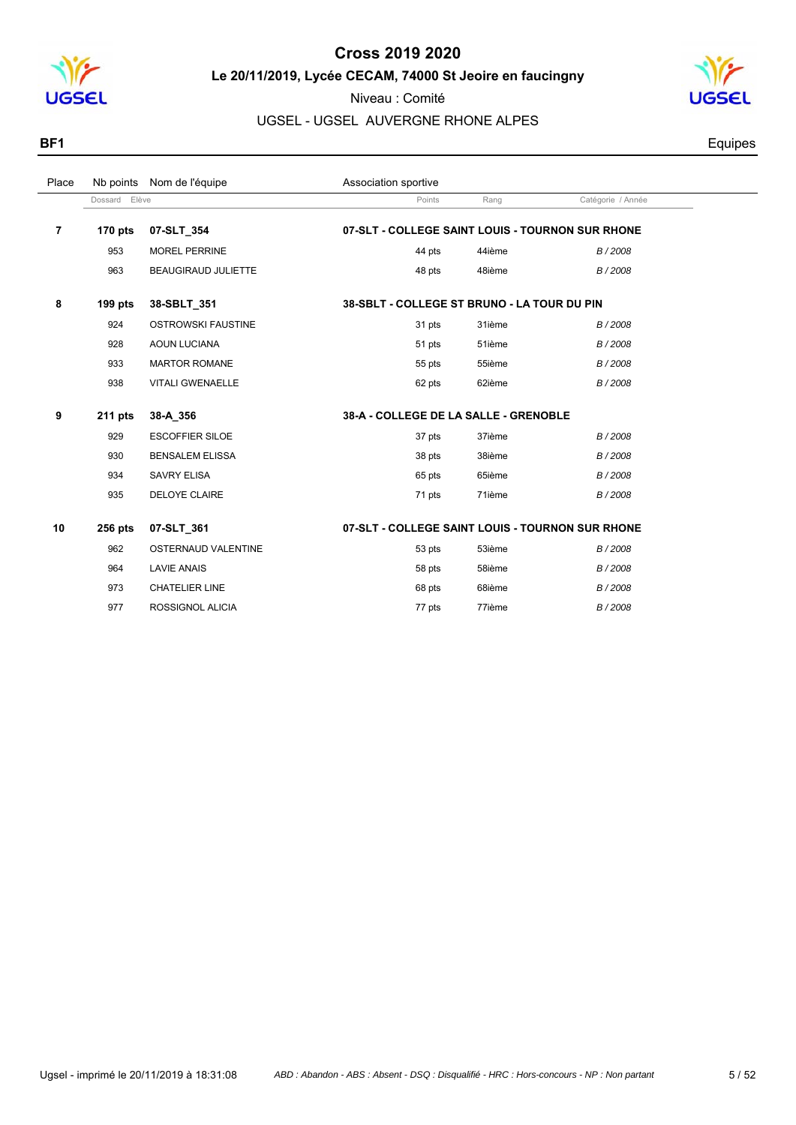

Niveau : Comité



| Place          | Nb points     | Nom de l'équipe            | Association sportive                             |        |                   |  |
|----------------|---------------|----------------------------|--------------------------------------------------|--------|-------------------|--|
|                | Dossard Elève |                            | Points                                           | Rang   | Catégorie / Année |  |
| $\overline{7}$ | $170$ pts     | 07-SLT 354                 | 07-SLT - COLLEGE SAINT LOUIS - TOURNON SUR RHONE |        |                   |  |
|                | 953           | <b>MOREL PERRINE</b>       | 44 pts                                           | 44ième | B/2008            |  |
|                | 963           | <b>BEAUGIRAUD JULIETTE</b> | 48 pts                                           | 48ième | B/2008            |  |
| 8              | $199$ pts     | 38-SBLT 351                | 38-SBLT - COLLEGE ST BRUNO - LA TOUR DU PIN      |        |                   |  |
|                | 924           | <b>OSTROWSKI FAUSTINE</b>  | 31 pts                                           | 31ième | B/2008            |  |
|                | 928           | <b>AOUN LUCIANA</b>        | 51 pts                                           | 51ième | B/2008            |  |
|                | 933           | <b>MARTOR ROMANE</b>       | 55 pts                                           | 55ième | B/2008            |  |
|                | 938           | <b>VITALI GWENAELLE</b>    | 62 pts                                           | 62ième | B/2008            |  |
| 9              | 211 pts       | 38-A 356                   | 38-A - COLLEGE DE LA SALLE - GRENOBLE            |        |                   |  |
|                | 929           | <b>ESCOFFIER SILOE</b>     | 37 pts                                           | 37ième | B/2008            |  |
|                | 930           | <b>BENSALEM ELISSA</b>     | 38 pts                                           | 38ième | B/2008            |  |
|                | 934           | <b>SAVRY ELISA</b>         | 65 pts                                           | 65ième | B/2008            |  |
|                | 935           | DELOYE CLAIRE              | 71 pts                                           | 71ième | B/2008            |  |
| 10             | 256 pts       | 07-SLT 361                 | 07-SLT - COLLEGE SAINT LOUIS - TOURNON SUR RHONE |        |                   |  |
|                | 962           | <b>OSTERNAUD VALENTINE</b> | 53 pts                                           | 53ième | B/2008            |  |
|                | 964           | <b>LAVIE ANAIS</b>         | 58 pts                                           | 58ième | B/2008            |  |
|                | 973           | <b>CHATELIER LINE</b>      | 68 pts                                           | 68ième | B/2008            |  |
|                | 977           | <b>ROSSIGNOL ALICIA</b>    | 77 pts                                           | 77ième | B/2008            |  |
|                |               |                            |                                                  |        |                   |  |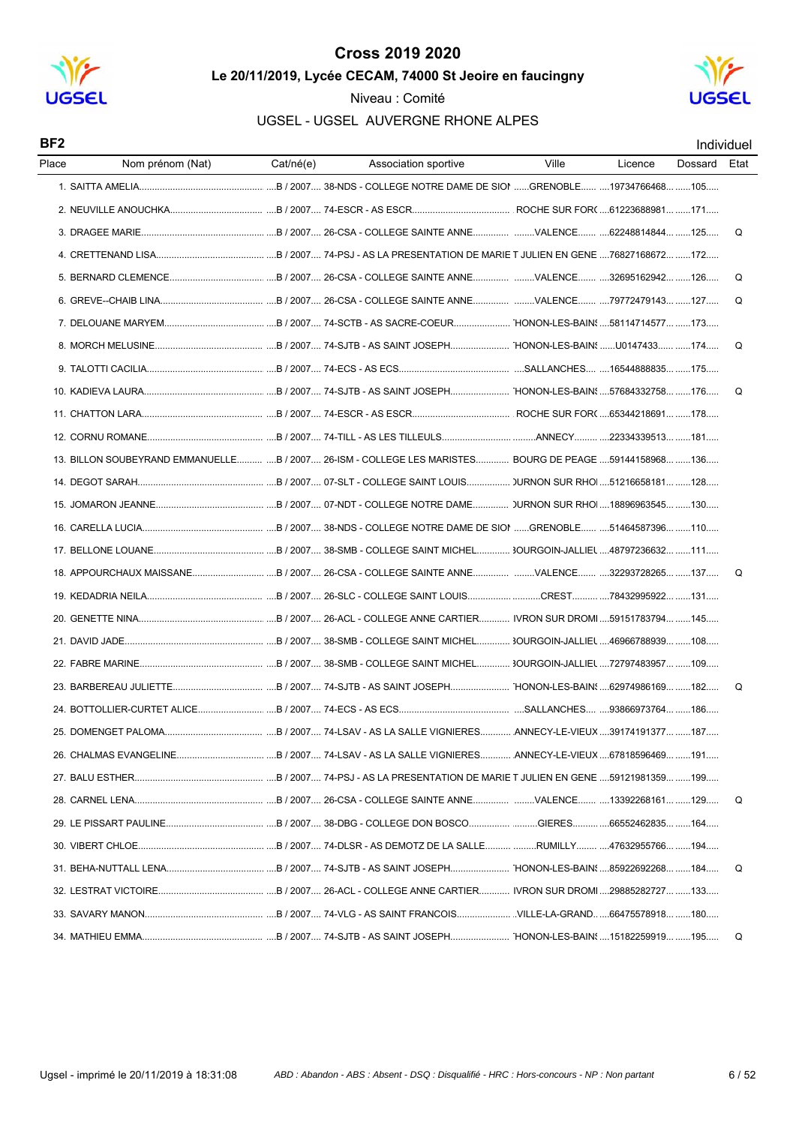

# Niveau : Comité



| BF2   |                                                                                                        |           |                      |       |         |         | Individuel |
|-------|--------------------------------------------------------------------------------------------------------|-----------|----------------------|-------|---------|---------|------------|
| Place | Nom prénom (Nat)                                                                                       | Cat/né(e) | Association sportive | Ville | Licence | Dossard | Etat       |
|       |                                                                                                        |           |                      |       |         |         |            |
|       |                                                                                                        |           |                      |       |         |         |            |
|       |                                                                                                        |           |                      |       |         |         | Q          |
|       |                                                                                                        |           |                      |       |         |         |            |
|       |                                                                                                        |           |                      |       |         |         | Q          |
|       |                                                                                                        |           |                      |       |         |         | Q          |
|       |                                                                                                        |           |                      |       |         |         |            |
|       |                                                                                                        |           |                      |       |         |         | Q          |
|       |                                                                                                        |           |                      |       |         |         |            |
|       |                                                                                                        |           |                      |       |         |         | Q          |
|       |                                                                                                        |           |                      |       |         |         |            |
|       |                                                                                                        |           |                      |       |         |         |            |
|       | 13. BILLON SOUBEYRAND EMMANUELLE B / 2007 26-ISM - COLLEGE LES MARISTES BOURG DE PEAGE 59144158968 136 |           |                      |       |         |         |            |
|       |                                                                                                        |           |                      |       |         |         |            |
|       |                                                                                                        |           |                      |       |         |         |            |
|       |                                                                                                        |           |                      |       |         |         |            |
|       |                                                                                                        |           |                      |       |         |         |            |
|       | 18. APPOURCHAUX MAISSANE B / 2007 26-CSA - COLLEGE SAINTE ANNEVALENCE 32293728265 137                  |           |                      |       |         |         | Q          |
|       |                                                                                                        |           |                      |       |         |         |            |
|       |                                                                                                        |           |                      |       |         |         |            |
|       |                                                                                                        |           |                      |       |         |         |            |
|       |                                                                                                        |           |                      |       |         |         |            |
|       |                                                                                                        |           |                      |       |         |         | Q          |
|       |                                                                                                        |           |                      |       |         |         |            |
|       |                                                                                                        |           |                      |       |         |         |            |
|       |                                                                                                        |           |                      |       |         |         |            |
|       |                                                                                                        |           |                      |       |         |         |            |
|       |                                                                                                        |           |                      |       |         |         | Q          |
|       |                                                                                                        |           |                      |       |         |         |            |
|       |                                                                                                        |           |                      |       |         |         |            |
|       |                                                                                                        |           |                      |       |         |         | Q          |
|       |                                                                                                        |           |                      |       |         |         |            |
|       |                                                                                                        |           |                      |       |         |         |            |
|       |                                                                                                        |           |                      |       |         |         | Q          |
|       |                                                                                                        |           |                      |       |         |         |            |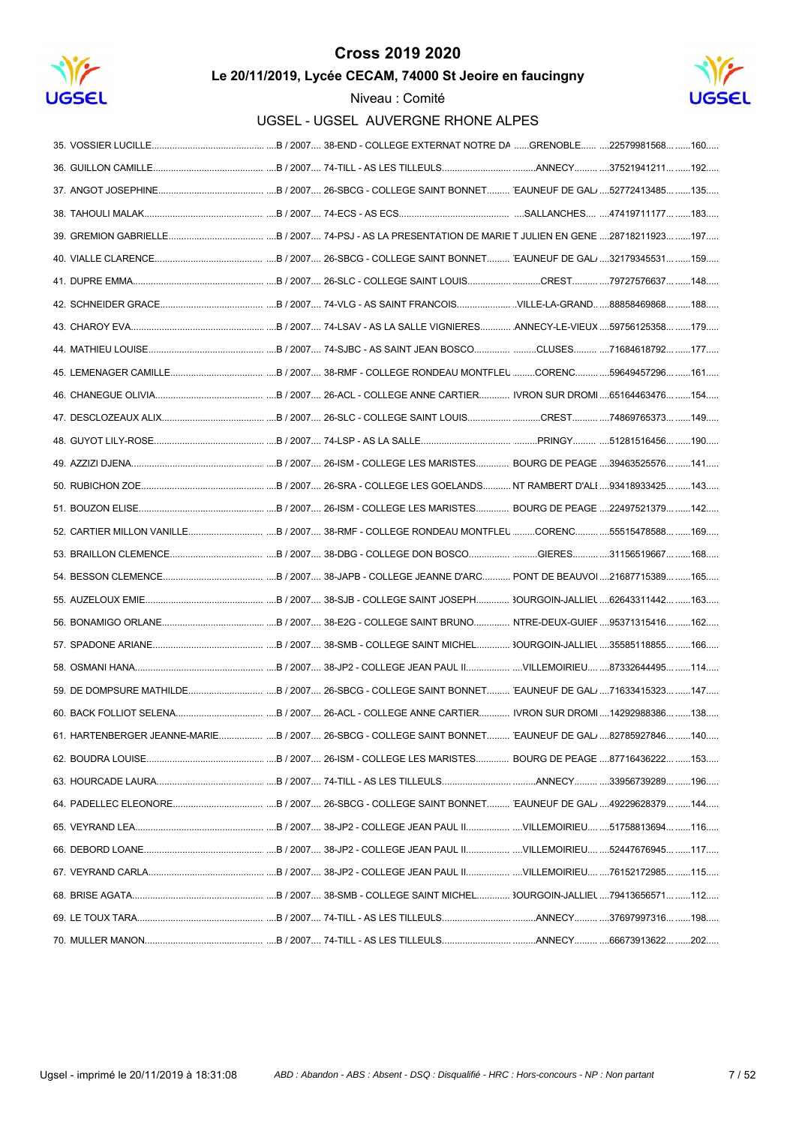

**Le 20/11/2019, Lycée CECAM, 74000 St Jeoire en faucingny**



| 61. HARTENBERGER JEANNE-MARIE B / 2007 26-SBCG - COLLEGE SAINT BONNET EAUNEUF DE GALJ 82785927846 140 |
|-------------------------------------------------------------------------------------------------------|
|                                                                                                       |
|                                                                                                       |
|                                                                                                       |
|                                                                                                       |
|                                                                                                       |
|                                                                                                       |
|                                                                                                       |
|                                                                                                       |
|                                                                                                       |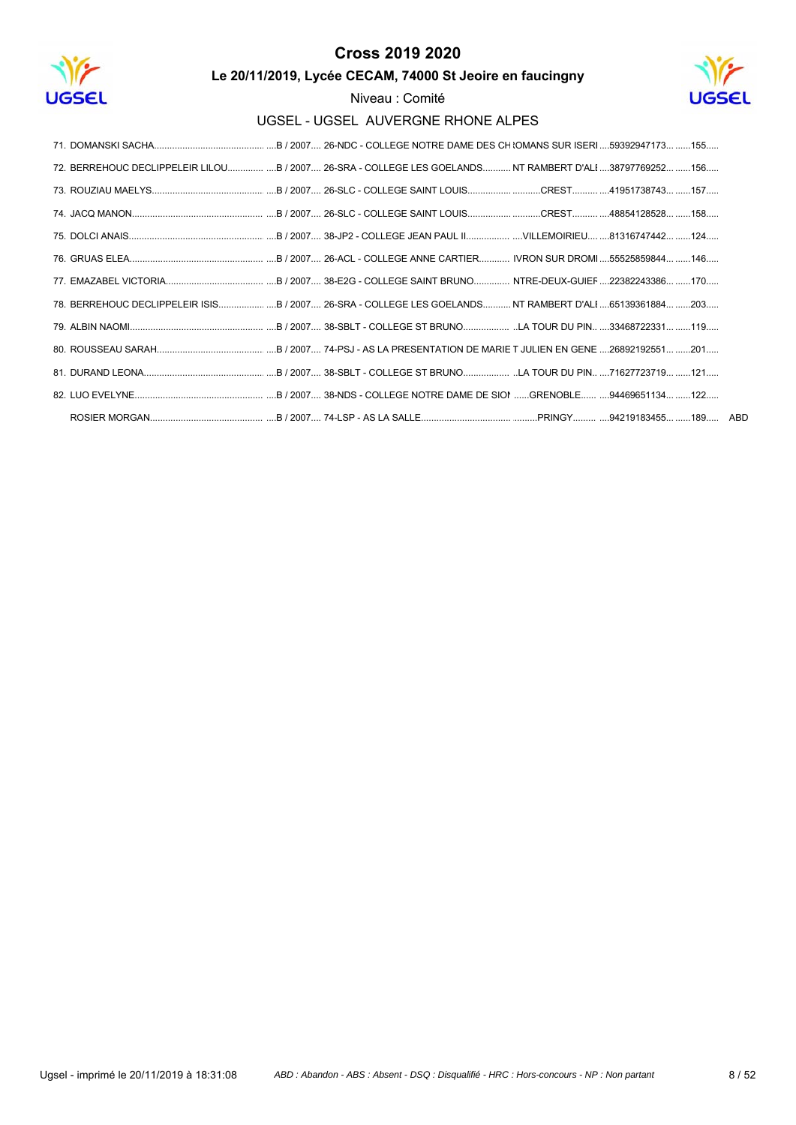

**Le 20/11/2019, Lycée CECAM, 74000 St Jeoire en faucingny**



## Niveau : Comité

| 72. BERREHOUC DECLIPPELEIR LILOUB / 2007 26-SRA - COLLEGE LES GOELANDSNT RAMBERT D'ALI38797769252156  |  |
|-------------------------------------------------------------------------------------------------------|--|
|                                                                                                       |  |
|                                                                                                       |  |
|                                                                                                       |  |
|                                                                                                       |  |
|                                                                                                       |  |
| 78. BERREHOUC DECLIPPELEIR ISISB / 2007 26-SRA - COLLEGE LES GOELANDSNT RAMBERT D'ALI 65139361884 203 |  |
|                                                                                                       |  |
|                                                                                                       |  |
|                                                                                                       |  |
|                                                                                                       |  |
|                                                                                                       |  |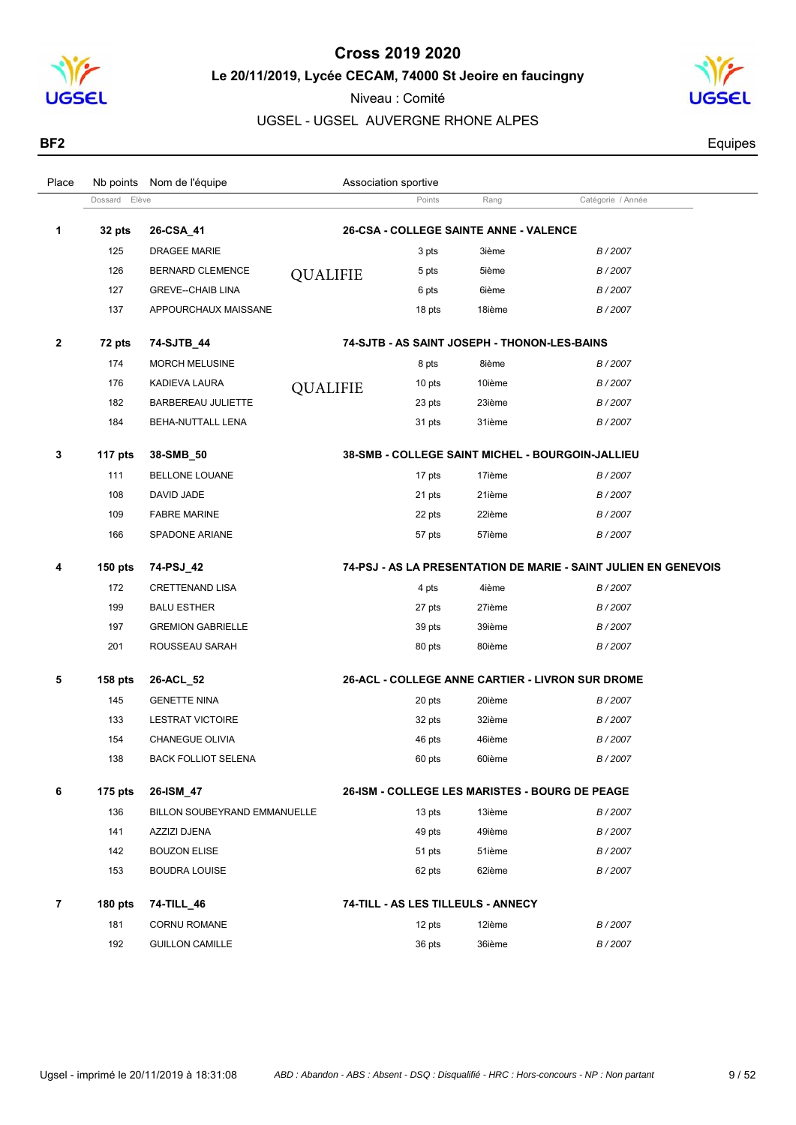

Niveau : Comité

#### UGSEL - UGSEL AUVERGNE RHONE ALPES



**BF2** Equipes

| __ |  | -- |  |
|----|--|----|--|
|    |  |    |  |
|    |  |    |  |
|    |  |    |  |
|    |  |    |  |
|    |  |    |  |

| Place | Nb points        | Nom de l'équipe              |                 | Association sportive |                                               |                                                                 |
|-------|------------------|------------------------------|-----------------|----------------------|-----------------------------------------------|-----------------------------------------------------------------|
|       | Elève<br>Dossard |                              |                 | Points               | Rang                                          | Catégorie / Année                                               |
| 1     | 32 pts           | 26-CSA_41                    |                 |                      | <b>26-CSA - COLLEGE SAINTE ANNE - VALENCE</b> |                                                                 |
|       | 125              | <b>DRAGEE MARIE</b>          |                 | 3 pts                | 3ième                                         | B/2007                                                          |
|       | 126              | BERNARD CLEMENCE             | <b>QUALIFIE</b> | 5 pts                | 5ième                                         | B/2007                                                          |
|       | 127              | <b>GREVE--CHAIB LINA</b>     |                 | 6 pts                | 6ième                                         | B/2007                                                          |
|       | 137              | APPOURCHAUX MAISSANE         |                 | 18 pts               | 18ième                                        | B/2007                                                          |
| 2     | 72 pts           | 74-SJTB_44                   |                 |                      | 74-SJTB - AS SAINT JOSEPH - THONON-LES-BAINS  |                                                                 |
|       | 174              | <b>MORCH MELUSINE</b>        |                 | 8 pts                | 8ième                                         | B/2007                                                          |
|       | 176              | KADIEVA LAURA                | <b>QUALIFIE</b> | 10 pts               | 10ième                                        | B/2007                                                          |
|       | 182              | <b>BARBEREAU JULIETTE</b>    |                 | 23 pts               | 23ième                                        | B/2007                                                          |
|       | 184              | BEHA-NUTTALL LENA            |                 | 31 pts               | 31ième                                        | B/2007                                                          |
| 3     | 117 pts          | 38-SMB 50                    |                 |                      |                                               | <b>38-SMB - COLLEGE SAINT MICHEL - BOURGOIN-JALLIEU</b>         |
|       | 111              | <b>BELLONE LOUANE</b>        |                 | 17 pts               | 17ième                                        | B/2007                                                          |
|       | 108              | DAVID JADE                   |                 | 21 pts               | 21ième                                        | B/2007                                                          |
|       | 109              | <b>FABRE MARINE</b>          |                 | 22 pts               | 22ième                                        | B/2007                                                          |
|       | 166              | SPADONE ARIANE               |                 | 57 pts               | 57ième                                        | B/2007                                                          |
| 4     | <b>150 pts</b>   | 74-PSJ_42                    |                 |                      |                                               | 74-PSJ - AS LA PRESENTATION DE MARIE - SAINT JULIEN EN GENEVOIS |
|       | 172              | <b>CRETTENAND LISA</b>       |                 | 4 pts                | 4ième                                         | B/2007                                                          |
|       | 199              | <b>BALU ESTHER</b>           |                 | 27 pts               | 27ième                                        | B/2007                                                          |
|       | 197              | <b>GREMION GABRIELLE</b>     |                 | 39 pts               | 39ième                                        | B/2007                                                          |
|       | 201              | ROUSSEAU SARAH               |                 | 80 pts               | 80ième                                        | B/2007                                                          |
| 5     | <b>158 pts</b>   | 26-ACL_52                    |                 |                      |                                               | 26-ACL - COLLEGE ANNE CARTIER - LIVRON SUR DROME                |
|       | 145              | <b>GENETTE NINA</b>          |                 | 20 pts               | 20ième                                        | B/2007                                                          |
|       | 133              | <b>LESTRAT VICTOIRE</b>      |                 | 32 pts               | 32ième                                        | B/2007                                                          |
|       | 154              | CHANEGUE OLIVIA              |                 | 46 pts               | 46ième                                        | B/2007                                                          |
|       | 138              | <b>BACK FOLLIOT SELENA</b>   |                 | 60 pts               | 60ième                                        | B/2007                                                          |
| 6     | <b>175 pts</b>   | 26-ISM_47                    |                 |                      |                                               | 26-ISM - COLLEGE LES MARISTES - BOURG DE PEAGE                  |
|       | 136              | BILLON SOUBEYRAND EMMANUELLE |                 | 13 pts               | 13ième                                        | B/2007                                                          |
|       | 141              | AZZIZI DJENA                 |                 | 49 pts               | 49ième                                        | B/2007                                                          |
|       | 142              | <b>BOUZON ELISE</b>          |                 | 51 pts               | 51ième                                        | B/2007                                                          |
|       | 153              | <b>BOUDRA LOUISE</b>         |                 | 62 pts               | 62ième                                        | B/2007                                                          |
| 7     | <b>180 pts</b>   | 74-TILL_46                   |                 |                      | 74-TILL - AS LES TILLEULS - ANNECY            |                                                                 |
|       | 181              | CORNU ROMANE                 |                 | 12 pts               | 12ième                                        | B/2007                                                          |
|       | 192              | <b>GUILLON CAMILLE</b>       |                 | 36 pts               | 36ième                                        | B/2007                                                          |
|       |                  |                              |                 |                      |                                               |                                                                 |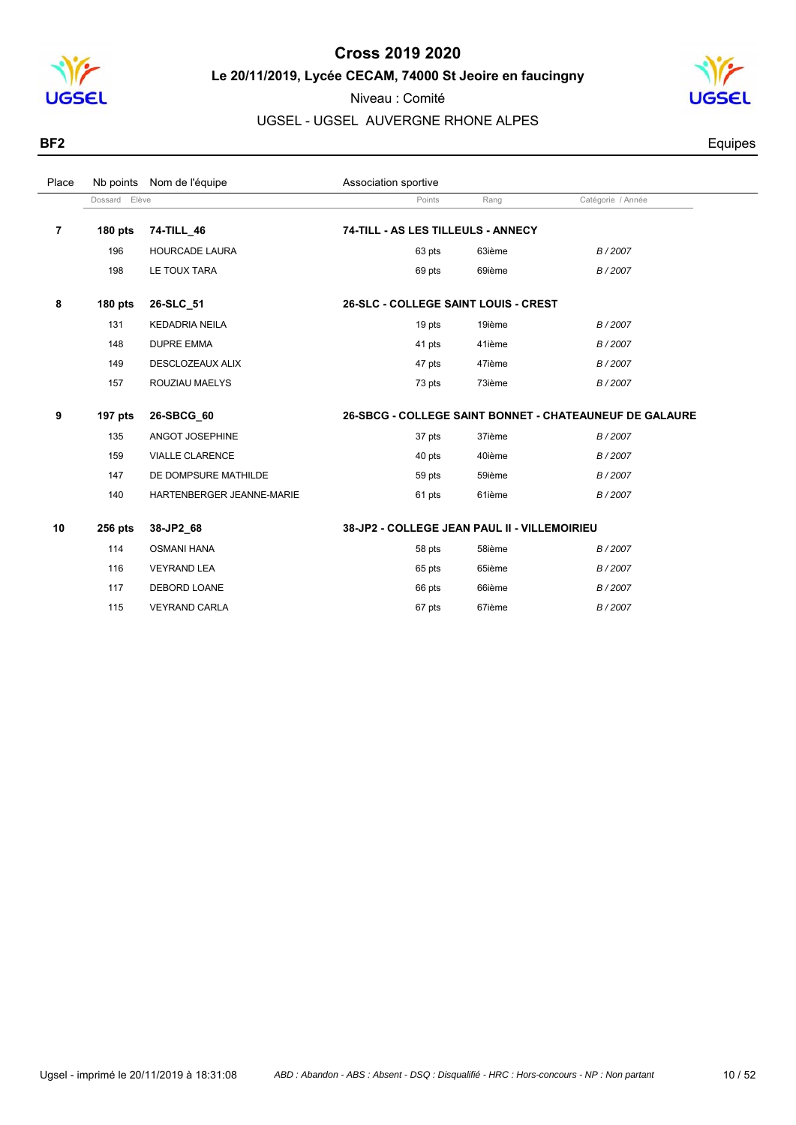

Niveau : Comité



| Place | Nb points     | Nom de l'équipe           | Association sportive                         |        |                                                                |  |
|-------|---------------|---------------------------|----------------------------------------------|--------|----------------------------------------------------------------|--|
|       | Dossard Elève |                           | Points                                       | Rang   | Catégorie / Année                                              |  |
| 7     | 180 pts       | 74-TILL 46                | 74-TILL - AS LES TILLEULS - ANNECY           |        |                                                                |  |
|       | 196           | <b>HOURCADE LAURA</b>     | 63 pts                                       | 63ième | B/2007                                                         |  |
|       | 198           | LE TOUX TARA              | 69 pts                                       | 69ième | B/2007                                                         |  |
| 8     | $180$ pts     | 26-SLC 51                 | 26-SLC - COLLEGE SAINT LOUIS - CREST         |        |                                                                |  |
|       | 131           | <b>KEDADRIA NEILA</b>     | 19 pts                                       | 19ième | B/2007                                                         |  |
|       | 148           | <b>DUPRE EMMA</b>         | 41 pts                                       | 41ième | B/2007                                                         |  |
|       | 149           | <b>DESCLOZEAUX ALIX</b>   | 47 pts                                       | 47ième | B/2007                                                         |  |
|       | 157           | ROUZIAU MAELYS            | 73 pts                                       | 73ième | B/2007                                                         |  |
|       |               |                           |                                              |        |                                                                |  |
| 9     | 197 $pts$     | 26-SBCG 60                |                                              |        | <b>26-SBCG - COLLEGE SAINT BONNET - CHATEAUNEUF DE GALAURE</b> |  |
|       | 135           | ANGOT JOSEPHINE           | 37 pts                                       | 37ième | B/2007                                                         |  |
|       | 159           | <b>VIALLE CLARENCE</b>    | 40 pts                                       | 40ième | B/2007                                                         |  |
|       | 147           | DE DOMPSURE MATHILDE      | 59 pts                                       | 59ième | B/2007                                                         |  |
|       | 140           | HARTENBERGER JEANNE-MARIE | 61 pts                                       | 61ième | B/2007                                                         |  |
|       |               |                           |                                              |        |                                                                |  |
| 10    | 256 pts       | 38-JP2 68                 | 38-JP2 - COLLEGE JEAN PAUL II - VILLEMOIRIEU |        |                                                                |  |
|       | 114           | <b>OSMANI HANA</b>        | 58 pts                                       | 58ième | B/2007                                                         |  |
|       | 116           | <b>VEYRAND LEA</b>        | 65 pts                                       | 65ième | B/2007                                                         |  |
|       | 117           | DEBORD LOANE              | 66 pts                                       | 66ième | B/2007                                                         |  |
|       | 115           | <b>VEYRAND CARLA</b>      | 67 pts                                       | 67ième | B/2007                                                         |  |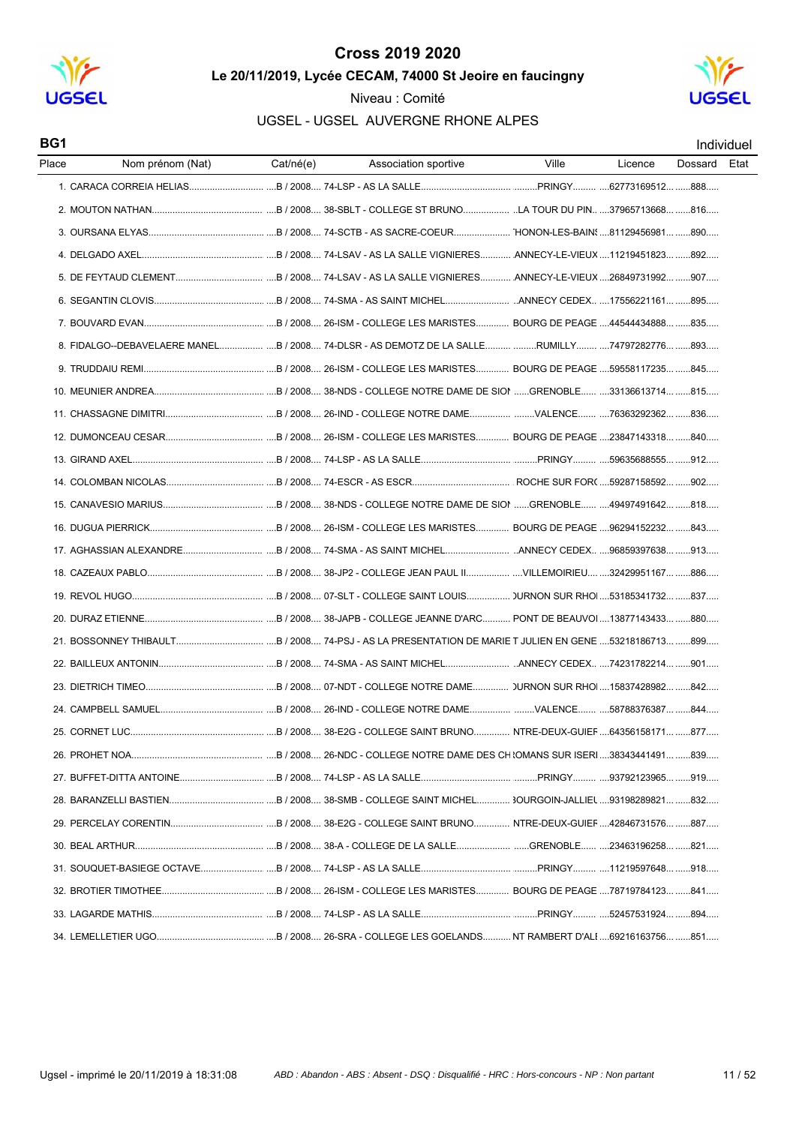



| BG1   |                  |           |                      |       |         |         | Individue |
|-------|------------------|-----------|----------------------|-------|---------|---------|-----------|
| Place | Nom prénom (Nat) | Cat/né(e) | Association sportive | Ville | Licence | Dossard | Etat      |
|       |                  |           |                      |       |         |         |           |
|       |                  |           |                      |       |         |         |           |
|       |                  |           |                      |       |         |         |           |
|       |                  |           |                      |       |         |         |           |
|       |                  |           |                      |       |         |         |           |
|       |                  |           |                      |       |         |         |           |
|       |                  |           |                      |       |         |         |           |
|       |                  |           |                      |       |         |         |           |
|       |                  |           |                      |       |         |         |           |
|       |                  |           |                      |       |         |         |           |
|       |                  |           |                      |       |         |         |           |
|       |                  |           |                      |       |         |         |           |
|       |                  |           |                      |       |         |         |           |
|       |                  |           |                      |       |         |         |           |
|       |                  |           |                      |       |         |         |           |
|       |                  |           |                      |       |         |         |           |
|       |                  |           |                      |       |         |         |           |
|       |                  |           |                      |       |         |         |           |
|       |                  |           |                      |       |         |         |           |
|       |                  |           |                      |       |         |         |           |
|       |                  |           |                      |       |         |         |           |
|       |                  |           |                      |       |         |         |           |
|       |                  |           |                      |       |         |         |           |
|       |                  |           |                      |       |         |         |           |
|       |                  |           |                      |       |         |         |           |
|       |                  |           |                      |       |         |         |           |
|       |                  |           |                      |       |         |         |           |
|       |                  |           |                      |       |         |         |           |
|       |                  |           |                      |       |         |         |           |
|       |                  |           |                      |       |         |         |           |
|       |                  |           |                      |       |         |         |           |
|       |                  |           |                      |       |         |         |           |
|       |                  |           |                      |       |         |         |           |
|       |                  |           |                      |       |         |         |           |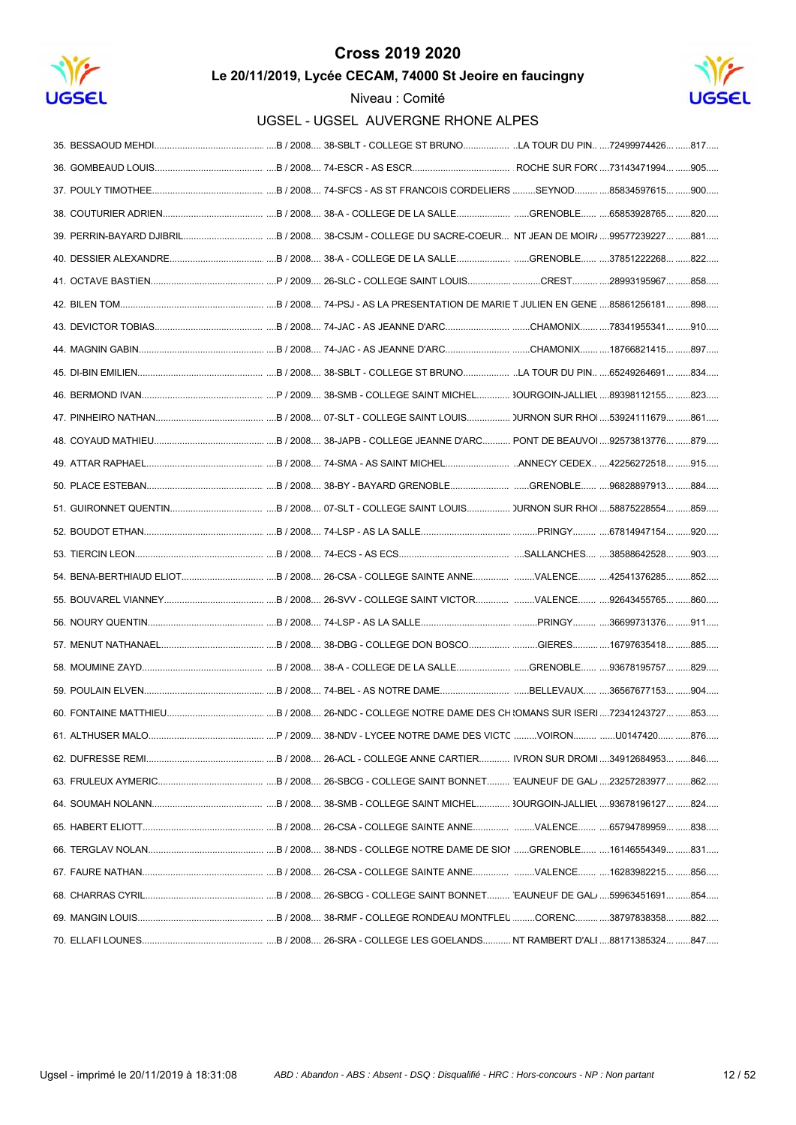

**Le 20/11/2019, Lycée CECAM, 74000 St Jeoire en faucingny**

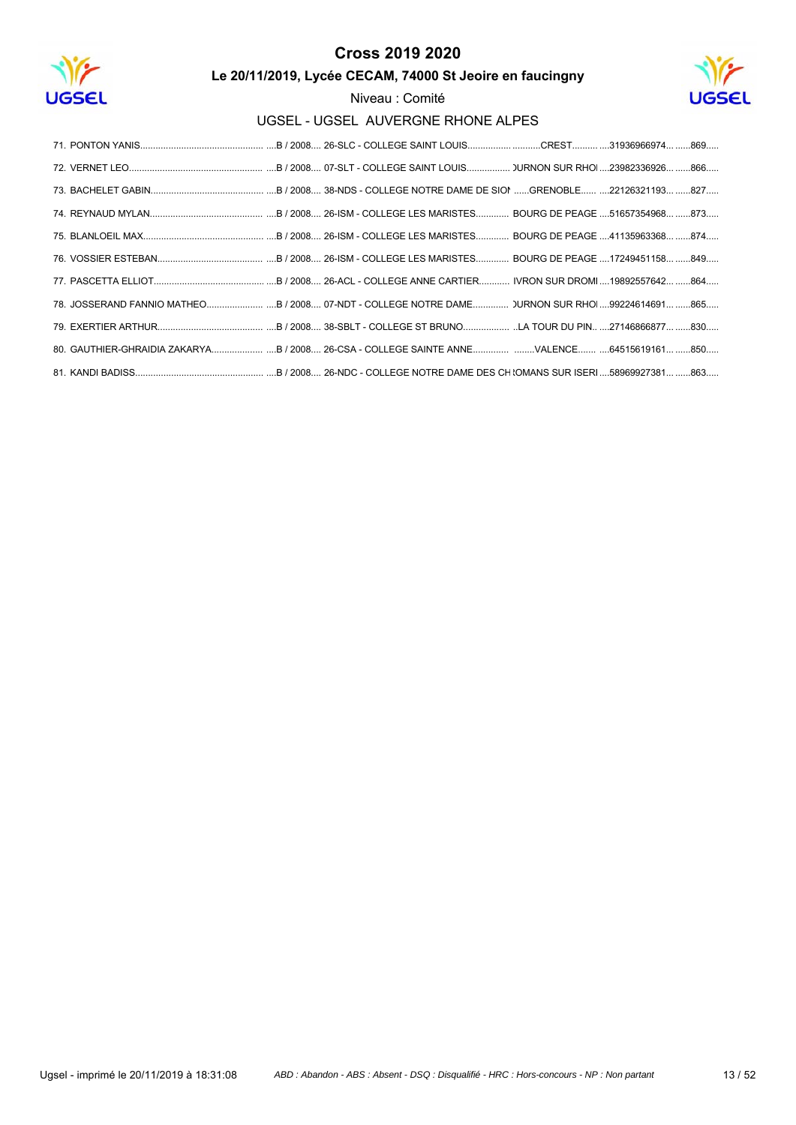

**Le 20/11/2019, Lycée CECAM, 74000 St Jeoire en faucingny**



| 78. JOSSERAND FANNIO MATHEO B / 2008 07-NDT - COLLEGE NOTRE DAME )URNON SUR RHOI99224614691 865 |  |  |
|-------------------------------------------------------------------------------------------------|--|--|
|                                                                                                 |  |  |
| 80. GAUTHIER-GHRAIDIA ZAKARYAB / 2008 26-CSA - COLLEGE SAINTE ANNEVALENCE64515619161 850        |  |  |
|                                                                                                 |  |  |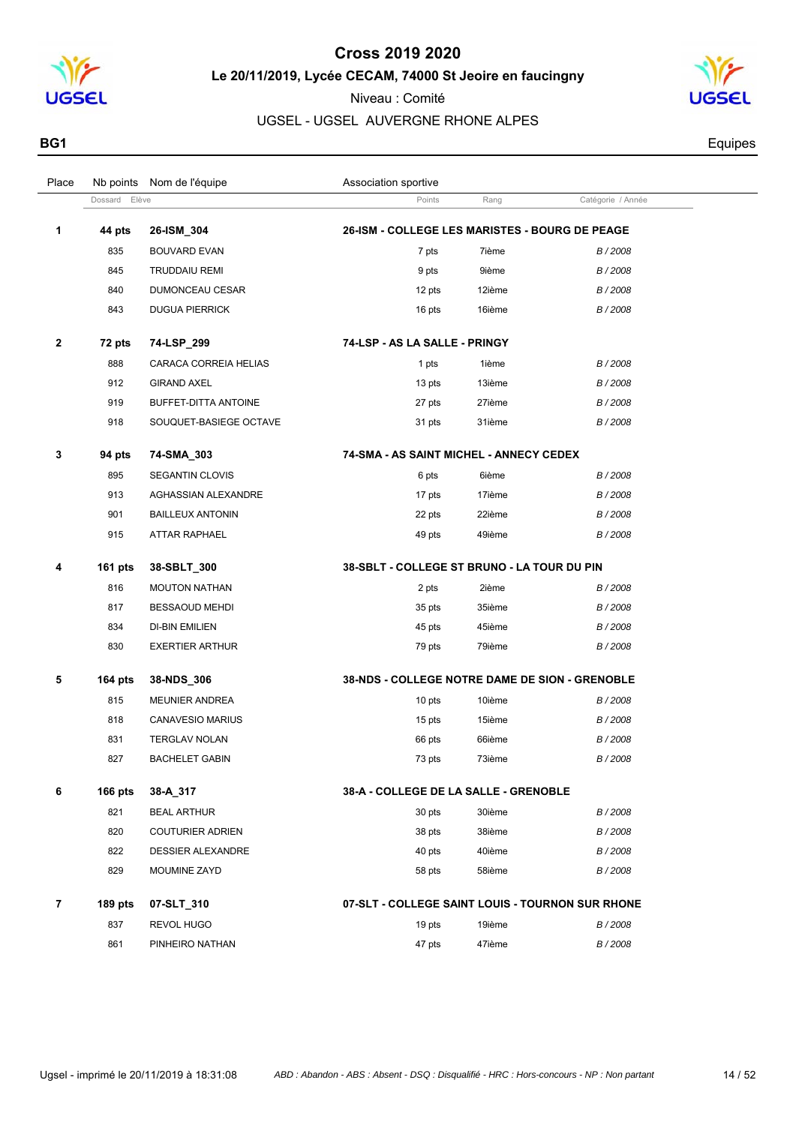

Niveau : Comité



| BG1<br>_____ | auipes |
|--------------|--------|
|              |        |

| Place          | Nb points        | Nom de l'équipe          | Association sportive                                  |        |                   |  |
|----------------|------------------|--------------------------|-------------------------------------------------------|--------|-------------------|--|
|                | Elève<br>Dossard |                          | Points                                                | Rang   | Catégorie / Année |  |
| 1              | 44 pts           | 26-ISM_304               | <b>26-ISM - COLLEGE LES MARISTES - BOURG DE PEAGE</b> |        |                   |  |
|                | 835              | <b>BOUVARD EVAN</b>      | 7 pts                                                 | 7ième  | B/2008            |  |
|                | 845              | <b>TRUDDAIU REMI</b>     | 9 pts                                                 | 9ième  | B/2008            |  |
|                | 840              | DUMONCEAU CESAR          | 12 pts                                                | 12ième | B/2008            |  |
|                | 843              | <b>DUGUA PIERRICK</b>    | 16 pts                                                | 16ième | B/2008            |  |
| $\mathbf{2}$   | 72 pts           | 74-LSP_299               | 74-LSP - AS LA SALLE - PRINGY                         |        |                   |  |
|                | 888              | CARACA CORREIA HELIAS    | 1 pts                                                 | 1ième  | B/2008            |  |
|                | 912              | <b>GIRAND AXEL</b>       | 13 pts                                                | 13ième | B/2008            |  |
|                | 919              | BUFFET-DITTA ANTOINE     | 27 pts                                                | 27ième | B/2008            |  |
|                | 918              | SOUQUET-BASIEGE OCTAVE   | 31 pts                                                | 31ième | B/2008            |  |
| 3              | 94 pts           | 74-SMA_303               | 74-SMA - AS SAINT MICHEL - ANNECY CEDEX               |        |                   |  |
|                | 895              | <b>SEGANTIN CLOVIS</b>   | 6 pts                                                 | 6ième  | B/2008            |  |
|                | 913              | AGHASSIAN ALEXANDRE      | 17 pts                                                | 17ième | B/2008            |  |
|                | 901              | <b>BAILLEUX ANTONIN</b>  | 22 pts                                                | 22ième | B/2008            |  |
|                | 915              | ATTAR RAPHAEL            | 49 pts                                                | 49ième | B/2008            |  |
| 4              | <b>161 pts</b>   | 38-SBLT_300              | <b>38-SBLT - COLLEGE ST BRUNO - LA TOUR DU PIN</b>    |        |                   |  |
|                | 816              | <b>MOUTON NATHAN</b>     | 2 pts                                                 | 2ième  | B/2008            |  |
|                | 817              | <b>BESSAOUD MEHDI</b>    | 35 pts                                                | 35ième | B/2008            |  |
|                | 834              | DI-BIN EMILIEN           | 45 pts                                                | 45ième | B/2008            |  |
|                | 830              | <b>EXERTIER ARTHUR</b>   | 79 pts                                                | 79ième | B/2008            |  |
| 5              | <b>164 pts</b>   | 38-NDS_306               | 38-NDS - COLLEGE NOTRE DAME DE SION - GRENOBLE        |        |                   |  |
|                | 815              | <b>MEUNIER ANDREA</b>    | 10 pts                                                | 10ième | B/2008            |  |
|                | 818              | <b>CANAVESIO MARIUS</b>  | 15 pts                                                | 15ième | B/2008            |  |
|                | 831              | <b>TERGLAV NOLAN</b>     | 66 pts                                                | 66ième | B/2008            |  |
|                | 827              | <b>BACHELET GABIN</b>    | 73 pts                                                | 73ième | B/2008            |  |
| 6              | <b>166 pts</b>   | 38-A_317                 | 38-A - COLLEGE DE LA SALLE - GRENOBLE                 |        |                   |  |
|                | 821              | <b>BEAL ARTHUR</b>       | 30 pts                                                | 30ième | B/2008            |  |
|                | 820              | <b>COUTURIER ADRIEN</b>  | 38 pts                                                | 38ième | B/2008            |  |
|                | 822              | <b>DESSIER ALEXANDRE</b> | 40 pts                                                | 40ième | B/2008            |  |
|                | 829              | MOUMINE ZAYD             | 58 pts                                                | 58ième | B/2008            |  |
| $\overline{7}$ | <b>189 pts</b>   | 07-SLT_310               | 07-SLT - COLLEGE SAINT LOUIS - TOURNON SUR RHONE      |        |                   |  |
|                | 837              | <b>REVOL HUGO</b>        | 19 pts                                                | 19ième | B/2008            |  |
|                | 861              | PINHEIRO NATHAN          | 47 pts                                                | 47ième | B/2008            |  |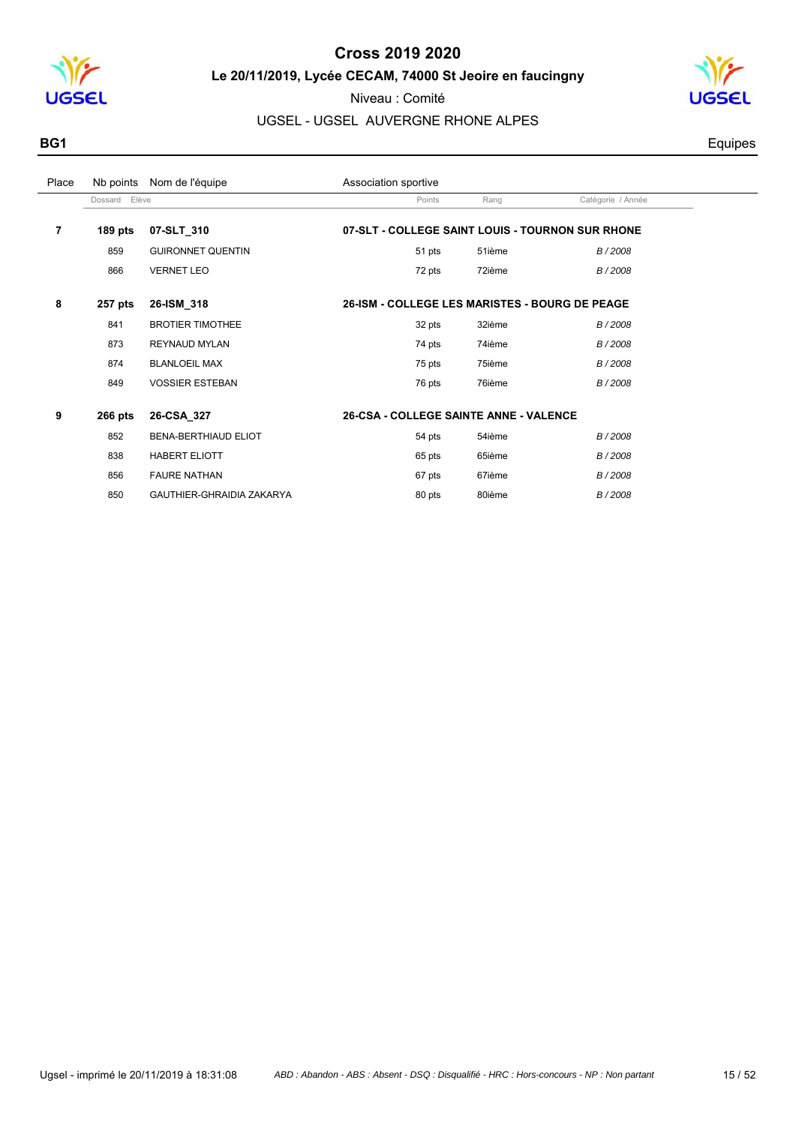

#### Niveau : Comité



| Place          | Nb points     | Nom de l'équipe             | Association sportive                                  |        |                   |  |
|----------------|---------------|-----------------------------|-------------------------------------------------------|--------|-------------------|--|
|                | Dossard Elève |                             | Points                                                | Rang   | Catégorie / Année |  |
| $\overline{7}$ | $189$ pts     | 07-SLT 310                  | 07-SLT - COLLEGE SAINT LOUIS - TOURNON SUR RHONE      |        |                   |  |
|                | 859           | <b>GUIRONNET QUENTIN</b>    | 51 pts                                                | 51ième | B/2008            |  |
|                | 866           | <b>VERNET LEO</b>           | 72 pts                                                | 72ième | B/2008            |  |
|                |               |                             |                                                       |        |                   |  |
| 8              | 257 pts       | 26-ISM 318                  | <b>26-ISM - COLLEGE LES MARISTES - BOURG DE PEAGE</b> |        |                   |  |
|                | 841           | <b>BROTIER TIMOTHEE</b>     | 32 pts                                                | 32ième | B/2008            |  |
|                | 873           | <b>REYNAUD MYLAN</b>        | 74 pts                                                | 74ième | B/2008            |  |
|                | 874           | <b>BLANLOEIL MAX</b>        | 75 pts                                                | 75ième | B/2008            |  |
|                | 849           | <b>VOSSIER ESTEBAN</b>      | 76 pts                                                | 76ième | B/2008            |  |
|                |               |                             |                                                       |        |                   |  |
| 9              | 266 pts       | 26-CSA 327                  | <b>26-CSA - COLLEGE SAINTE ANNE - VALENCE</b>         |        |                   |  |
|                | 852           | <b>BENA-BERTHIAUD ELIOT</b> | 54 pts                                                | 54ième | B/2008            |  |
|                | 838           | <b>HABERT ELIOTT</b>        | 65 pts                                                | 65ième | B/2008            |  |
|                | 856           | <b>FAURE NATHAN</b>         | 67 pts                                                | 67ième | B/2008            |  |
|                | 850           | GAUTHIER-GHRAIDIA ZAKARYA   | 80 pts                                                | 80ième | B/2008            |  |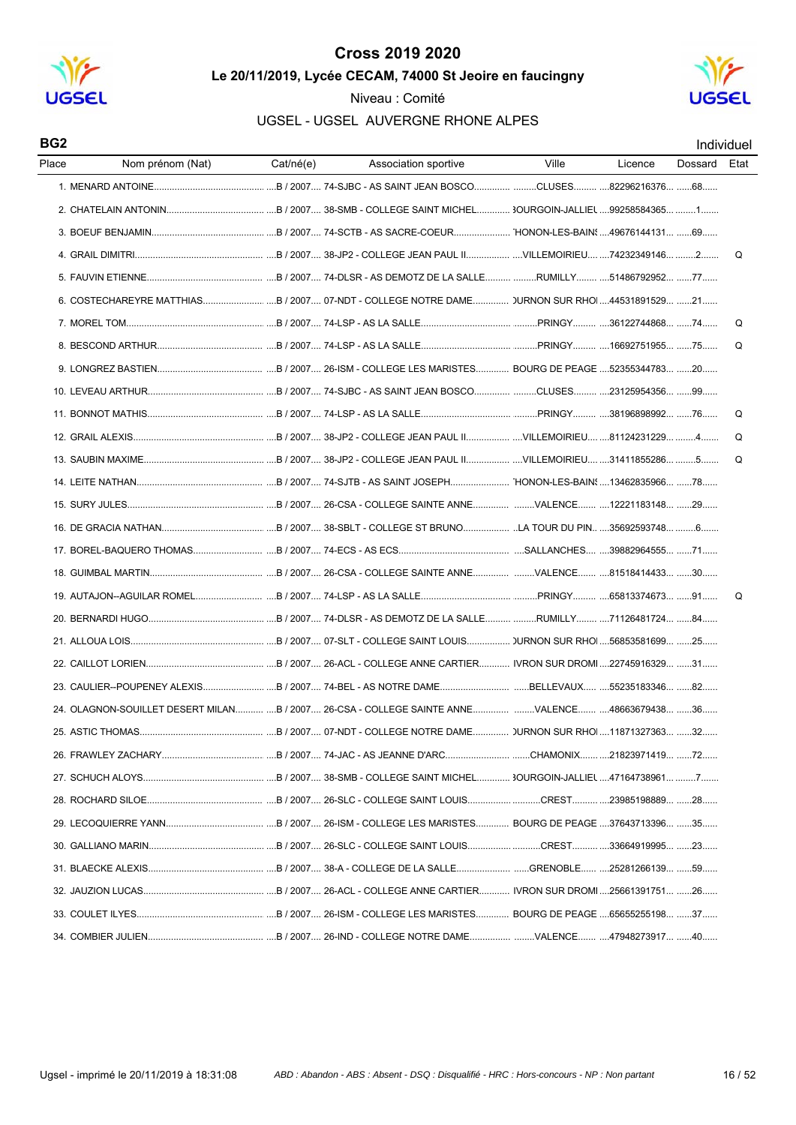



| BG2   |                                                                                                |           |                      |       |         |         | Individue |
|-------|------------------------------------------------------------------------------------------------|-----------|----------------------|-------|---------|---------|-----------|
| Place | Nom prénom (Nat)                                                                               | Cat/né(e) | Association sportive | Ville | Licence | Dossard | Etat      |
|       |                                                                                                |           |                      |       |         |         |           |
|       |                                                                                                |           |                      |       |         |         |           |
|       |                                                                                                |           |                      |       |         |         |           |
|       |                                                                                                |           |                      |       |         |         | Q         |
|       |                                                                                                |           |                      |       |         |         |           |
|       | 6. COSTECHAREYRE MATTHIASB / 2007 07-NDT - COLLEGE NOTRE DAME )URNON SUR RHOI 44531891529 21   |           |                      |       |         |         |           |
|       |                                                                                                |           |                      |       |         |         | Q         |
|       |                                                                                                |           |                      |       |         |         | Q         |
|       |                                                                                                |           |                      |       |         |         |           |
|       |                                                                                                |           |                      |       |         |         |           |
|       |                                                                                                |           |                      |       |         |         | Q         |
|       |                                                                                                |           |                      |       |         |         | Q         |
|       |                                                                                                |           |                      |       |         |         | Q         |
|       |                                                                                                |           |                      |       |         |         |           |
|       |                                                                                                |           |                      |       |         |         |           |
|       |                                                                                                |           |                      |       |         |         |           |
|       |                                                                                                |           |                      |       |         |         |           |
|       |                                                                                                |           |                      |       |         |         |           |
|       |                                                                                                |           |                      |       |         |         | $\Omega$  |
|       |                                                                                                |           |                      |       |         |         |           |
|       |                                                                                                |           |                      |       |         |         |           |
|       |                                                                                                |           |                      |       |         |         |           |
|       |                                                                                                |           |                      |       |         |         |           |
|       | 24. OLAGNON-SOUILLET DESERT MILAN B / 2007 26-CSA - COLLEGE SAINTE ANNE VALENCE 48663679438 36 |           |                      |       |         |         |           |
|       |                                                                                                |           |                      |       |         |         |           |
|       |                                                                                                |           |                      |       |         |         |           |
|       |                                                                                                |           |                      |       |         |         |           |
|       |                                                                                                |           |                      |       |         |         |           |
|       |                                                                                                |           |                      |       |         |         |           |
|       |                                                                                                |           |                      |       |         |         |           |
|       |                                                                                                |           |                      |       |         |         |           |
|       |                                                                                                |           |                      |       |         |         |           |
|       |                                                                                                |           |                      |       |         |         |           |
|       |                                                                                                |           |                      |       |         |         |           |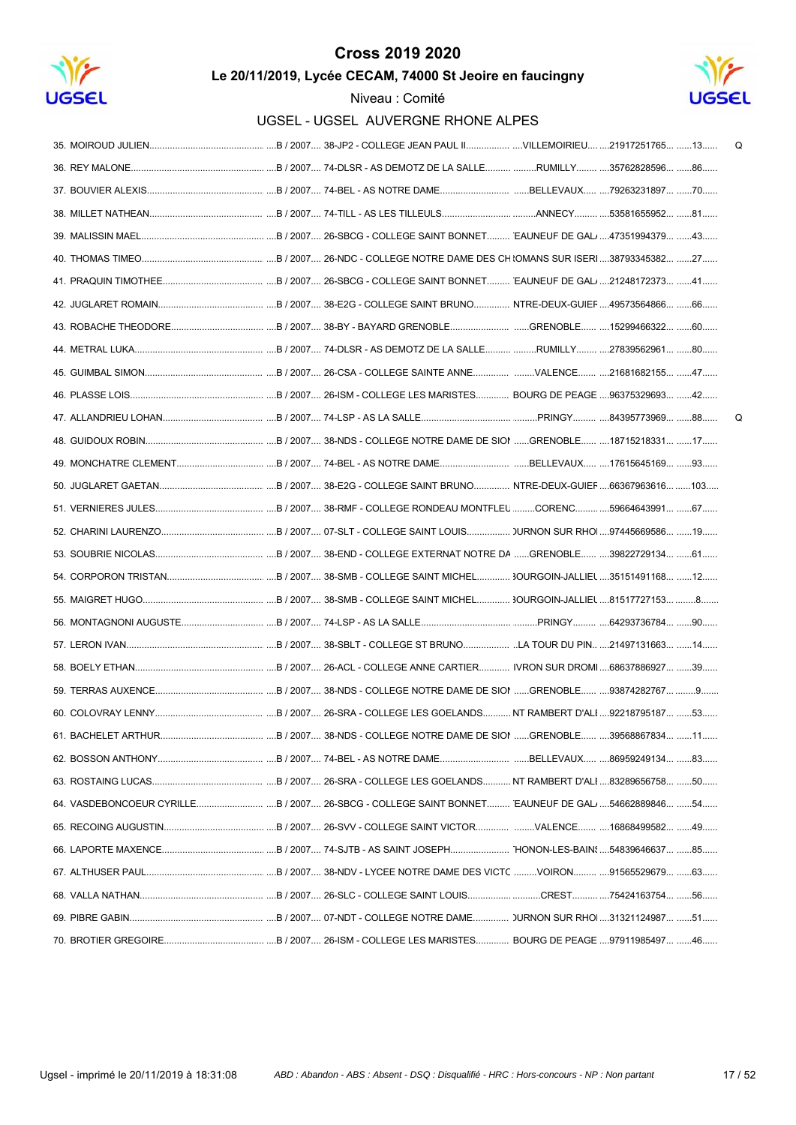

**Le 20/11/2019, Lycée CECAM, 74000 St Jeoire en faucingny**



|  | C |
|--|---|
|  |   |
|  |   |
|  |   |
|  |   |
|  |   |
|  |   |
|  |   |
|  |   |
|  |   |
|  |   |
|  |   |
|  |   |
|  | C |
|  |   |
|  |   |
|  |   |
|  |   |
|  |   |
|  |   |
|  |   |
|  |   |
|  |   |
|  |   |
|  |   |
|  |   |
|  |   |
|  |   |
|  |   |
|  |   |
|  |   |
|  |   |
|  |   |
|  |   |
|  |   |
|  |   |
|  |   |
|  |   |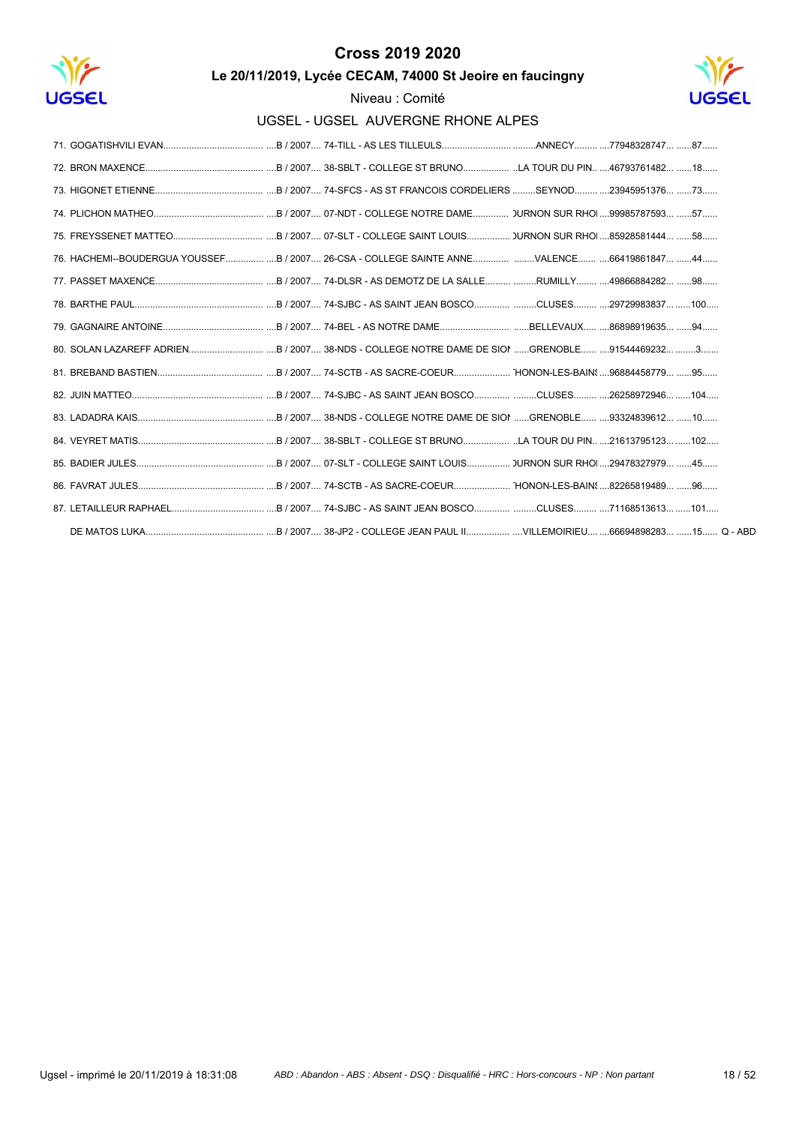

**Le 20/11/2019, Lycée CECAM, 74000 St Jeoire en faucingny**

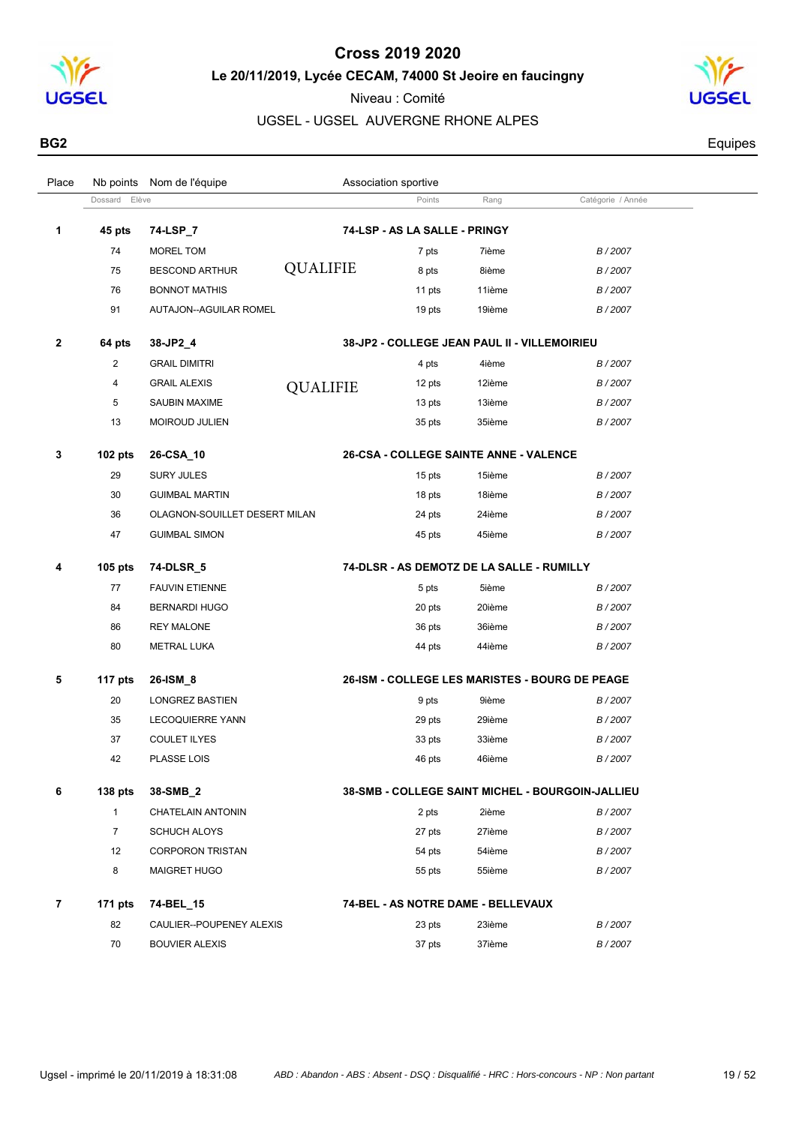

Niveau : Comité



| BG <sub>2</sub><br>Equipes |
|----------------------------|
|----------------------------|

| Place          | Nb points      | Nom de l'équipe               |                 | Association sportive          |                                              |                                                  |  |
|----------------|----------------|-------------------------------|-----------------|-------------------------------|----------------------------------------------|--------------------------------------------------|--|
|                | Dossard Elève  |                               |                 | Points                        | Rang                                         | Catégorie / Année                                |  |
| 1              | 45 pts         | 74-LSP_7                      |                 | 74-LSP - AS LA SALLE - PRINGY |                                              |                                                  |  |
|                | 74             | MOREL TOM                     |                 | 7 pts                         | 7ième                                        | B/2007                                           |  |
|                | 75             | <b>BESCOND ARTHUR</b>         | <b>QUALIFIE</b> | 8 pts                         | 8ième                                        | B/2007                                           |  |
|                | 76             | <b>BONNOT MATHIS</b>          |                 | 11 pts                        | 11ième                                       | B/2007                                           |  |
|                | 91             | AUTAJON--AGUILAR ROMEL        |                 | 19 pts                        | 19ième                                       | B/2007                                           |  |
| $\overline{2}$ | 64 pts         | 38-JP2_4                      |                 |                               | 38-JP2 - COLLEGE JEAN PAUL II - VILLEMOIRIEU |                                                  |  |
|                | $\overline{2}$ | <b>GRAIL DIMITRI</b>          |                 | 4 pts                         | 4ième                                        | B/2007                                           |  |
|                | 4              | <b>GRAIL ALEXIS</b>           | <b>QUALIFIE</b> | 12 pts                        | 12ième                                       | B/2007                                           |  |
|                | 5              | <b>SAUBIN MAXIME</b>          |                 | 13 pts                        | 13ième                                       | B/2007                                           |  |
|                | 13             | MOIROUD JULIEN                |                 | 35 pts                        | 35ième                                       | B/2007                                           |  |
| 3              | <b>102 pts</b> | 26-CSA_10                     |                 |                               | 26-CSA - COLLEGE SAINTE ANNE - VALENCE       |                                                  |  |
|                | 29             | <b>SURY JULES</b>             |                 | 15 pts                        | 15ième                                       | B/2007                                           |  |
|                | 30             | <b>GUIMBAL MARTIN</b>         |                 | 18 pts                        | 18ième                                       | B/2007                                           |  |
|                | 36             | OLAGNON-SOUILLET DESERT MILAN |                 | 24 pts                        | 24ième                                       | B/2007                                           |  |
|                | 47             | <b>GUIMBAL SIMON</b>          |                 | 45 pts                        | 45ième                                       | B/2007                                           |  |
| 4              | <b>105 pts</b> | 74-DLSR_5                     |                 |                               | 74-DLSR - AS DEMOTZ DE LA SALLE - RUMILLY    |                                                  |  |
|                | 77             | <b>FAUVIN ETIENNE</b>         |                 | 5 pts                         | 5ième                                        | B/2007                                           |  |
|                | 84             | <b>BERNARDI HUGO</b>          |                 | 20 pts                        | 20ième                                       | B/2007                                           |  |
|                | 86             | <b>REY MALONE</b>             |                 | 36 pts                        | 36ième                                       | B/2007                                           |  |
|                | 80             | <b>METRAL LUKA</b>            |                 | 44 pts                        | 44ième                                       | B/2007                                           |  |
| 5              | 117 pts        | 26-ISM_8                      |                 |                               |                                              | 26-ISM - COLLEGE LES MARISTES - BOURG DE PEAGE   |  |
|                | 20             | <b>LONGREZ BASTIEN</b>        |                 | 9 pts                         | 9ième                                        | B/2007                                           |  |
|                | 35             | <b>LECOQUIERRE YANN</b>       |                 | 29 pts                        | 29ième                                       | B/2007                                           |  |
|                | 37             | <b>COULET ILYES</b>           |                 | 33 pts                        | 33ième                                       | B/2007                                           |  |
|                | 42             | <b>PLASSE LOIS</b>            |                 | 46 pts                        | 46ième                                       | B/2007                                           |  |
| 6              | 138 pts        | 38-SMB_2                      |                 |                               |                                              | 38-SMB - COLLEGE SAINT MICHEL - BOURGOIN-JALLIEU |  |
|                | $\mathbf{1}$   | CHATELAIN ANTONIN             |                 | 2 pts                         | 2ième                                        | B/2007                                           |  |
|                | $\overline{7}$ | <b>SCHUCH ALOYS</b>           |                 | 27 pts                        | 27ième                                       | B/2007                                           |  |
|                | 12             | <b>CORPORON TRISTAN</b>       |                 | 54 pts                        | 54ième                                       | B/2007                                           |  |
|                | 8              | <b>MAIGRET HUGO</b>           |                 | 55 pts                        | 55ième                                       | B/2007                                           |  |
| $\overline{7}$ | <b>171 pts</b> | 74-BEL_15                     |                 |                               | 74-BEL - AS NOTRE DAME - BELLEVAUX           |                                                  |  |
|                | 82             | CAULIER--POUPENEY ALEXIS      |                 | 23 pts                        | 23ième                                       | B/2007                                           |  |
|                | 70             | <b>BOUVIER ALEXIS</b>         |                 | 37 pts                        | 37ième                                       | B/2007                                           |  |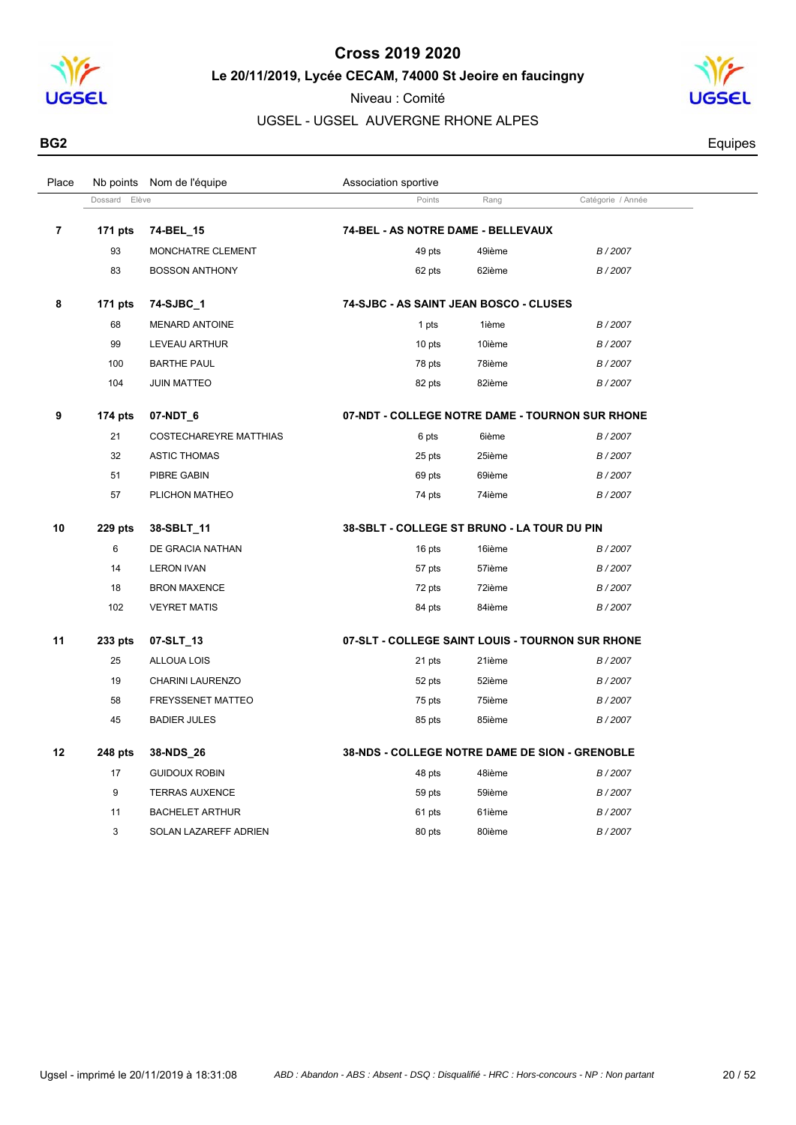

Niveau : Comité



| BG <sub>2</sub> | Equipes |
|-----------------|---------|
| _______         |         |

| Place                   | Nb points     | Nom de l'équipe          | Association sportive                             |        |                   |  |
|-------------------------|---------------|--------------------------|--------------------------------------------------|--------|-------------------|--|
|                         | Dossard Elève |                          | Points                                           | Rang   | Catégorie / Année |  |
| $\overline{\mathbf{r}}$ | 171 pts       | 74-BEL 15                | 74-BEL - AS NOTRE DAME - BELLEVAUX               |        |                   |  |
|                         | 93            | MONCHATRE CLEMENT        | 49 pts                                           | 49ième | B/2007            |  |
|                         | 83            | <b>BOSSON ANTHONY</b>    | 62 pts                                           | 62ième | B/2007            |  |
| 8                       | 171 pts       | 74-SJBC_1                | 74-SJBC - AS SAINT JEAN BOSCO - CLUSES           |        |                   |  |
|                         | 68            | <b>MENARD ANTOINE</b>    | 1 pts                                            | 1ième  | B/2007            |  |
|                         | 99            | LEVEAU ARTHUR            | 10 pts                                           | 10ième | B/2007            |  |
|                         | 100           | <b>BARTHE PAUL</b>       | 78 pts                                           | 78ième | B/2007            |  |
|                         | 104           | <b>JUIN MATTEO</b>       | 82 pts                                           | 82ième | B/2007            |  |
| 9                       | 174 pts       | 07-NDT_6                 | 07-NDT - COLLEGE NOTRE DAME - TOURNON SUR RHONE  |        |                   |  |
|                         | 21            | COSTECHAREYRE MATTHIAS   | 6 pts                                            | 6ième  | B/2007            |  |
|                         | 32            | <b>ASTIC THOMAS</b>      | 25 pts                                           | 25ième | B/2007            |  |
|                         | 51            | PIBRE GABIN              | 69 pts                                           | 69ième | B/2007            |  |
|                         | 57            | PLICHON MATHEO           | 74 pts                                           | 74ième | B/2007            |  |
| 10                      | 229 pts       | 38-SBLT_11               | 38-SBLT - COLLEGE ST BRUNO - LA TOUR DU PIN      |        |                   |  |
|                         | 6             | DE GRACIA NATHAN         | 16 pts                                           | 16ième | B/2007            |  |
|                         | 14            | <b>LERON IVAN</b>        | 57 pts                                           | 57ième | B/2007            |  |
|                         | 18            | <b>BRON MAXENCE</b>      | 72 pts                                           | 72ième | B/2007            |  |
|                         | 102           | <b>VEYRET MATIS</b>      | 84 pts                                           | 84ième | B/2007            |  |
| 11                      | 233 pts       | 07-SLT_13                | 07-SLT - COLLEGE SAINT LOUIS - TOURNON SUR RHONE |        |                   |  |
|                         | 25            | <b>ALLOUA LOIS</b>       | 21 pts                                           | 21ième | B/2007            |  |
|                         | 19            | CHARINI LAURENZO         | 52 pts                                           | 52ième | B/2007            |  |
|                         | 58            | <b>FREYSSENET MATTEO</b> | 75 pts                                           | 75ième | B/2007            |  |
|                         | 45            | <b>BADIER JULES</b>      | 85 pts                                           | 85ième | B/2007            |  |
| 12                      | 248 pts       | 38-NDS_26                | 38-NDS - COLLEGE NOTRE DAME DE SION - GRENOBLE   |        |                   |  |
|                         | 17            | <b>GUIDOUX ROBIN</b>     | 48 pts                                           | 48ième | B/2007            |  |
|                         | 9             | <b>TERRAS AUXENCE</b>    | 59 pts                                           | 59ième | B/2007            |  |
|                         | 11            | <b>BACHELET ARTHUR</b>   | 61 pts                                           | 61ième | B/2007            |  |
|                         | 3             | SOLAN LAZAREFF ADRIEN    | 80 pts                                           | 80ième | B/2007            |  |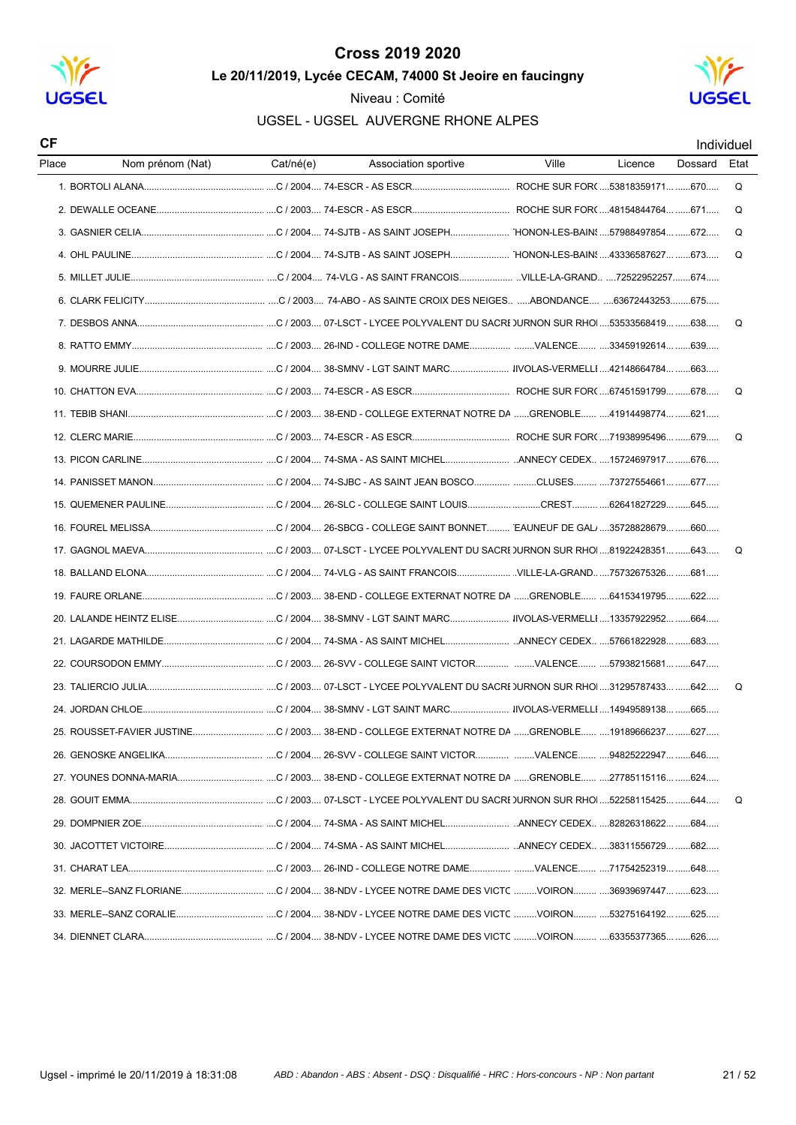



| СF    |                                                                                                |           |                      |       |         |         | Individuel |
|-------|------------------------------------------------------------------------------------------------|-----------|----------------------|-------|---------|---------|------------|
| Place | Nom prénom (Nat)                                                                               | Cat/né(e) | Association sportive | Ville | Licence | Dossard | Etat       |
|       |                                                                                                |           |                      |       |         |         | Q          |
|       |                                                                                                |           |                      |       |         |         | Q          |
|       |                                                                                                |           |                      |       |         |         | Q          |
|       |                                                                                                |           |                      |       |         |         | Q          |
|       |                                                                                                |           |                      |       |         |         |            |
|       |                                                                                                |           |                      |       |         |         |            |
|       |                                                                                                |           |                      |       |         |         | Q          |
|       |                                                                                                |           |                      |       |         |         |            |
|       |                                                                                                |           |                      |       |         |         |            |
|       |                                                                                                |           |                      |       |         |         | Q          |
|       |                                                                                                |           |                      |       |         |         |            |
|       |                                                                                                |           |                      |       |         |         | Q          |
|       |                                                                                                |           |                      |       |         |         |            |
|       |                                                                                                |           |                      |       |         |         |            |
|       |                                                                                                |           |                      |       |         |         |            |
|       |                                                                                                |           |                      |       |         |         |            |
|       |                                                                                                |           |                      |       |         |         | O          |
|       |                                                                                                |           |                      |       |         |         |            |
|       |                                                                                                |           |                      |       |         |         |            |
|       |                                                                                                |           |                      |       |         |         |            |
|       |                                                                                                |           |                      |       |         |         |            |
|       |                                                                                                |           |                      |       |         |         |            |
|       |                                                                                                |           |                      |       |         |         | $\Omega$   |
|       |                                                                                                |           |                      |       |         |         |            |
|       | 25. ROUSSET-FAVIER JUSTINEC / 2003 38-END - COLLEGE EXTERNAT NOTRE DA GRENOBLE 19189666237 627 |           |                      |       |         |         |            |
|       |                                                                                                |           |                      |       |         |         |            |
|       |                                                                                                |           |                      |       |         |         |            |
|       |                                                                                                |           |                      |       |         |         | Q          |
|       |                                                                                                |           |                      |       |         |         |            |
|       |                                                                                                |           |                      |       |         |         |            |
|       |                                                                                                |           |                      |       |         |         |            |
|       |                                                                                                |           |                      |       |         |         |            |
|       |                                                                                                |           |                      |       |         |         |            |
|       |                                                                                                |           |                      |       |         |         |            |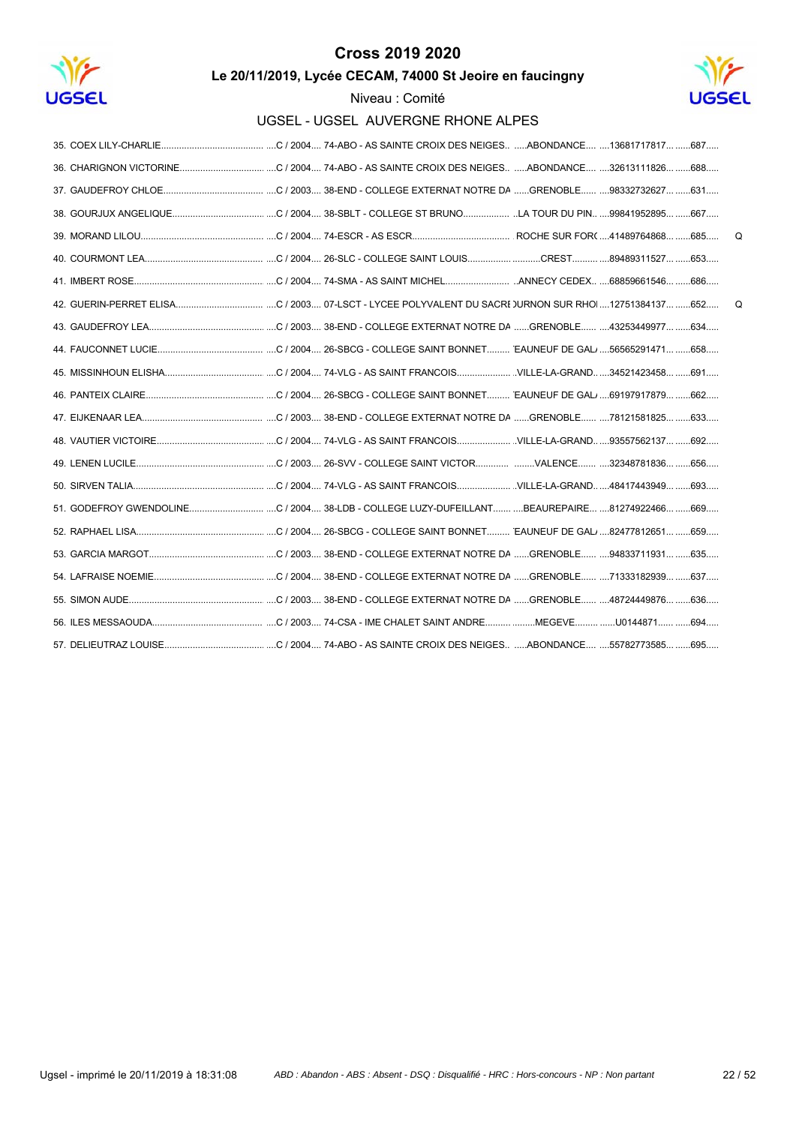

**Le 20/11/2019, Lycée CECAM, 74000 St Jeoire en faucingny**



## Niveau : Comité

|  | C. |
|--|----|
|  |    |
|  |    |
|  | C. |
|  |    |
|  |    |
|  |    |
|  |    |
|  |    |
|  |    |
|  |    |
|  |    |
|  |    |
|  |    |
|  |    |
|  |    |
|  |    |
|  |    |
|  |    |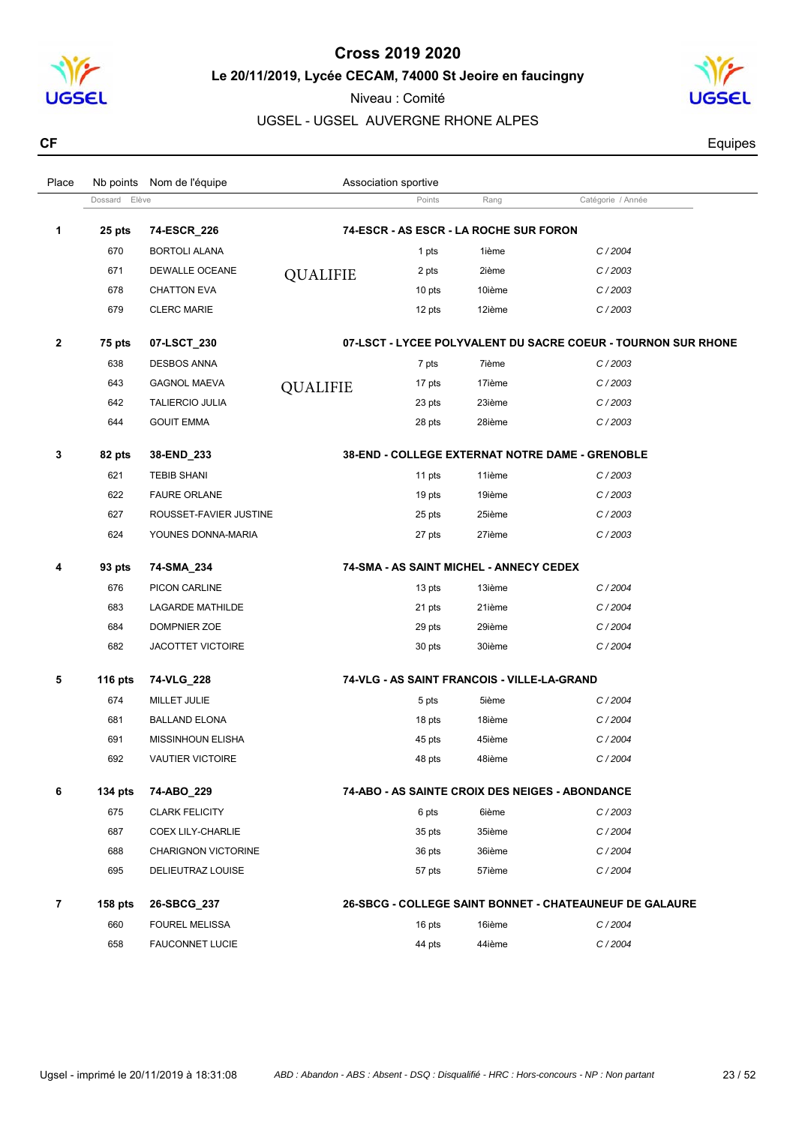

Niveau : Comité

#### UGSEL - UGSEL AUVERGNE RHONE ALPES

Dossard Elève **Catégorie / Année Points** Rang Catégorie / Année

688 CHARIGNON VICTORINE 36 pts 36ième *C / 2004* 695 DELIEUTRAZ LOUISE 57 pts 57ième *C / 2004*

**7 26-SBCG - COLLEGE SAINT BONNET - CHATEAUNEUF DE GALAURE 158 pts 26-SBCG\_237** 660 FOUREL MELISSA 16 pts 16ième *C / 2004* 658 FAUCONNET LUCIE 44 pts 44ième *C / 2004*

**1 74-ESCR - AS ESCR - LA ROCHE SUR FORON 25 pts 74-ESCR\_226**

Place Nb points Nom de l'équipe  $\blacksquare$  Association sportive

**2 07-LSCT - LYCEE POLYVALENT DU SACRE COEUR - TOURNON SUR RHONE 75 pts 07-LSCT\_230**

**3 38-END - COLLEGE EXTERNAT NOTRE DAME - GRENOBLE 82 pts 38-END\_233**

**4 74-SMA - AS SAINT MICHEL - ANNECY CEDEX 93 pts 74-SMA\_234**

**5 74-VLG - AS SAINT FRANCOIS - VILLE-LA-GRAND 116 pts 74-VLG\_228**

**6 74-ABO - AS SAINTE CROIX DES NEIGES - ABONDANCE 134 pts 74-ABO\_229**



**CF** Equipes **CF** Equipes **CF** Equipes **CF** Equipes **CF** Equipes **CF** 

| 670    | <b>BORTOLI ALANA</b>     |                 | 1 pts  | 1ième                                           | C/2004                                                        |  |
|--------|--------------------------|-----------------|--------|-------------------------------------------------|---------------------------------------------------------------|--|
| 671    | DEWALLE OCEANE           | <b>QUALIFIE</b> | 2 pts  | 2ième                                           | C/2003                                                        |  |
| 678    | <b>CHATTON EVA</b>       |                 | 10 pts | 10ième                                          | C/2003                                                        |  |
| 679    | <b>CLERC MARIE</b>       |                 | 12 pts | 12ième                                          | C/2003                                                        |  |
| 5 pts  | 07-LSCT_230              |                 |        |                                                 | 07-LSCT - LYCEE POLYVALENT DU SACRE COEUR - TOURNON SUR RHONE |  |
| 638    | <b>DESBOS ANNA</b>       |                 | 7 pts  | 7ième                                           | C/2003                                                        |  |
| 643    | <b>GAGNOL MAEVA</b>      | <b>QUALIFIE</b> | 17 pts | 17ième                                          | C/2003                                                        |  |
| 642    | <b>TALIERCIO JULIA</b>   |                 | 23 pts | 23ième                                          | C/2003                                                        |  |
| 644    | <b>GOUIT EMMA</b>        |                 | 28 pts | 28ième                                          | C/2003                                                        |  |
| 2 pts  | 38-END_233               |                 |        |                                                 | <b>38-END - COLLEGE EXTERNAT NOTRE DAME - GRENOBLE</b>        |  |
| 621    | <b>TEBIB SHANI</b>       |                 | 11 pts | 11ième                                          | C/2003                                                        |  |
| 622    | <b>FAURE ORLANE</b>      |                 | 19 pts | 19ième                                          | C/2003                                                        |  |
| 627    | ROUSSET-FAVIER JUSTINE   |                 | 25 pts | 25ième                                          | C/2003                                                        |  |
| 624    | YOUNES DONNA-MARIA       |                 | 27 pts | 27ième                                          | C/2003                                                        |  |
| 3 pts  | 74-SMA_234               |                 |        | 74-SMA - AS SAINT MICHEL - ANNECY CEDEX         |                                                               |  |
| 676    | PICON CARLINE            |                 | 13 pts | 13ième                                          | C/2004                                                        |  |
| 683    | LAGARDE MATHILDE         |                 | 21 pts | 21ième                                          | C/2004                                                        |  |
| 684    | DOMPNIER ZOE             |                 | 29 pts | 29ième                                          | C/2004                                                        |  |
| 682    | <b>JACOTTET VICTOIRE</b> |                 | 30 pts | 30ième                                          | C/2004                                                        |  |
| 16 pts | 74-VLG_228               |                 |        | 74-VLG - AS SAINT FRANCOIS - VILLE-LA-GRAND     |                                                               |  |
| 674    | MILLET JULIE             |                 | 5 pts  | 5ième                                           | C/2004                                                        |  |
| 681    | <b>BALLAND ELONA</b>     |                 | 18 pts | 18ième                                          | C/2004                                                        |  |
| 691    | MISSINHOUN ELISHA        |                 | 45 pts | 45ième                                          | C/2004                                                        |  |
| 692    | <b>VAUTIER VICTOIRE</b>  |                 | 48 pts | 48ième                                          | C/2004                                                        |  |
| 34 pts | 74-ABO_229               |                 |        | 74-ABO - AS SAINTE CROIX DES NEIGES - ABONDANCE |                                                               |  |
| 675    | <b>CLARK FELICITY</b>    |                 | 6 pts  | 6ième                                           | C/2003                                                        |  |
| 687    | <b>COEX LILY-CHARLIE</b> |                 | 35 pts | 35ième                                          | C/2004                                                        |  |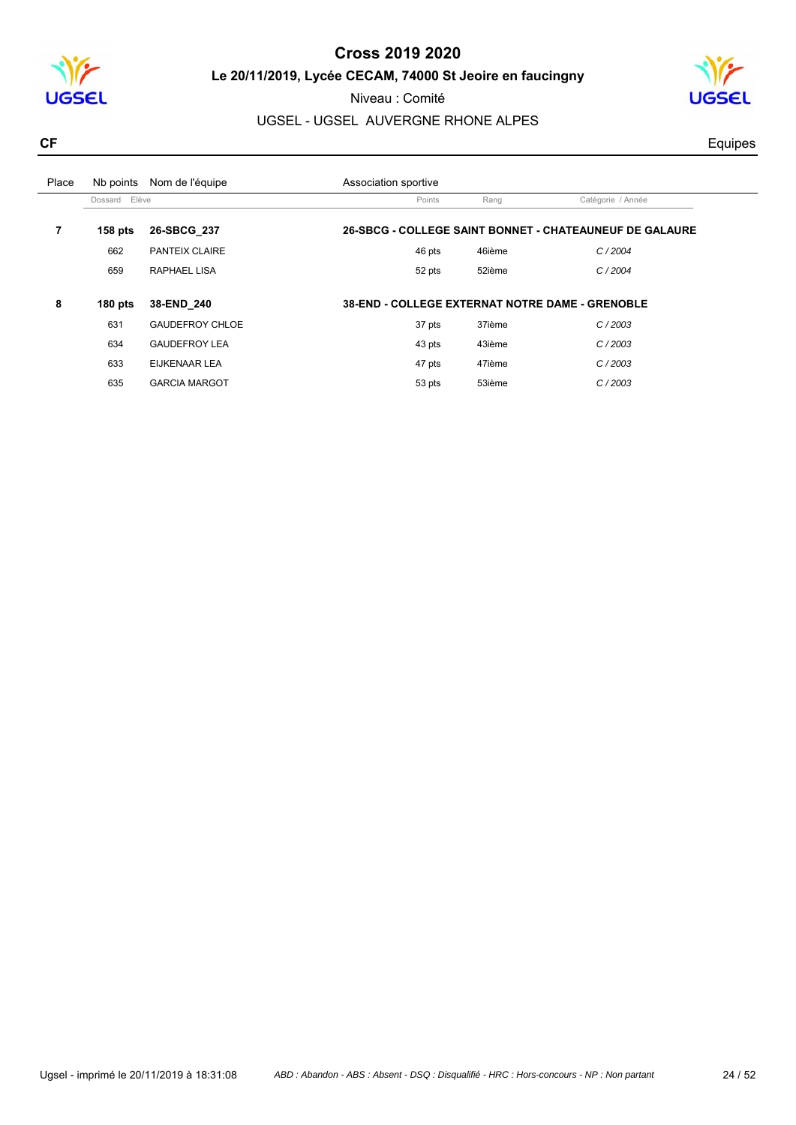

#### Niveau : Comité

#### UGSEL - UGSEL AUVERGNE RHONE ALPES



**CF** Equipes **CF** Equipes **CF** Equipes **CF** Equipes **CF** Equipes **CF** 

| Place | Nb points     | Nom de l'équipe      | Association sportive |        |                                                                |  |
|-------|---------------|----------------------|----------------------|--------|----------------------------------------------------------------|--|
|       | Dossard Elève |                      | Points               | Rang   | Catégorie / Année                                              |  |
| 7     | 158 $pts$     | 26-SBCG 237          |                      |        | <b>26-SBCG - COLLEGE SAINT BONNET - CHATEAUNEUF DE GALAURE</b> |  |
|       | 662           | PANTEIX CLAIRE       | 46 pts               | 46ième | C/2004                                                         |  |
|       | 659           | RAPHAEL LISA         | 52 pts               | 52ième | C/2004                                                         |  |
| 8     | $180$ pts     | 38-END 240           |                      |        | <b>38-END - COLLEGE EXTERNAT NOTRE DAME - GRENOBLE</b>         |  |
|       | 631           | GAUDEFROY CHLOE      | 37 pts               | 37ième | C/2003                                                         |  |
|       | 634           | <b>GAUDEFROY LEA</b> | 43 pts               | 43ième | C/2003                                                         |  |
|       | 633           | EIJKENAAR LEA        | 47 pts               | 47ième | C/2003                                                         |  |
|       | 635           | <b>GARCIA MARGOT</b> | 53 pts               | 53ième | C/2003                                                         |  |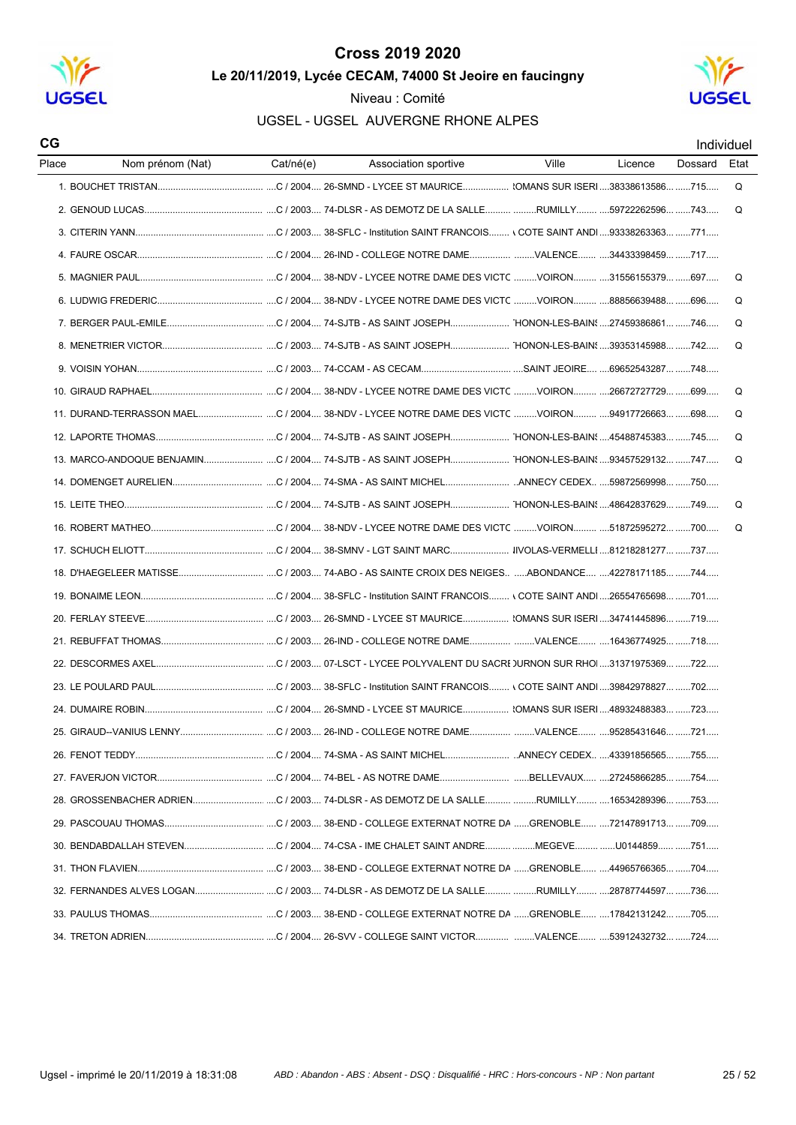



| СG    |                                                                                                                  |           |                      |       |         |         | Individue |
|-------|------------------------------------------------------------------------------------------------------------------|-----------|----------------------|-------|---------|---------|-----------|
| Place | Nom prénom (Nat)                                                                                                 | Cat/né(e) | Association sportive | Ville | Licence | Dossard | Etat      |
|       |                                                                                                                  |           |                      |       |         |         | Q         |
|       |                                                                                                                  |           |                      |       |         |         | Q         |
|       |                                                                                                                  |           |                      |       |         |         |           |
|       |                                                                                                                  |           |                      |       |         |         |           |
|       |                                                                                                                  |           |                      |       |         |         | Q         |
|       |                                                                                                                  |           |                      |       |         |         | Q         |
|       |                                                                                                                  |           |                      |       |         |         | Q         |
|       |                                                                                                                  |           |                      |       |         |         | Q         |
|       |                                                                                                                  |           |                      |       |         |         |           |
|       |                                                                                                                  |           |                      |       |         |         | Q         |
|       |                                                                                                                  |           |                      |       |         |         | Q         |
|       |                                                                                                                  |           |                      |       |         |         | Q         |
|       |                                                                                                                  |           |                      |       |         |         | Q         |
|       |                                                                                                                  |           |                      |       |         |         |           |
|       |                                                                                                                  |           |                      |       |         |         | Q         |
|       |                                                                                                                  |           |                      |       |         |         | Q         |
|       |                                                                                                                  |           |                      |       |         |         |           |
|       |                                                                                                                  |           |                      |       |         |         |           |
|       |                                                                                                                  |           |                      |       |         |         |           |
|       |                                                                                                                  |           |                      |       |         |         |           |
|       |                                                                                                                  |           |                      |       |         |         |           |
|       |                                                                                                                  |           |                      |       |         |         |           |
|       |                                                                                                                  |           |                      |       |         |         |           |
|       |                                                                                                                  |           |                      |       |         |         |           |
|       |                                                                                                                  |           |                      |       |         |         |           |
|       | 26. FENOT TEDDY………………………………………………C / 2004…. 74-SMA - AS SAINT MICHEL…………………………ANNECY CEDEX…….43391856565………755…… |           |                      |       |         |         |           |
|       |                                                                                                                  |           |                      |       |         |         |           |
|       |                                                                                                                  |           |                      |       |         |         |           |
|       |                                                                                                                  |           |                      |       |         |         |           |
|       |                                                                                                                  |           |                      |       |         |         |           |
|       |                                                                                                                  |           |                      |       |         |         |           |
|       | 32. FERNANDES ALVES LOGANC / 2003 74-DLSR - AS DEMOTZ DE LA SALLERUMILLY 28787744597 736                         |           |                      |       |         |         |           |
|       |                                                                                                                  |           |                      |       |         |         |           |
|       |                                                                                                                  |           |                      |       |         |         |           |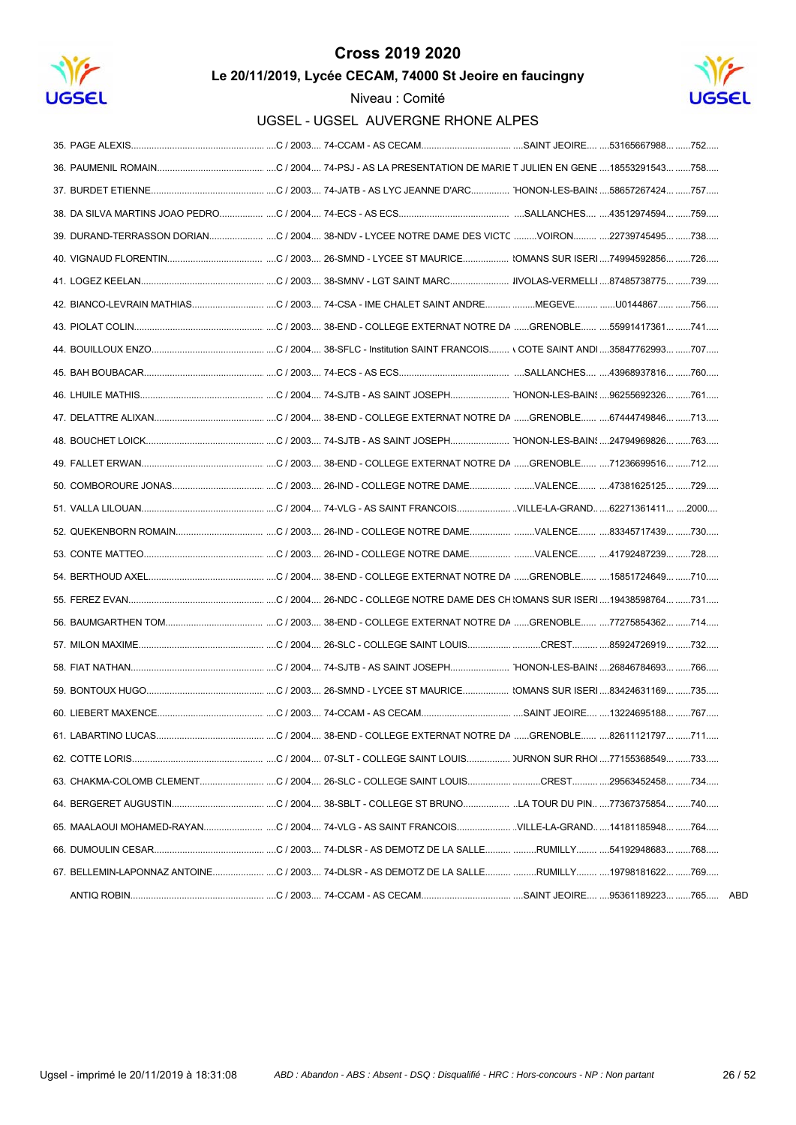

**Le 20/11/2019, Lycée CECAM, 74000 St Jeoire en faucingny**



| 39. DURAND-TERRASSON DORIANC / 2004 38-NDV - LYCEE NOTRE DAME DES VICTC VOIRON 22739745495 738 |  |  |  |
|------------------------------------------------------------------------------------------------|--|--|--|
|                                                                                                |  |  |  |
|                                                                                                |  |  |  |
|                                                                                                |  |  |  |
|                                                                                                |  |  |  |
|                                                                                                |  |  |  |
|                                                                                                |  |  |  |
|                                                                                                |  |  |  |
|                                                                                                |  |  |  |
|                                                                                                |  |  |  |
|                                                                                                |  |  |  |
|                                                                                                |  |  |  |
|                                                                                                |  |  |  |
|                                                                                                |  |  |  |
|                                                                                                |  |  |  |
|                                                                                                |  |  |  |
|                                                                                                |  |  |  |
|                                                                                                |  |  |  |
|                                                                                                |  |  |  |
|                                                                                                |  |  |  |
|                                                                                                |  |  |  |
|                                                                                                |  |  |  |
|                                                                                                |  |  |  |
|                                                                                                |  |  |  |
|                                                                                                |  |  |  |
|                                                                                                |  |  |  |
|                                                                                                |  |  |  |
|                                                                                                |  |  |  |
| 67. BELLEMIN-LAPONNAZ ANTOINEC / 2003 74-DLSR - AS DEMOTZ DE LA SALLE19798181622 769           |  |  |  |
|                                                                                                |  |  |  |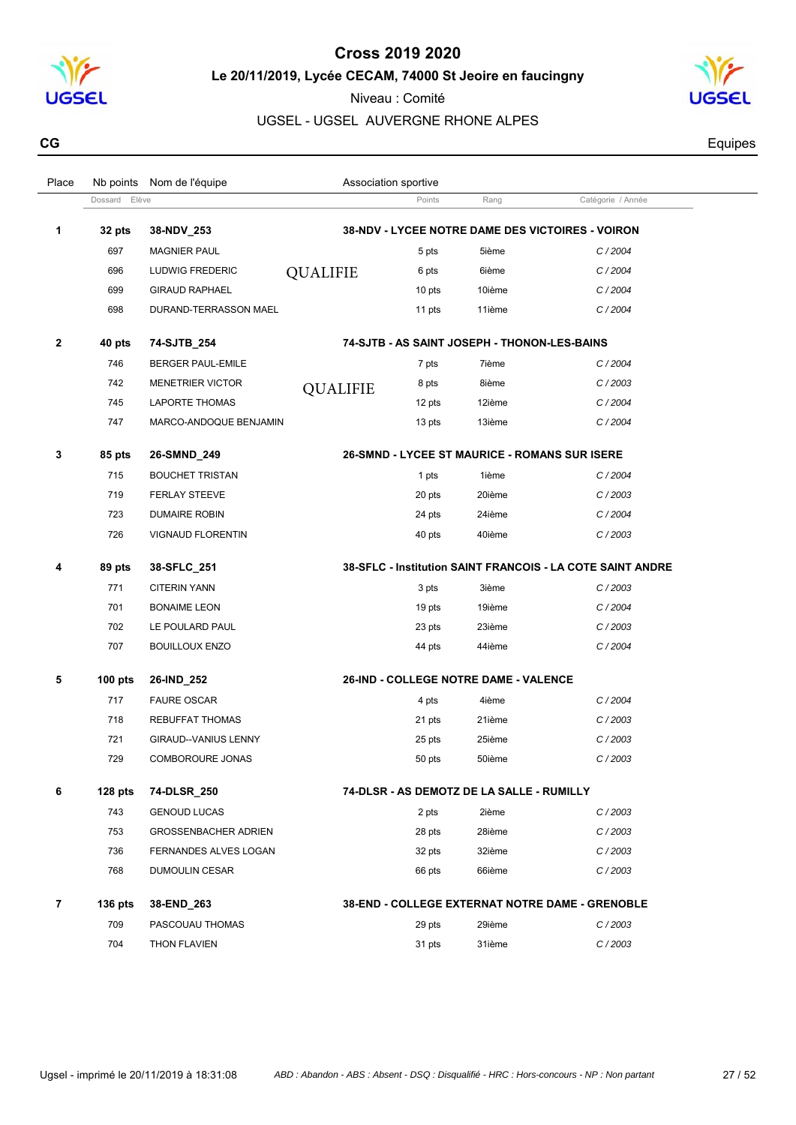

Niveau : Comité

#### UGSEL - UGSEL AUVERGNE RHONE ALPES



**CG** Equipes **CG** Equipes **CG** Equipes **CG** Equipes **CG** Equipes **CG** Equipes **CG** 

|                | Dossard Elève |                          |                 | Points | Rang                                         | Catégorie / Année                                       |
|----------------|---------------|--------------------------|-----------------|--------|----------------------------------------------|---------------------------------------------------------|
| 1              | 32 pts        | 38-NDV_253               |                 |        |                                              | <b>38-NDV - LYCEE NOTRE DAME DES VICTOIRES - VOIRON</b> |
|                | 697           | <b>MAGNIER PAUL</b>      |                 | 5 pts  | 5ième                                        | C/2004                                                  |
|                | 696           | <b>LUDWIG FREDERIC</b>   | <b>QUALIFIE</b> | 6 pts  | 6ième                                        | C/2004                                                  |
|                | 699           | <b>GIRAUD RAPHAEL</b>    |                 | 10 pts | 10ième                                       | C/2004                                                  |
|                | 698           | DURAND-TERRASSON MAEL    |                 | 11 pts | 11ième                                       | C/2004                                                  |
| $\overline{2}$ | 40 pts        | 74-SJTB 254              |                 |        | 74-SJTB - AS SAINT JOSEPH - THONON-LES-BAINS |                                                         |
|                | 746           | <b>BERGER PAUL-EMILE</b> |                 | 7 pts  | 7ième                                        | C/2004                                                  |
|                | 742           | <b>MENETRIER VICTOR</b>  | <b>QUALIFIE</b> | 8 pts  | 8ième                                        | C/2003                                                  |
|                | 745           | <b>LAPORTE THOMAS</b>    |                 | 12 pts | 12ième                                       | C/2004                                                  |
|                |               |                          |                 |        |                                              |                                                         |

|   | 747    | MARCO-ANDOQUE BENJAMIN   | 13 pts                                               | 13ième | C/2004 |
|---|--------|--------------------------|------------------------------------------------------|--------|--------|
| 3 | 85 pts | 26-SMND 249              | <b>26-SMND - LYCEE ST MAURICE - ROMANS SUR ISERE</b> |        |        |
|   | 715    | <b>BOUCHET TRISTAN</b>   | 1 pts                                                | 1ième  | C/2004 |
|   | 719    | <b>FERLAY STEEVE</b>     | 20 pts                                               | 20ième | C/2003 |
|   | 723    | <b>DUMAIRE ROBIN</b>     | 24 pts                                               | 24ième | C/2004 |
|   | 726    | <b>VIGNAUD FLORENTIN</b> | 40 pts                                               | 40ième | C/2003 |

Place Nb points Nom de l'équipe  $\blacksquare$  Association sportive

| 4 | 89 pts | 38-SFLC 251           |        |        | 38-SFLC - Institution SAINT FRANCOIS - LA COTE SAINT ANDRE |
|---|--------|-----------------------|--------|--------|------------------------------------------------------------|
|   | 771    | <b>CITERIN YANN</b>   | 3 pts  | 3ième  | C/2003                                                     |
|   | 701    | <b>BONAIME LEON</b>   | 19 pts | 19ième | C/2004                                                     |
|   | 702    | LE POULARD PAUL       | 23 pts | 23ième | C/2003                                                     |
|   | 707    | <b>BOUILLOUX ENZO</b> | 44 pts | 44ième | C/2004                                                     |

| 5 | $100$ pts | 26-IND 252             | <b>26-IND - COLLEGE NOTRE DAME - VALENCE</b> |        |
|---|-----------|------------------------|----------------------------------------------|--------|
|   | 717       | <b>FAURE OSCAR</b>     | 4ième<br>4 pts                               | C/2004 |
|   | 718       | <b>REBUFFAT THOMAS</b> | 21ième<br>21 pts                             | C/2003 |
|   | 721       | GIRAUD--VANIUS LENNY   | 25ième<br>25 pts                             | C/2003 |
|   | 729       | COMBOROURE JONAS       | 50ième<br>50 pts                             | C/2003 |
| 6 | $128$ pts | 74-DLSR 250            | 74-DLSR - AS DEMOTZ DE LA SALLE - RUMILLY    |        |
|   | 743       | <b>GENOUD LUCAS</b>    | 2ième<br>2 pts                               | C/2003 |

753 GROSSENBACHER ADRIEN 28 pts 28ième *C / 2003* 736 FERNANDES ALVES LOGAN

768 DUMOULIN CESAR

| 2 pts  | 2ième  | C/2003 |
|--------|--------|--------|
| 28 pts | 28ième | C/2003 |
| 32 pts | 32ième | C/2003 |
| 66 pts | 66ième | C/2003 |
|        |        |        |

#### **7 38-END - COLLEGE EXTERNAT NOTRE DAME - GRENOBLE 136 pts 38-END\_263**

| 709 | PASCOUAU THOMAS     | 29 pts | 29ième | C/2003 |
|-----|---------------------|--------|--------|--------|
| 704 | <b>THON FLAVIEN</b> | 31 pts | 31ième | C/2003 |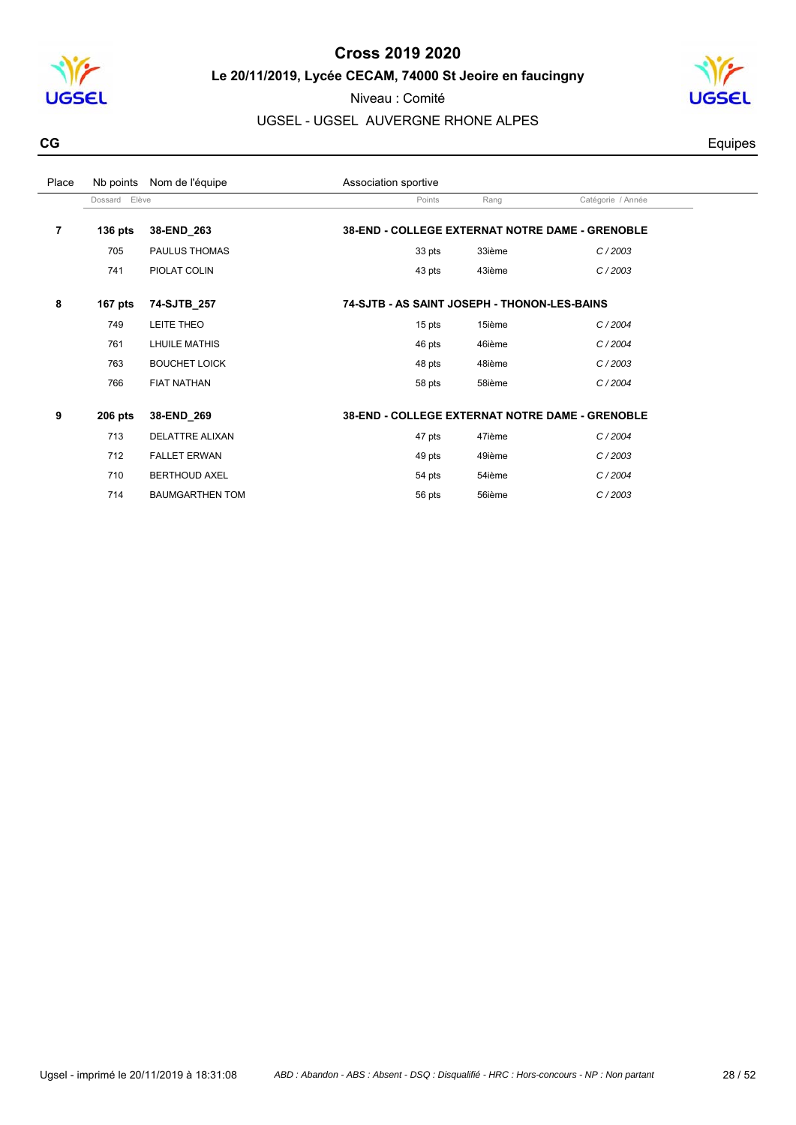

#### Niveau : Comité



| CG | Equipes<br>$\sim$ |
|----|-------------------|

| Place | Nb points        | Nom de l'équipe        | Association sportive                         |        |                                                        |  |
|-------|------------------|------------------------|----------------------------------------------|--------|--------------------------------------------------------|--|
|       | Elève<br>Dossard |                        | Points                                       | Rang   | Catégorie / Année                                      |  |
| 7     | $136$ pts        | 38-END 263             |                                              |        | <b>38-END - COLLEGE EXTERNAT NOTRE DAME - GRENOBLE</b> |  |
|       | 705              | PAULUS THOMAS          | 33 pts                                       | 33ième | C/2003                                                 |  |
|       | 741              | PIOLAT COLIN           | 43 pts                                       | 43ième | C/2003                                                 |  |
| 8     | 167 pts          | 74-SJTB 257            | 74-SJTB - AS SAINT JOSEPH - THONON-LES-BAINS |        |                                                        |  |
|       | 749              | LEITE THEO             | 15 pts                                       | 15ième | C/2004                                                 |  |
|       | 761              | <b>LHUILE MATHIS</b>   | 46 pts                                       | 46ième | C/2004                                                 |  |
|       | 763              | <b>BOUCHET LOICK</b>   | 48 pts                                       | 48ième | C/2003                                                 |  |
|       | 766              | <b>FIAT NATHAN</b>     | 58 pts                                       | 58ième | C/2004                                                 |  |
|       |                  |                        |                                              |        |                                                        |  |
| 9     | $206$ pts        | 38-END 269             |                                              |        | <b>38-END - COLLEGE EXTERNAT NOTRE DAME - GRENOBLE</b> |  |
|       | 713              | <b>DELATTRE ALIXAN</b> | 47 pts                                       | 47ième | C/2004                                                 |  |
|       | 712              | <b>FALLET ERWAN</b>    | 49 pts                                       | 49ième | C/2003                                                 |  |
|       | 710              | <b>BERTHOUD AXEL</b>   | 54 pts                                       | 54ième | C/2004                                                 |  |
|       | 714              | <b>BAUMGARTHEN TOM</b> | 56 pts                                       | 56ième | C/2003                                                 |  |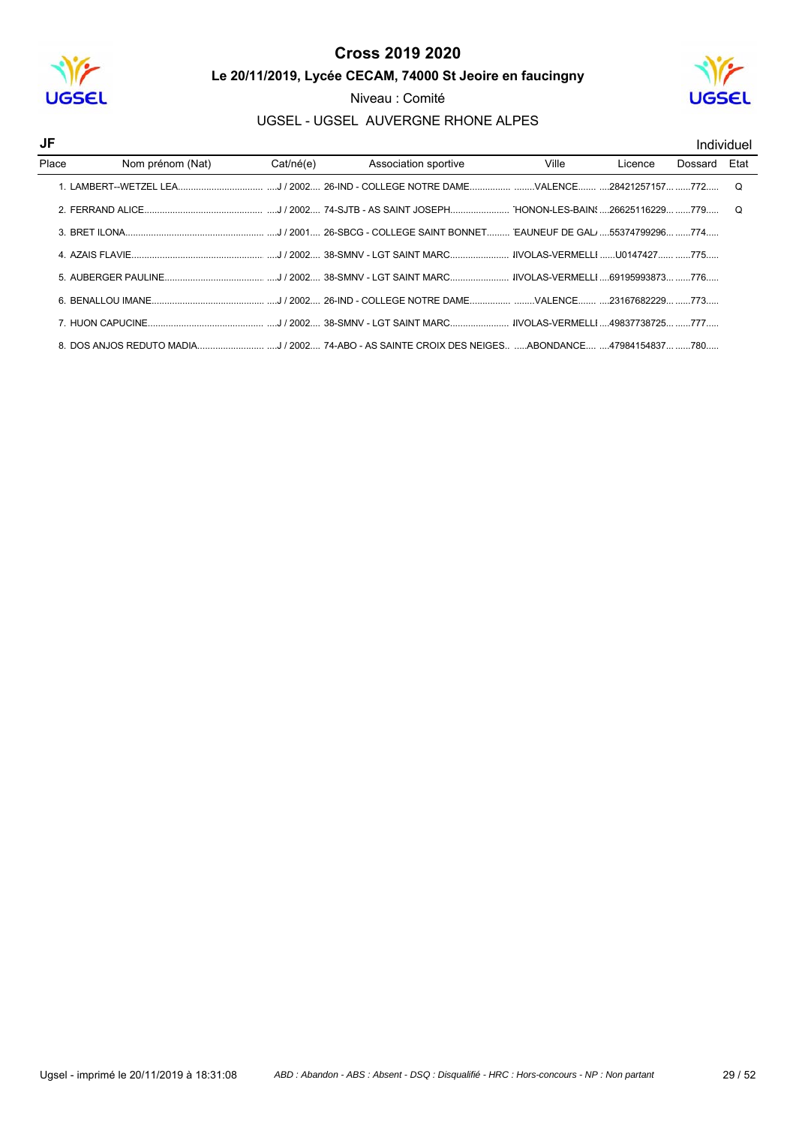



| JF    |                  |           |                      |       |         |         | Individuel |
|-------|------------------|-----------|----------------------|-------|---------|---------|------------|
| Place | Nom prénom (Nat) | Cat/né(e) | Association sportive | Ville | Licence | Dossard | Etat       |
|       |                  |           |                      |       |         |         |            |
|       |                  |           |                      |       |         |         |            |
|       |                  |           |                      |       |         |         |            |
|       |                  |           |                      |       |         |         |            |
|       |                  |           |                      |       |         |         |            |
|       |                  |           |                      |       |         |         |            |
|       |                  |           |                      |       |         |         |            |
|       |                  |           |                      |       |         |         |            |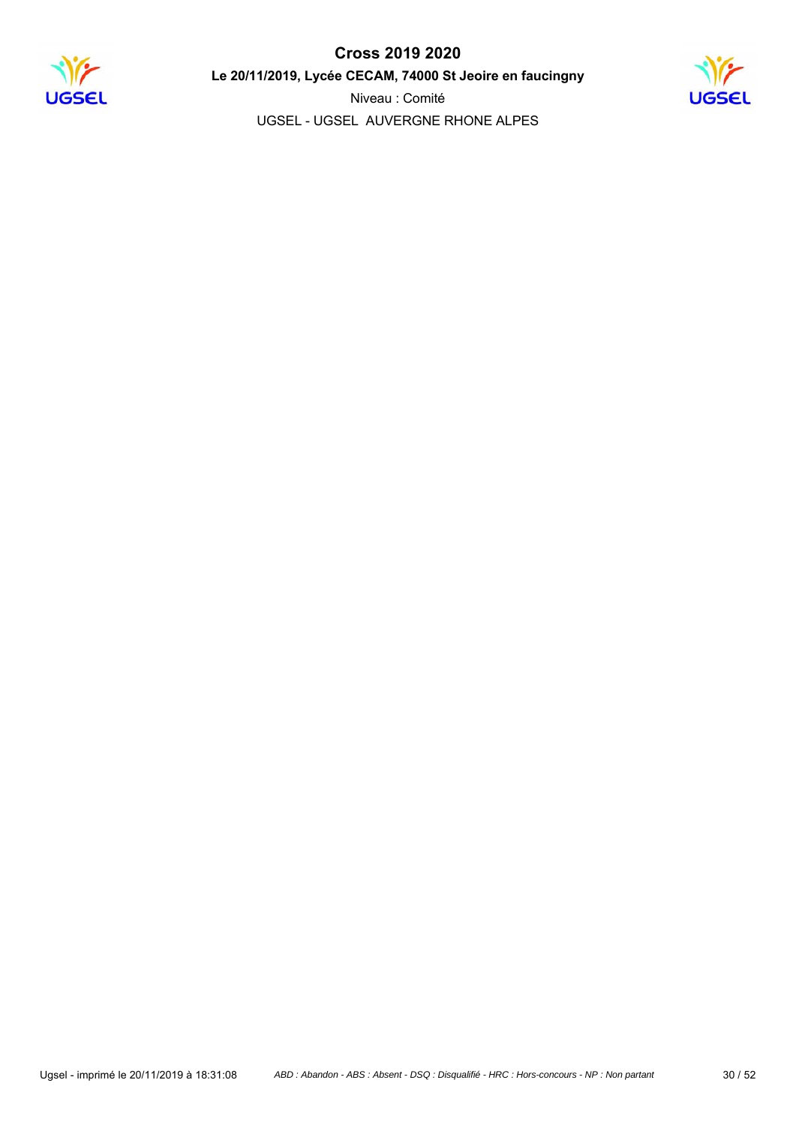

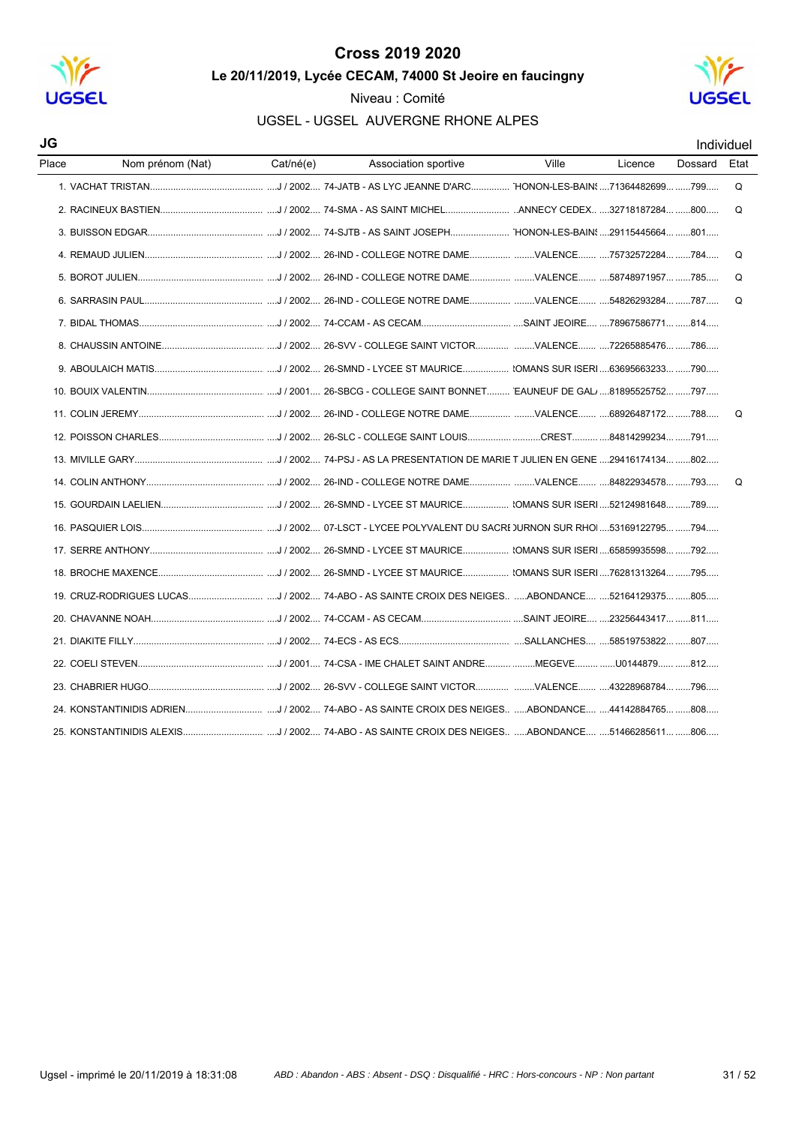



| JG    |                                                                                                                |           |                      |       |         |         | Individue |
|-------|----------------------------------------------------------------------------------------------------------------|-----------|----------------------|-------|---------|---------|-----------|
| Place | Nom prénom (Nat)                                                                                               | Cat/né(e) | Association sportive | Ville | Licence | Dossard | Etat      |
|       |                                                                                                                |           |                      |       |         |         | Q         |
|       |                                                                                                                |           |                      |       |         |         | Q         |
|       |                                                                                                                |           |                      |       |         |         |           |
|       |                                                                                                                |           |                      |       |         |         | Q         |
|       |                                                                                                                |           |                      |       |         |         | $\Omega$  |
|       |                                                                                                                |           |                      |       |         |         | $\Omega$  |
|       |                                                                                                                |           |                      |       |         |         |           |
|       |                                                                                                                |           |                      |       |         |         |           |
|       |                                                                                                                |           |                      |       |         |         |           |
|       |                                                                                                                |           |                      |       |         |         |           |
|       |                                                                                                                |           |                      |       |         |         | $\Omega$  |
|       |                                                                                                                |           |                      |       |         |         |           |
|       |                                                                                                                |           |                      |       |         |         |           |
|       |                                                                                                                |           |                      |       |         |         | $\Omega$  |
|       |                                                                                                                |           |                      |       |         |         |           |
|       |                                                                                                                |           |                      |       |         |         |           |
|       |                                                                                                                |           |                      |       |         |         |           |
|       |                                                                                                                |           |                      |       |         |         |           |
|       |                                                                                                                |           |                      |       |         |         |           |
|       |                                                                                                                |           |                      |       |         |         |           |
|       | 21. DIAKITE FILLY………………………………………………J / 2002…. 74-ECS - AS ECS……………………………………………SALLANCHES………58519753822………807…… |           |                      |       |         |         |           |
|       |                                                                                                                |           |                      |       |         |         |           |
|       |                                                                                                                |           |                      |       |         |         |           |
|       |                                                                                                                |           |                      |       |         |         |           |
|       |                                                                                                                |           |                      |       |         |         |           |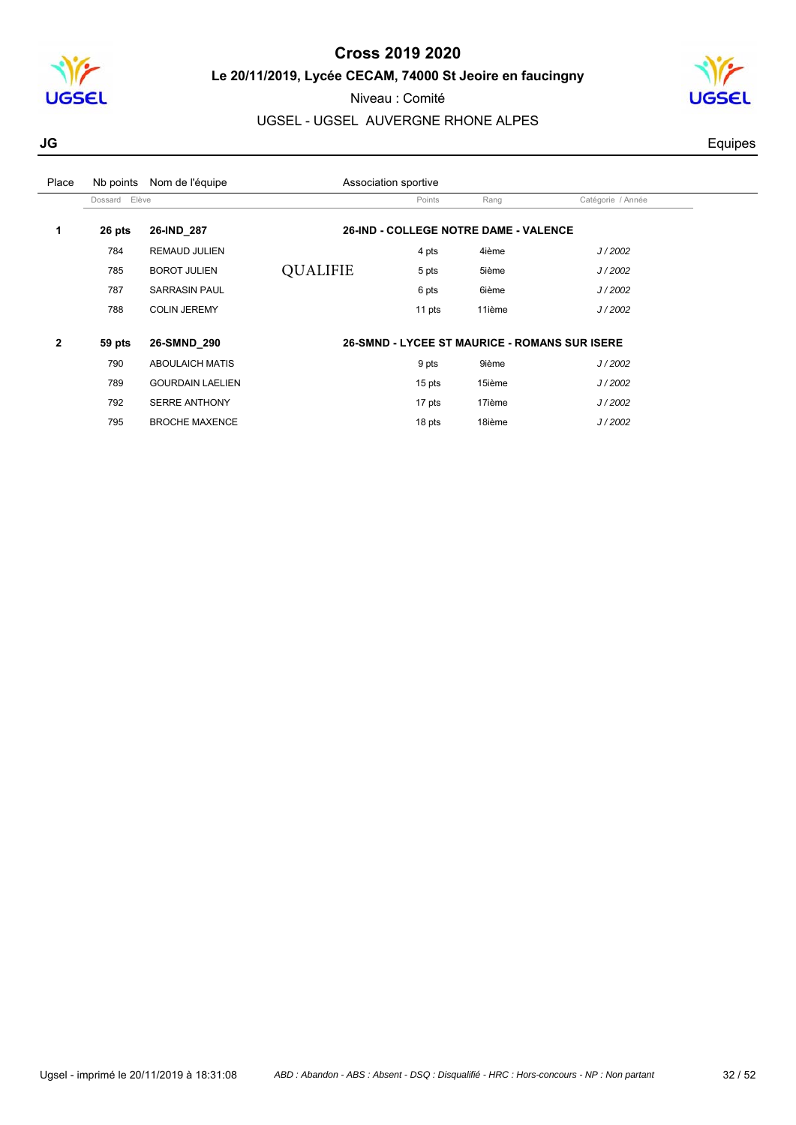



| Place        | Nb points        | Nom de l'équipe         |                 | Association sportive |                                                      |                   |
|--------------|------------------|-------------------------|-----------------|----------------------|------------------------------------------------------|-------------------|
|              | Elève<br>Dossard |                         |                 | Points               | Rang                                                 | Catégorie / Année |
|              |                  |                         |                 |                      |                                                      |                   |
| 1            | 26 pts           | 26-IND 287              |                 |                      | 26-IND - COLLEGE NOTRE DAME - VALENCE                |                   |
|              | 784              | <b>REMAUD JULIEN</b>    |                 | 4 pts                | 4ième                                                | J/2002            |
|              | 785              | <b>BOROT JULIEN</b>     | <b>QUALIFIE</b> | 5 pts                | 5ième                                                | J/2002            |
|              | 787              | <b>SARRASIN PAUL</b>    |                 | 6 pts                | 6ième                                                | J/2002            |
|              | 788              | <b>COLIN JEREMY</b>     |                 | 11 pts               | 11ième                                               | J/2002            |
|              |                  |                         |                 |                      |                                                      |                   |
| $\mathbf{2}$ | 59 pts           | 26-SMND 290             |                 |                      | <b>26-SMND - LYCEE ST MAURICE - ROMANS SUR ISERE</b> |                   |
|              | 790              | <b>ABOULAICH MATIS</b>  |                 | 9 pts                | 9ième                                                | J/2002            |
|              | 789              | <b>GOURDAIN LAELIEN</b> |                 | 15 pts               | 15ième                                               | J/2002            |
|              | 792              | <b>SERRE ANTHONY</b>    |                 | 17 pts               | 17ième                                               | J/2002            |
|              | 795              | <b>BROCHE MAXENCE</b>   |                 | 18 pts               | 18ième                                               | J/2002            |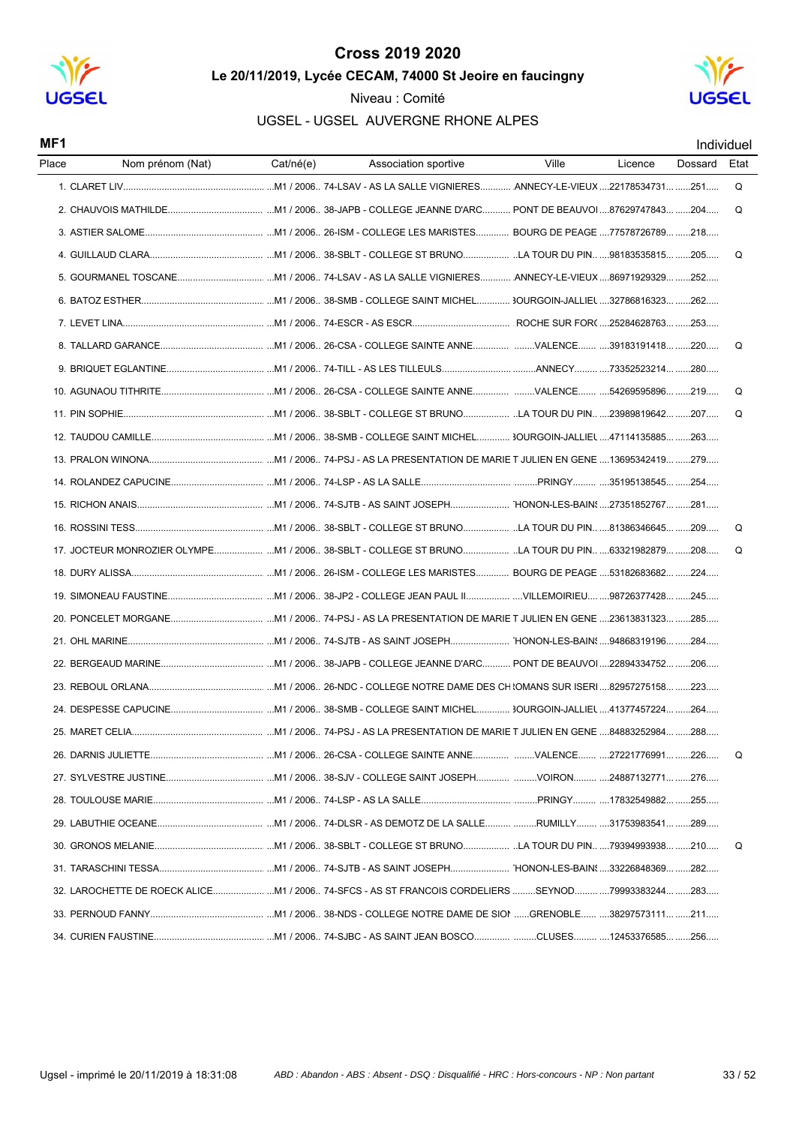



| MF1   |                  |           |                      |       |         |         | Individuel |
|-------|------------------|-----------|----------------------|-------|---------|---------|------------|
| Place | Nom prénom (Nat) | Cat/né(e) | Association sportive | Ville | Licence | Dossard | Etat       |
|       |                  |           |                      |       |         |         | Q          |
|       |                  |           |                      |       |         |         | Q          |
|       |                  |           |                      |       |         |         |            |
|       |                  |           |                      |       |         |         | Q          |
|       |                  |           |                      |       |         |         |            |
|       |                  |           |                      |       |         |         |            |
|       |                  |           |                      |       |         |         |            |
|       |                  |           |                      |       |         |         | Q          |
|       |                  |           |                      |       |         |         |            |
|       |                  |           |                      |       |         |         | Q          |
|       |                  |           |                      |       |         |         | Q          |
|       |                  |           |                      |       |         |         |            |
|       |                  |           |                      |       |         |         |            |
|       |                  |           |                      |       |         |         |            |
|       |                  |           |                      |       |         |         |            |
|       |                  |           |                      |       |         |         | Q          |
|       |                  |           |                      |       |         |         | Q          |
|       |                  |           |                      |       |         |         |            |
|       |                  |           |                      |       |         |         |            |
|       |                  |           |                      |       |         |         |            |
|       |                  |           |                      |       |         |         |            |
|       |                  |           |                      |       |         |         |            |
|       |                  |           |                      |       |         |         |            |
|       |                  |           |                      |       |         |         |            |
|       |                  |           |                      |       |         |         |            |
|       |                  |           |                      |       |         |         | Q          |
|       |                  |           |                      |       |         |         |            |
|       |                  |           |                      |       |         |         |            |
|       |                  |           |                      |       |         |         |            |
|       |                  |           |                      |       |         |         | Q          |
|       |                  |           |                      |       |         |         |            |
|       |                  |           |                      |       |         |         |            |
|       |                  |           |                      |       |         |         |            |
|       |                  |           |                      |       |         |         |            |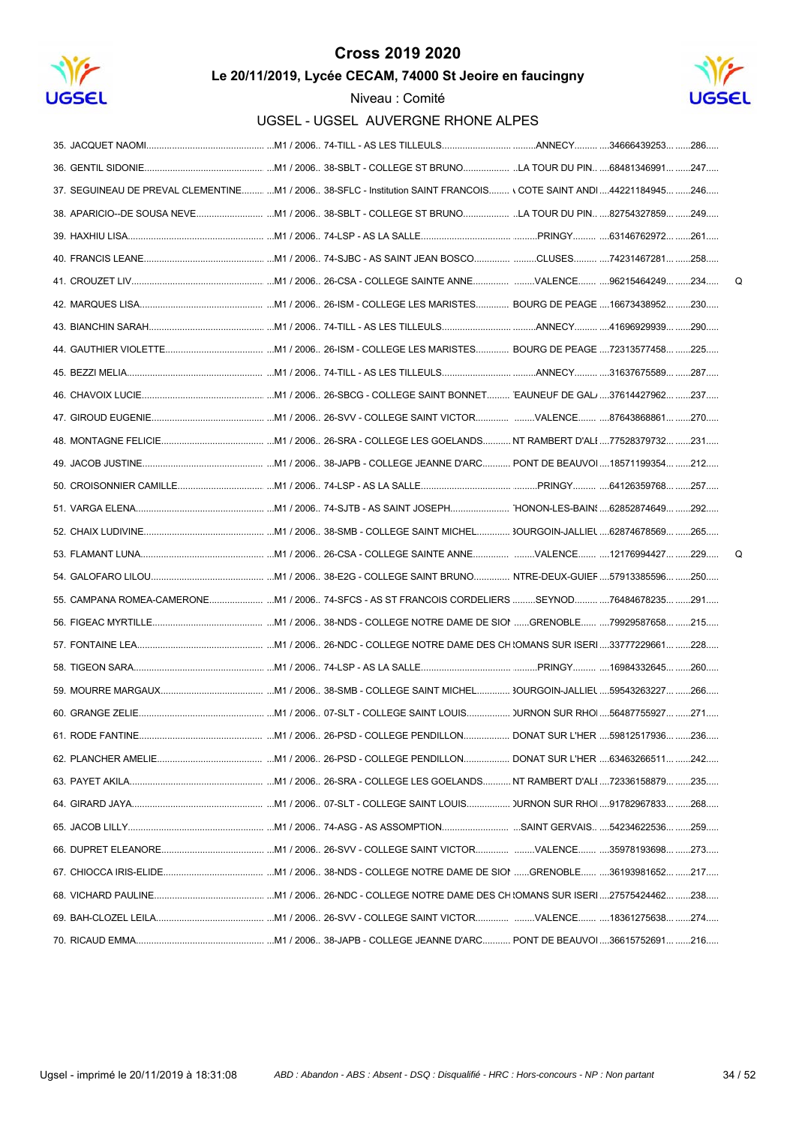

**Le 20/11/2019, Lycée CECAM, 74000 St Jeoire en faucingny**



| 37. SEGUINEAU DE PREVAL CLEMENTINE M1 / 2006 38-SFLC - Institution SAINT FRANCOIS \ COTE SAINT ANDI 44221184945 246 |   |
|---------------------------------------------------------------------------------------------------------------------|---|
|                                                                                                                     |   |
|                                                                                                                     |   |
|                                                                                                                     |   |
|                                                                                                                     | C |
|                                                                                                                     |   |
|                                                                                                                     |   |
|                                                                                                                     |   |
|                                                                                                                     |   |
|                                                                                                                     |   |
|                                                                                                                     |   |
|                                                                                                                     |   |
|                                                                                                                     |   |
|                                                                                                                     |   |
|                                                                                                                     |   |
|                                                                                                                     |   |
|                                                                                                                     | C |
|                                                                                                                     |   |
|                                                                                                                     |   |
|                                                                                                                     |   |
|                                                                                                                     |   |
|                                                                                                                     |   |
|                                                                                                                     |   |
|                                                                                                                     |   |
|                                                                                                                     |   |
|                                                                                                                     |   |
|                                                                                                                     |   |
|                                                                                                                     |   |
|                                                                                                                     |   |
|                                                                                                                     |   |
|                                                                                                                     |   |
|                                                                                                                     |   |
|                                                                                                                     |   |
|                                                                                                                     |   |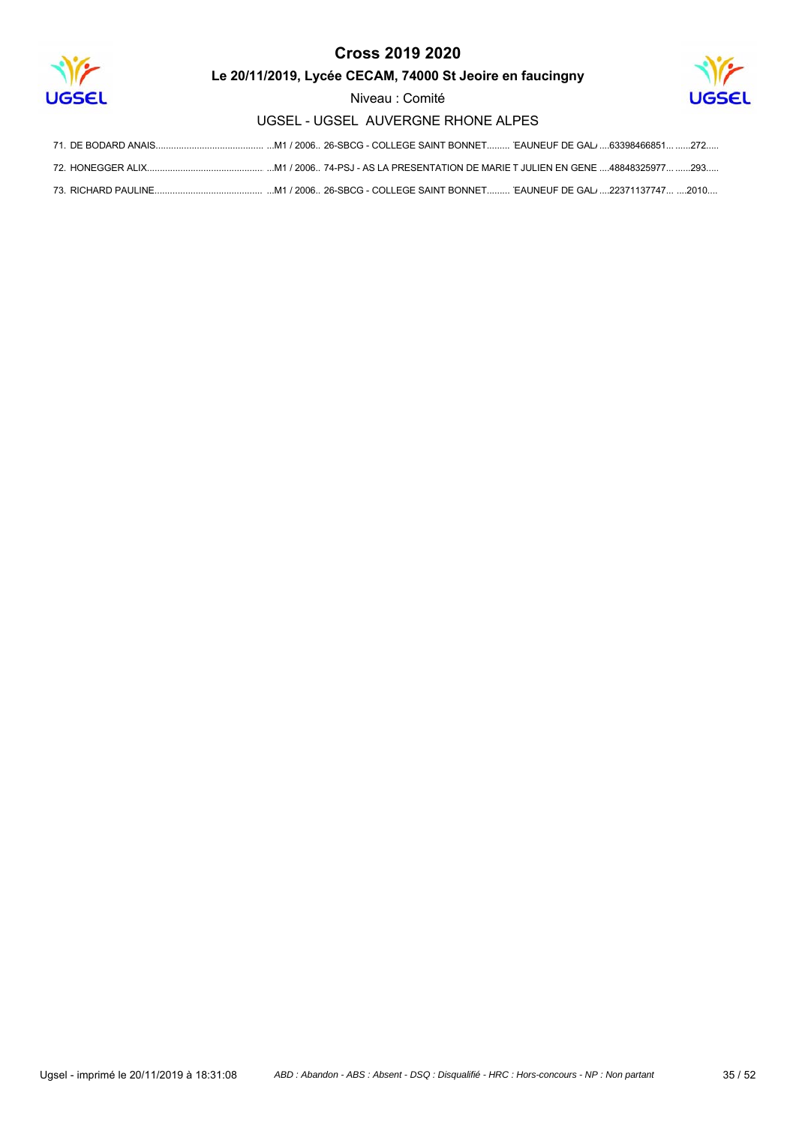

**Le 20/11/2019, Lycée CECAM, 74000 St Jeoire en faucingny**

Niveau : Comité

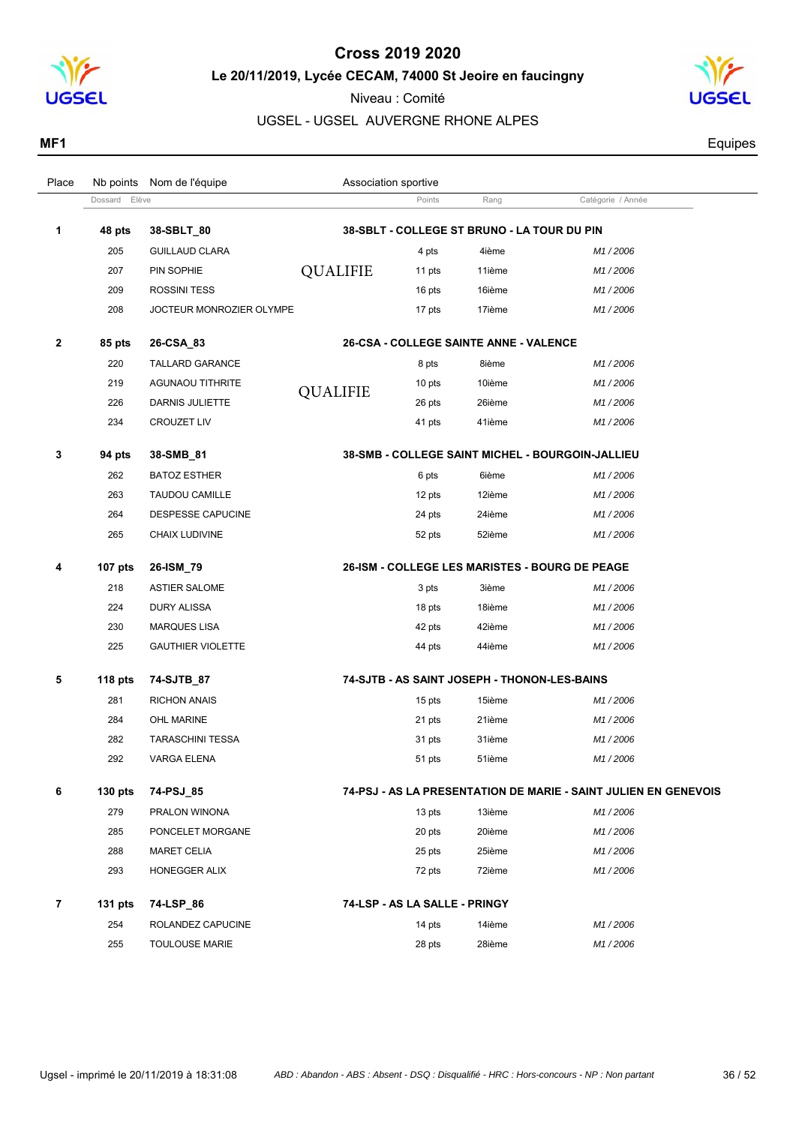

Niveau : Comité



| Place          |                  | Nb points Nom de l'équipe |                 | Association sportive          |                                               |                                                                 |  |
|----------------|------------------|---------------------------|-----------------|-------------------------------|-----------------------------------------------|-----------------------------------------------------------------|--|
|                | Dossard<br>Elève |                           |                 | Points                        | Rang                                          | Catégorie / Année                                               |  |
| 1              | 48 pts           | 38-SBLT_80                |                 |                               | 38-SBLT - COLLEGE ST BRUNO - LA TOUR DU PIN   |                                                                 |  |
|                | 205              | <b>GUILLAUD CLARA</b>     |                 | 4 pts                         | 4ième                                         | M1/2006                                                         |  |
|                | 207              | PIN SOPHIE                | <b>QUALIFIE</b> | 11 pts                        | 11ième                                        | M1/2006                                                         |  |
|                | 209              | ROSSINI TESS              |                 | 16 pts                        | 16ième                                        | M1/2006                                                         |  |
|                | 208              | JOCTEUR MONROZIER OLYMPE  |                 | 17 pts                        | 17ième                                        | M1/2006                                                         |  |
| $\mathbf{2}$   | 85 pts           | 26-CSA_83                 |                 |                               | <b>26-CSA - COLLEGE SAINTE ANNE - VALENCE</b> |                                                                 |  |
|                | 220              | <b>TALLARD GARANCE</b>    |                 | 8 pts                         | 8ième                                         | M1/2006                                                         |  |
|                | 219              | <b>AGUNAOU TITHRITE</b>   |                 | 10 pts                        | 10ième                                        | M1/2006                                                         |  |
|                | 226              | DARNIS JULIETTE           | <b>QUALIFIE</b> | 26 pts                        | 26ième                                        | M1/2006                                                         |  |
|                | 234              | <b>CROUZET LIV</b>        |                 | 41 pts                        | 41ième                                        | M1/2006                                                         |  |
| 3              | 94 pts           | 38-SMB_81                 |                 |                               |                                               | <b>38-SMB - COLLEGE SAINT MICHEL - BOURGOIN-JALLIEU</b>         |  |
|                | 262              | <b>BATOZ ESTHER</b>       |                 | 6 pts                         | 6ième                                         | M1/2006                                                         |  |
|                | 263              | <b>TAUDOU CAMILLE</b>     |                 | 12 pts                        | 12ième                                        | M1/2006                                                         |  |
|                | 264              | DESPESSE CAPUCINE         |                 | 24 pts                        | 24ième                                        | M1/2006                                                         |  |
|                | 265              | CHAIX LUDIVINE            |                 | 52 pts                        | 52ième                                        | M1/2006                                                         |  |
| 4              | $107$ pts        | 26-ISM_79                 |                 |                               |                                               | 26-ISM - COLLEGE LES MARISTES - BOURG DE PEAGE                  |  |
|                | 218              | <b>ASTIER SALOME</b>      |                 | 3 pts                         | 3ième                                         | M1/2006                                                         |  |
|                | 224              | <b>DURY ALISSA</b>        |                 | 18 pts                        | 18ième                                        | M1/2006                                                         |  |
|                | 230              | <b>MARQUES LISA</b>       |                 | 42 pts                        | 42ième                                        | M1/2006                                                         |  |
|                | 225              | <b>GAUTHIER VIOLETTE</b>  |                 | 44 pts                        | 44ième                                        | M1/2006                                                         |  |
| 5              | 118 $pts$        | 74-SJTB_87                |                 |                               | 74-SJTB - AS SAINT JOSEPH - THONON-LES-BAINS  |                                                                 |  |
|                | 281              | <b>RICHON ANAIS</b>       |                 | 15 pts                        | 15ième                                        | M1/2006                                                         |  |
|                | 284              | OHL MARINE                |                 | 21 pts                        | 21ième                                        | M1/2006                                                         |  |
|                | 282              | <b>TARASCHINI TESSA</b>   |                 | 31 pts                        | 31ième                                        | M1/2006                                                         |  |
|                | 292              | VARGA ELENA               |                 | 51 pts                        | 51ième                                        | M1/2006                                                         |  |
| 6              | $130$ pts        | 74-PSJ 85                 |                 |                               |                                               | 74-PSJ - AS LA PRESENTATION DE MARIE - SAINT JULIEN EN GENEVOIS |  |
|                | 279              | PRALON WINONA             |                 | 13 pts                        | 13ième                                        | M1/2006                                                         |  |
|                | 285              | PONCELET MORGANE          |                 | 20 pts                        | 20ième                                        | M1/2006                                                         |  |
|                | 288              | <b>MARET CELIA</b>        |                 | 25 pts                        | 25ième                                        | M1/2006                                                         |  |
|                | 293              | HONEGGER ALIX             |                 | 72 pts                        | 72ième                                        | M1/2006                                                         |  |
| $\overline{7}$ | $131$ pts        | 74-LSP_86                 |                 | 74-LSP - AS LA SALLE - PRINGY |                                               |                                                                 |  |
|                | 254              | ROLANDEZ CAPUCINE         |                 | 14 pts                        | 14ième                                        | M1/2006                                                         |  |
|                | 255              | <b>TOULOUSE MARIE</b>     |                 | 28 pts                        | 28ième                                        | M1/2006                                                         |  |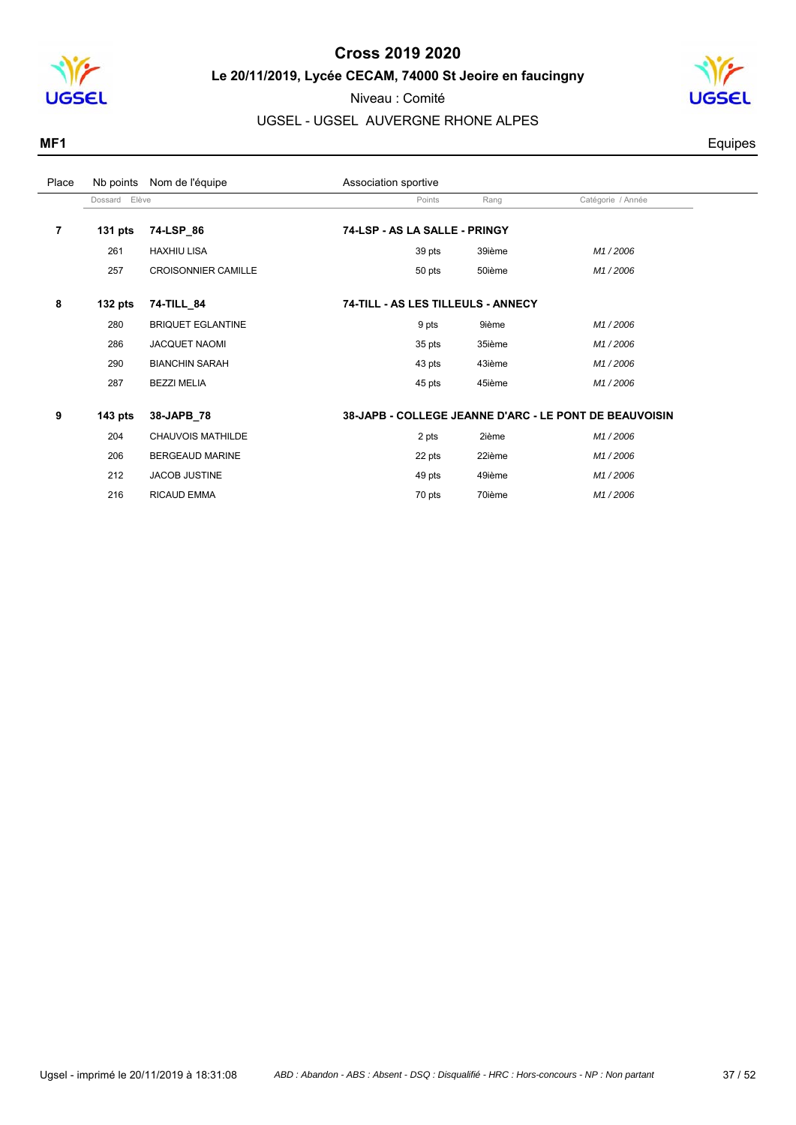

#### Niveau : Comité

## UGSEL - UGSEL AUVERGNE RHONE ALPES



**MF1** Equipes

| Place | Nb points        | Nom de l'équipe            | Association sportive               |        |                                                        |  |
|-------|------------------|----------------------------|------------------------------------|--------|--------------------------------------------------------|--|
|       | Dossard<br>Elève |                            | Points                             | Rang   | Catégorie / Année                                      |  |
| 7     | $131$ pts        | 74-LSP 86                  | 74-LSP - AS LA SALLE - PRINGY      |        |                                                        |  |
|       | 261              | <b>HAXHIU LISA</b>         | 39 pts                             | 39ième | M1/2006                                                |  |
|       | 257              | <b>CROISONNIER CAMILLE</b> | 50 pts                             | 50ième | M1/2006                                                |  |
| 8     | $132$ pts        | 74-TILL 84                 | 74-TILL - AS LES TILLEULS - ANNECY |        |                                                        |  |
|       | 280              | <b>BRIQUET EGLANTINE</b>   | 9 pts                              | 9ième  | M1/2006                                                |  |
|       | 286              | <b>JACQUET NAOMI</b>       | 35 pts                             | 35ième | M1/2006                                                |  |
|       | 290              | <b>BIANCHIN SARAH</b>      | 43 pts                             | 43ième | M1/2006                                                |  |
|       | 287              | <b>BEZZI MELIA</b>         | 45 pts                             | 45ième | M1/2006                                                |  |
|       |                  |                            |                                    |        |                                                        |  |
| 9     | 143 $pts$        | 38-JAPB 78                 |                                    |        | 38-JAPB - COLLEGE JEANNE D'ARC - LE PONT DE BEAUVOISIN |  |
|       | 204              | CHAUVOIS MATHILDE          | 2 pts                              | 2ième  | M1/2006                                                |  |
|       | 206              | <b>BERGEAUD MARINE</b>     | 22 pts                             | 22ième | M1/2006                                                |  |
|       | 212              | JACOB JUSTINE              | 49 pts                             | 49ième | M1/2006                                                |  |
|       | 216              | <b>RICAUD EMMA</b>         | 70 pts                             | 70ième | M1/2006                                                |  |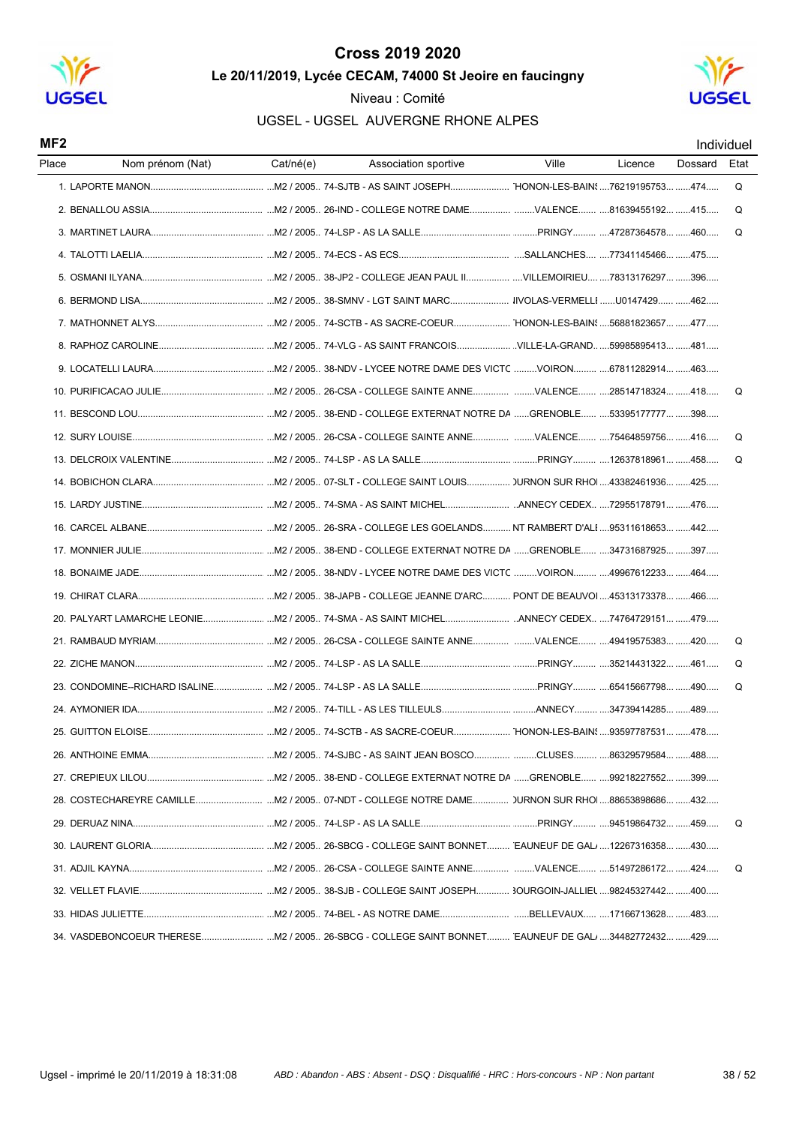



| MF2   |                  |           |                      |       |         |         | Individuel |
|-------|------------------|-----------|----------------------|-------|---------|---------|------------|
| Place | Nom prénom (Nat) | Cat/né(e) | Association sportive | Ville | Licence | Dossard | Etat       |
|       |                  |           |                      |       |         |         | Q          |
|       |                  |           |                      |       |         |         | Q          |
|       |                  |           |                      |       |         |         | Q          |
|       |                  |           |                      |       |         |         |            |
|       |                  |           |                      |       |         |         |            |
|       |                  |           |                      |       |         |         |            |
|       |                  |           |                      |       |         |         |            |
|       |                  |           |                      |       |         |         |            |
|       |                  |           |                      |       |         |         |            |
|       |                  |           |                      |       |         |         | Q          |
|       |                  |           |                      |       |         |         |            |
|       |                  |           |                      |       |         |         | Q          |
|       |                  |           |                      |       |         |         | Q          |
|       |                  |           |                      |       |         |         |            |
|       |                  |           |                      |       |         |         |            |
|       |                  |           |                      |       |         |         |            |
|       |                  |           |                      |       |         |         |            |
|       |                  |           |                      |       |         |         |            |
|       |                  |           |                      |       |         |         |            |
|       |                  |           |                      |       |         |         |            |
|       |                  |           |                      |       |         |         | Q          |
|       |                  |           |                      |       |         |         | Q          |
|       |                  |           |                      |       |         |         | Q          |
|       |                  |           |                      |       |         |         |            |
|       |                  |           |                      |       |         |         |            |
|       |                  |           |                      |       |         |         |            |
|       |                  |           |                      |       |         |         |            |
|       |                  |           |                      |       |         |         |            |
|       |                  |           |                      |       |         |         | Q          |
|       |                  |           |                      |       |         |         |            |
|       |                  |           |                      |       |         |         | Q          |
|       |                  |           |                      |       |         |         |            |
|       |                  |           |                      |       |         |         |            |
|       |                  |           |                      |       |         |         |            |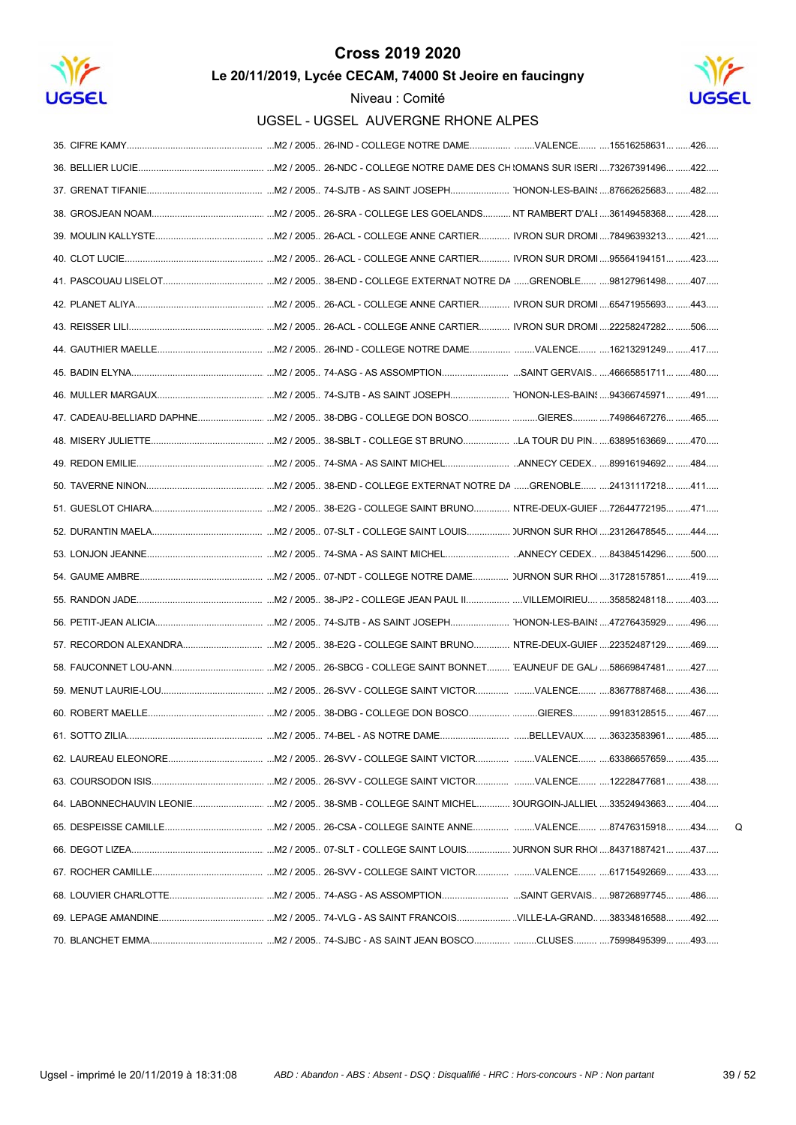

**Le 20/11/2019, Lycée CECAM, 74000 St Jeoire en faucingny**



| C. |
|----|
|    |
|    |
|    |
|    |
|    |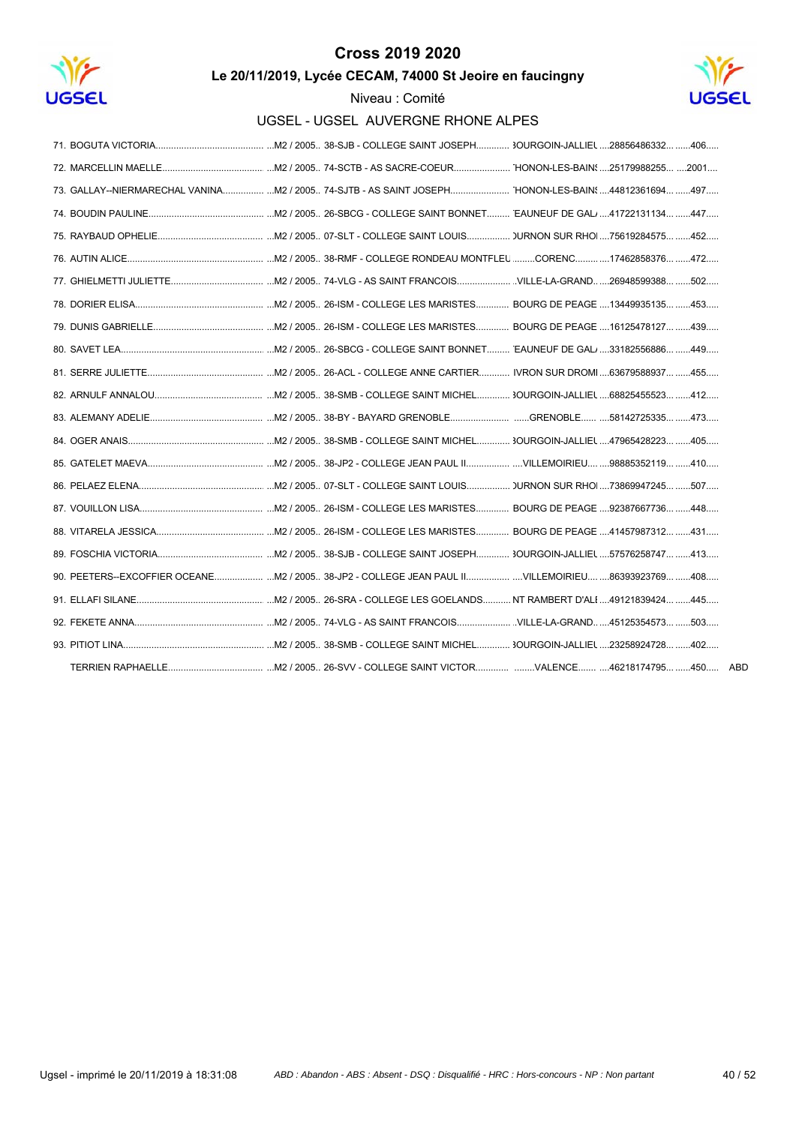

**Le 20/11/2019, Lycée CECAM, 74000 St Jeoire en faucingny**



# Niveau : Comité

| UGSEL - UGSEL AUVERGNE RHONE ALPES |  |
|------------------------------------|--|
|------------------------------------|--|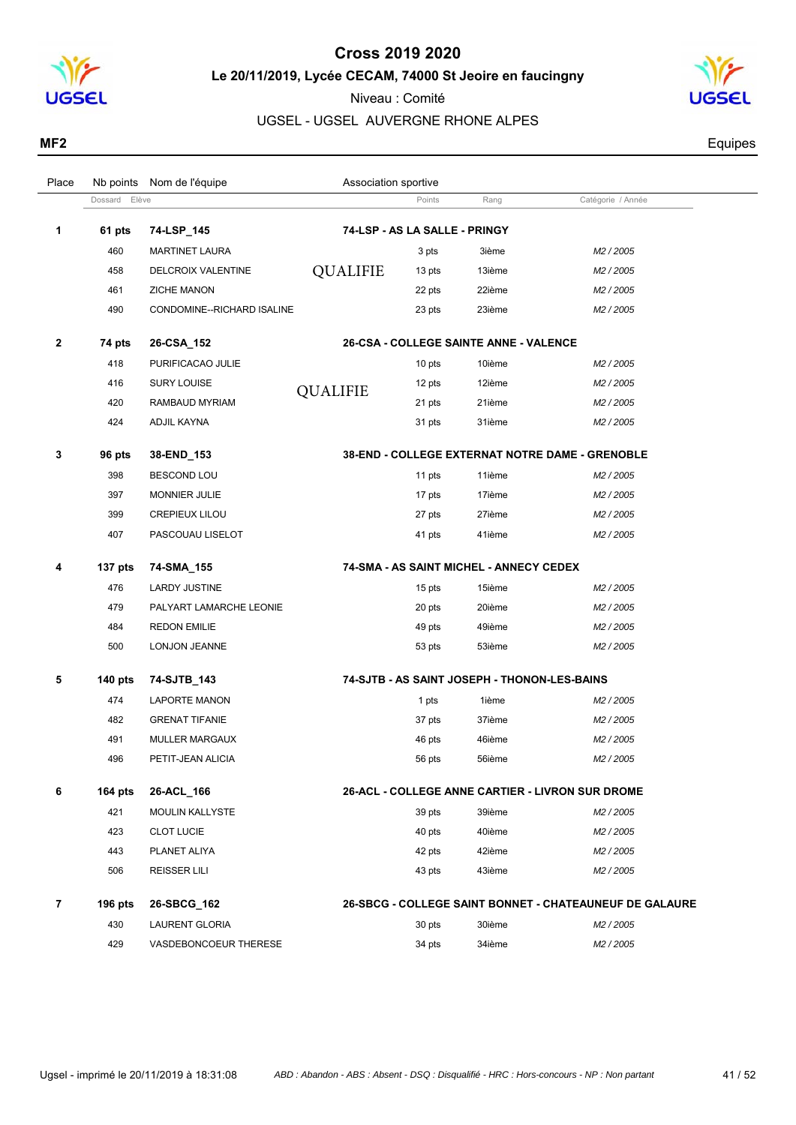

Niveau : Comité



| Place          | Nb points        | Nom de l'équipe            | Association sportive |                               |                                               |                                                         |  |
|----------------|------------------|----------------------------|----------------------|-------------------------------|-----------------------------------------------|---------------------------------------------------------|--|
|                | Dossard<br>Elève |                            |                      | Points                        | Rang                                          | Catégorie / Année                                       |  |
| 1              | 61 pts           | 74-LSP_145                 |                      | 74-LSP - AS LA SALLE - PRINGY |                                               |                                                         |  |
|                | 460              | <b>MARTINET LAURA</b>      |                      | 3 pts                         | 3ième                                         | M <sub>2</sub> / 2005                                   |  |
|                | 458              | DELCROIX VALENTINE         | <b>QUALIFIE</b>      | 13 pts                        | 13ième                                        | M <sub>2</sub> / 2005                                   |  |
|                | 461              | ZICHE MANON                |                      | 22 pts                        | 22ième                                        | M <sub>2</sub> / 2005                                   |  |
|                | 490              | CONDOMINE--RICHARD ISALINE |                      | 23 pts                        | 23ième                                        | M <sub>2</sub> / 2005                                   |  |
| $\mathbf{2}$   | 74 pts           | 26-CSA 152                 |                      |                               | <b>26-CSA - COLLEGE SAINTE ANNE - VALENCE</b> |                                                         |  |
|                | 418              | PURIFICACAO JULIE          |                      | 10 pts                        | 10ième                                        | M <sub>2</sub> / 2005                                   |  |
|                | 416              | <b>SURY LOUISE</b>         | <b>QUALIFIE</b>      | 12 pts                        | 12ième                                        | M <sub>2</sub> / 2005                                   |  |
|                | 420              | RAMBAUD MYRIAM             |                      | 21 pts                        | 21ième                                        | M <sub>2</sub> / 2005                                   |  |
|                | 424              | ADJIL KAYNA                |                      | 31 pts                        | 31ième                                        | M <sub>2</sub> / 2005                                   |  |
| 3              | 96 pts           | 38-END 153                 |                      |                               |                                               | <b>38-END - COLLEGE EXTERNAT NOTRE DAME - GRENOBLE</b>  |  |
|                | 398              | BESCOND LOU                |                      | 11 pts                        | 11ième                                        | M <sub>2</sub> / 2005                                   |  |
|                | 397              | MONNIER JULIE              |                      | 17 pts                        | 17ième                                        | M <sub>2</sub> / 2005                                   |  |
|                | 399              | <b>CREPIEUX LILOU</b>      |                      | 27 pts                        | 27ième                                        | M <sub>2</sub> / 2005                                   |  |
|                | 407              | PASCOUAU LISELOT           |                      | 41 pts                        | 41ième                                        | M <sub>2</sub> / 2005                                   |  |
| 4              | 137 pts          | 74-SMA_155                 |                      |                               | 74-SMA - AS SAINT MICHEL - ANNECY CEDEX       |                                                         |  |
|                | 476              | <b>LARDY JUSTINE</b>       |                      | 15 pts                        | 15ième                                        | M <sub>2</sub> / 2005                                   |  |
|                | 479              | PALYART LAMARCHE LEONIE    |                      | 20 pts                        | 20ième                                        | M <sub>2</sub> / 2005                                   |  |
|                | 484              | <b>REDON EMILIE</b>        |                      | 49 pts                        | 49ième                                        | M <sub>2</sub> / 2005                                   |  |
|                | 500              | LONJON JEANNE              |                      | 53 pts                        | 53ième                                        | M <sub>2</sub> / 2005                                   |  |
| 5              | <b>140 pts</b>   | 74-SJTB_143                |                      |                               | 74-SJTB - AS SAINT JOSEPH - THONON-LES-BAINS  |                                                         |  |
|                | 474              | <b>LAPORTE MANON</b>       |                      | 1 pts                         | 1ième                                         | M <sub>2</sub> / 2005                                   |  |
|                | 482              | <b>GRENAT TIFANIE</b>      |                      | 37 pts                        | 37ième                                        | M <sub>2</sub> / 2005                                   |  |
|                | 491              | <b>MULLER MARGAUX</b>      |                      | 46 pts                        | 46ième                                        | M <sub>2</sub> / 2005                                   |  |
|                | 496              | PETIT-JEAN ALICIA          |                      | 56 pts                        | 56ième                                        | M <sub>2</sub> / 2005                                   |  |
| 6              | <b>164 pts</b>   | 26-ACL_166                 |                      |                               |                                               | 26-ACL - COLLEGE ANNE CARTIER - LIVRON SUR DROME        |  |
|                | 421              | MOULIN KALLYSTE            |                      | 39 pts                        | 39ième                                        | M <sub>2</sub> / 2005                                   |  |
|                | 423              | <b>CLOT LUCIE</b>          |                      | 40 pts                        | 40ième                                        | M <sub>2</sub> / 2005                                   |  |
|                | 443              | PLANET ALIYA               |                      | 42 pts                        | 42ième                                        | M <sub>2</sub> / 2005                                   |  |
|                | 506              | REISSER LILI               |                      | 43 pts                        | 43ième                                        | M <sub>2</sub> / 2005                                   |  |
| $\overline{7}$ | <b>196 pts</b>   | 26-SBCG_162                |                      |                               |                                               | 26-SBCG - COLLEGE SAINT BONNET - CHATEAUNEUF DE GALAURE |  |
|                | 430              | <b>LAURENT GLORIA</b>      |                      | 30 pts                        | 30ième                                        | M <sub>2</sub> / 2005                                   |  |
|                | 429              | VASDEBONCOEUR THERESE      |                      | 34 pts                        | 34ième                                        | M2 / 2005                                               |  |
|                |                  |                            |                      |                               |                                               |                                                         |  |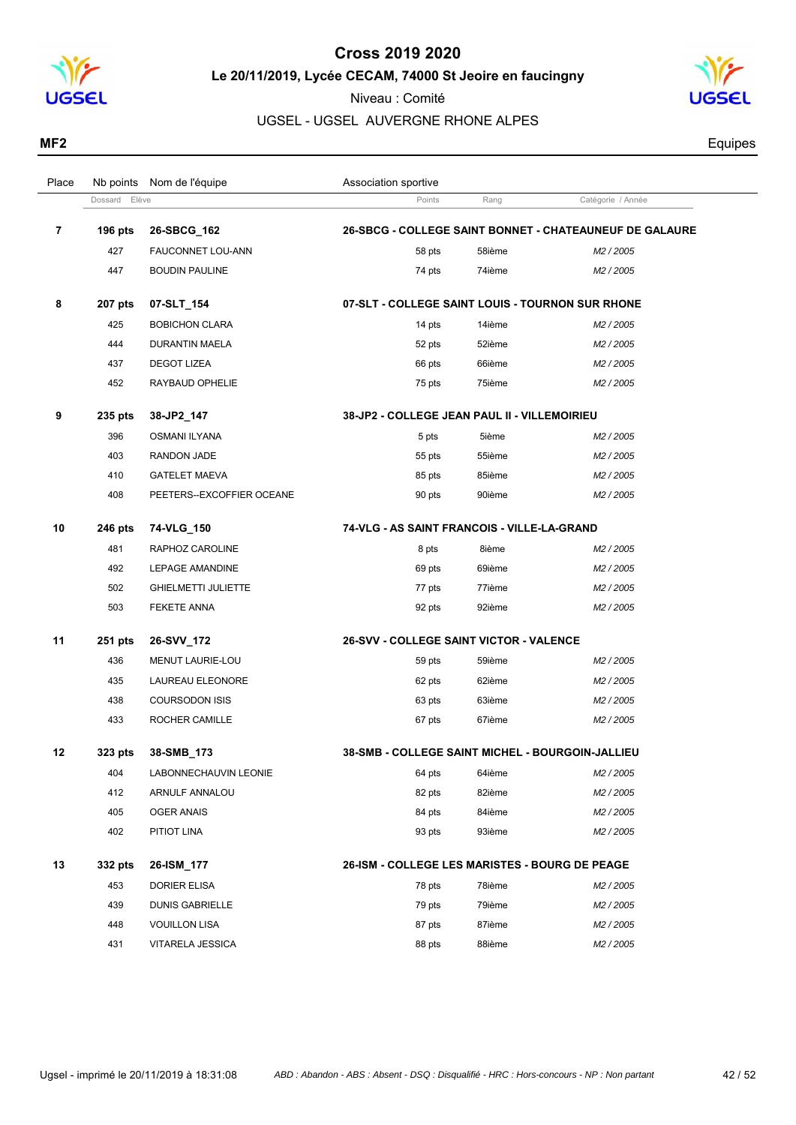

Niveau : Comité

UGSEL - UGSEL AUVERGNE RHONE ALPES

Dossard Elève **Catégorie / Année Points** Rang Catégorie / Année Points Rang Catégorie / Année

Place Nb points Nom de l'équipe  $\blacksquare$  Association sportive



**MF2** Equipes

| 196 pts | 26-SBCG_162                | 26-SBCG - COLLEGE SAINT BONNET - CHATEAUNEUF DE GALAURE |
|---------|----------------------------|---------------------------------------------------------|
| 427     | FAUCONNET LOU-ANN          | 58ième<br>58 pts<br>M <sub>2</sub> / 2005               |
| 447     | <b>BOUDIN PAULINE</b>      | 74 pts<br>M <sub>2</sub> / 2005<br>74ième               |
| 207 pts | 07-SLT 154                 | 07-SLT - COLLEGE SAINT LOUIS - TOURNON SUR RHONE        |
| 425     | <b>BOBICHON CLARA</b>      | 14 pts<br>14ième<br>M <sub>2</sub> / 2005               |
| 444     | <b>DURANTIN MAELA</b>      | 52 pts<br>52ième<br>M <sub>2</sub> / 2005               |
| 437     | <b>DEGOT LIZEA</b>         | 66 pts<br>66ième<br>M <sub>2</sub> / 2005               |
| 452     | RAYBAUD OPHELIE            | 75 pts<br>75ième<br>M <sub>2</sub> / 2005               |
| 235 pts | 38-JP2_147                 | 38-JP2 - COLLEGE JEAN PAUL II - VILLEMOIRIEU            |
| 396     | <b>OSMANI ILYANA</b>       | 5 pts<br>5ième<br>M <sub>2</sub> / 2005                 |
| 403     | RANDON JADE                | 55ième<br>55 pts<br>M <sub>2</sub> / 2005               |
| 410     | <b>GATELET MAEVA</b>       | 85 pts<br>85ième<br>M <sub>2</sub> / 2005               |
| 408     | PEETERS--EXCOFFIER OCEANE  | 90 pts<br>90ième<br>M <sub>2</sub> / 2005               |
| 246 pts | 74-VLG_150                 | 74-VLG - AS SAINT FRANCOIS - VILLE-LA-GRAND             |
| 481     | RAPHOZ CAROLINE            | 8 pts<br>8ième<br>M <sub>2</sub> / 2005                 |
| 492     | LEPAGE AMANDINE            | 69 pts<br>69ième<br>M <sub>2</sub> / 2005               |
| 502     | <b>GHIELMETTI JULIETTE</b> | 77 pts<br>77ième<br>M <sub>2</sub> / 2005               |
| 503     | <b>FEKETE ANNA</b>         | 92 pts<br>92ième<br>M <sub>2</sub> / 2005               |
| 251 pts | 26-SVV_172                 | <b>26-SVV - COLLEGE SAINT VICTOR - VALENCE</b>          |
| 436     | MENUT LAURIE-LOU           | 59ième<br>59 pts<br>M <sub>2</sub> / 2005               |
| 435     | LAUREAU ELEONORE           | 62 pts<br>62ième<br>M <sub>2</sub> / 2005               |
| 438     | <b>COURSODON ISIS</b>      | 63 pts<br>63ième<br>M <sub>2</sub> / 2005               |
| 433     | ROCHER CAMILLE             | 67 pts<br>67ième<br>M <sub>2</sub> / 2005               |
| 323 pts | 38-SMB 173                 | 38-SMB - COLLEGE SAINT MICHEL - BOURGOIN-JALLIEU        |
| 404     | LABONNECHAUVIN LEONIE      | 64 pts<br>64ième<br>M <sub>2</sub> / 2005               |
| 412     | ARNULF ANNALOU             | 82 pts<br>82ième<br>M <sub>2</sub> / 2005               |
| 405     | <b>OGER ANAIS</b>          | 84 pts<br>84ième<br>M <sub>2</sub> / 2005               |
| 402     | PITIOT LINA                | 93 pts<br>93ième<br>M <sub>2</sub> / 2005               |
| 332 pts | 26-ISM_177                 | <b>26-ISM - COLLEGE LES MARISTES - BOURG DE PEAGE</b>   |
|         |                            |                                                         |

| 453 | DORIER ELISA           | 78 pts | 78ième | M <sub>2</sub> / 2005 |
|-----|------------------------|--------|--------|-----------------------|
| 439 | <b>DUNIS GABRIELLE</b> | 79 pts | 79ième | M <sub>2</sub> / 2005 |
| 448 | <b>VOUILLON LISA</b>   | 87 pts | 87ième | M <sub>2</sub> / 2005 |
| 431 | VITARELA JESSICA       | 88 pts | 88ième | M <sub>2</sub> / 2005 |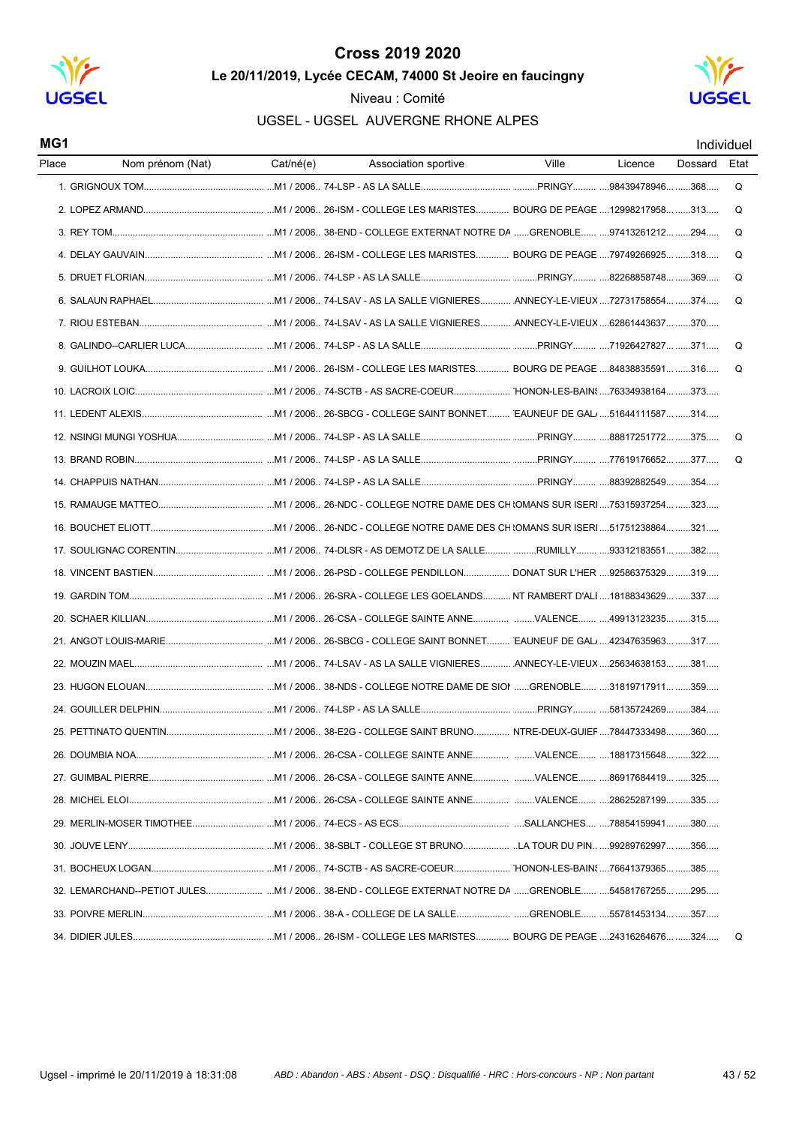



| MG1   |                  |           |                      |       |         |         | Individuel |
|-------|------------------|-----------|----------------------|-------|---------|---------|------------|
| Place | Nom prénom (Nat) | Cat/né(e) | Association sportive | Ville | Licence | Dossard | Etat       |
|       |                  |           |                      |       |         |         | Q          |
|       |                  |           |                      |       |         |         | Q          |
|       |                  |           |                      |       |         |         | Q          |
|       |                  |           |                      |       |         |         | Q          |
|       |                  |           |                      |       |         |         | Q          |
|       |                  |           |                      |       |         |         | Q          |
|       |                  |           |                      |       |         |         |            |
|       |                  |           |                      |       |         |         | Q          |
|       |                  |           |                      |       |         |         | Q          |
|       |                  |           |                      |       |         |         |            |
|       |                  |           |                      |       |         |         |            |
|       |                  |           |                      |       |         |         | Q          |
|       |                  |           |                      |       |         |         | Q          |
|       |                  |           |                      |       |         |         |            |
|       |                  |           |                      |       |         |         |            |
|       |                  |           |                      |       |         |         |            |
|       |                  |           |                      |       |         |         |            |
|       |                  |           |                      |       |         |         |            |
|       |                  |           |                      |       |         |         |            |
|       |                  |           |                      |       |         |         |            |
|       |                  |           |                      |       |         |         |            |
|       |                  |           |                      |       |         |         |            |
|       |                  |           |                      |       |         |         |            |
|       |                  |           |                      |       |         |         |            |
|       |                  |           |                      |       |         |         |            |
|       |                  |           |                      |       |         |         |            |
|       |                  |           |                      |       |         |         |            |
|       |                  |           |                      |       |         |         |            |
|       |                  |           |                      |       |         |         |            |
|       |                  |           |                      |       |         |         |            |
|       |                  |           |                      |       |         |         |            |
|       |                  |           |                      |       |         |         |            |
|       |                  |           |                      |       |         |         |            |
|       |                  |           |                      |       |         |         | Q          |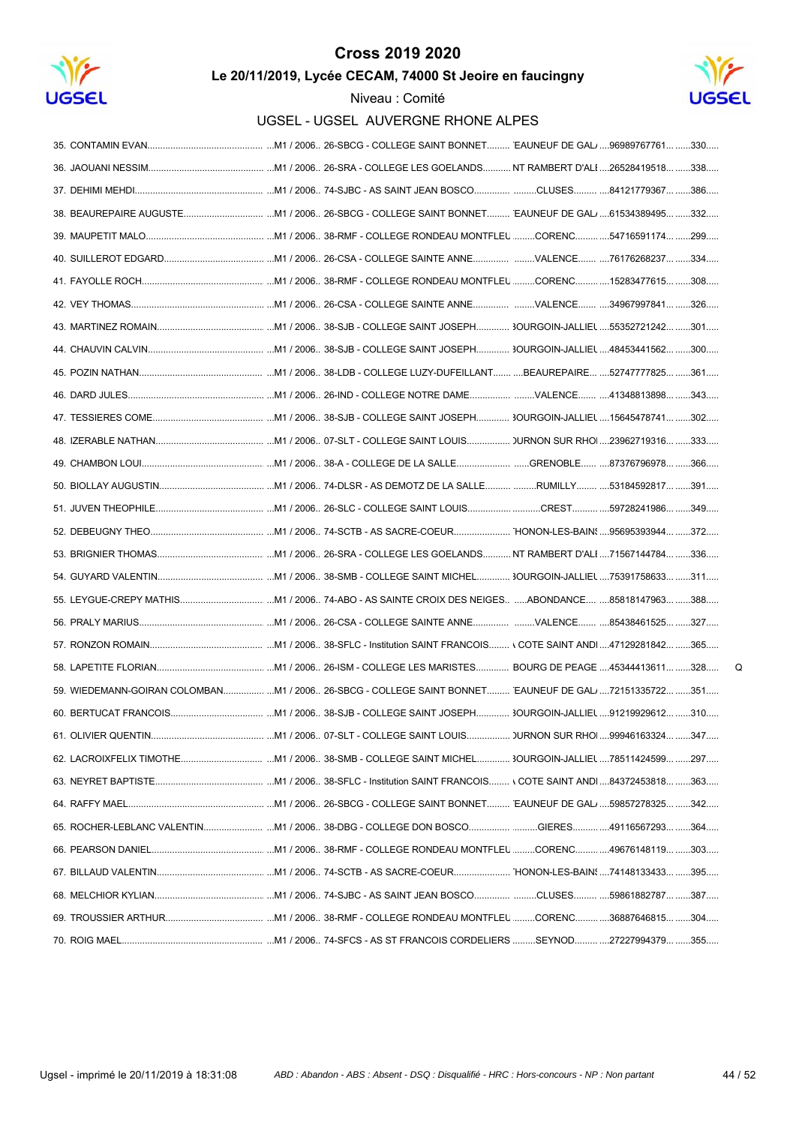

**Le 20/11/2019, Lycée CECAM, 74000 St Jeoire en faucingny**





| C.                                                                                                     |
|--------------------------------------------------------------------------------------------------------|
| 59. WIEDEMANN-GOIRAN COLOMBAN  M1 / 2006 26-SBCG - COLLEGE SAINT BONNET EAUNEUF DE GAL 72151335722 351 |
|                                                                                                        |
|                                                                                                        |
|                                                                                                        |
|                                                                                                        |
|                                                                                                        |
|                                                                                                        |
|                                                                                                        |
|                                                                                                        |
|                                                                                                        |
|                                                                                                        |
|                                                                                                        |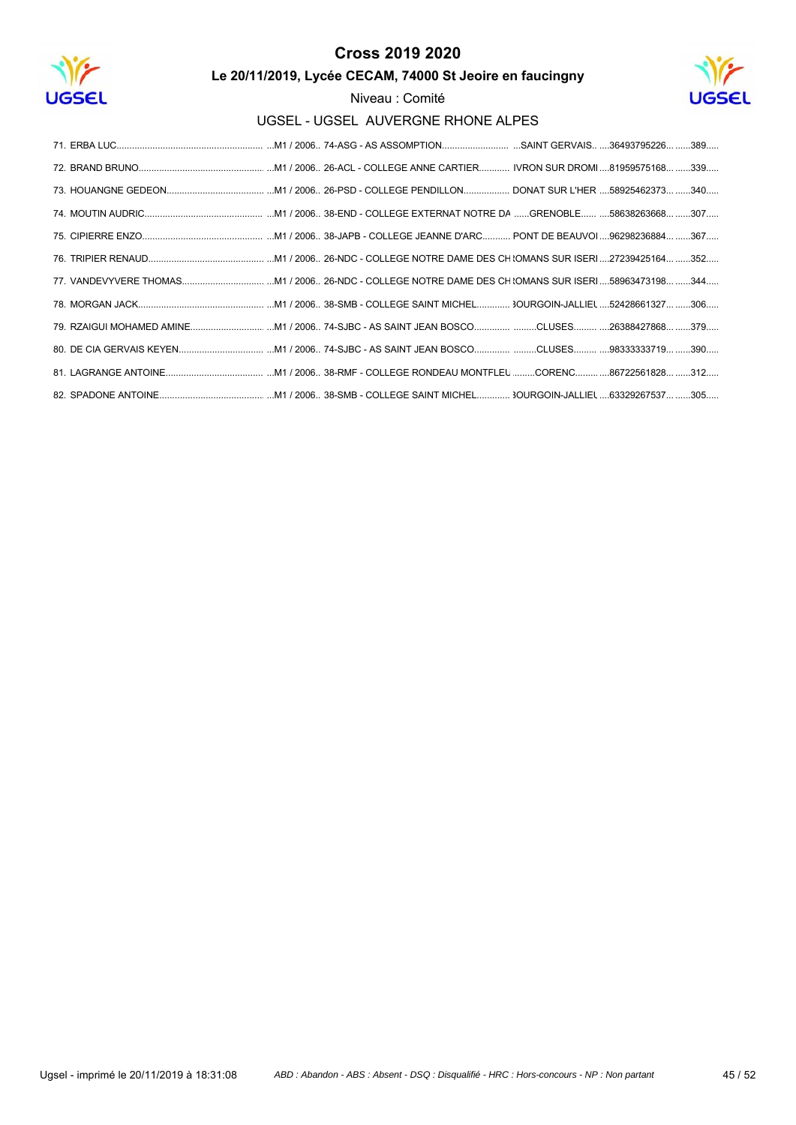

**Le 20/11/2019, Lycée CECAM, 74000 St Jeoire en faucingny**



# Niveau : Comité

| UGSEL - UGSEL AUVERGNE RHONE ALPES |  |
|------------------------------------|--|
|------------------------------------|--|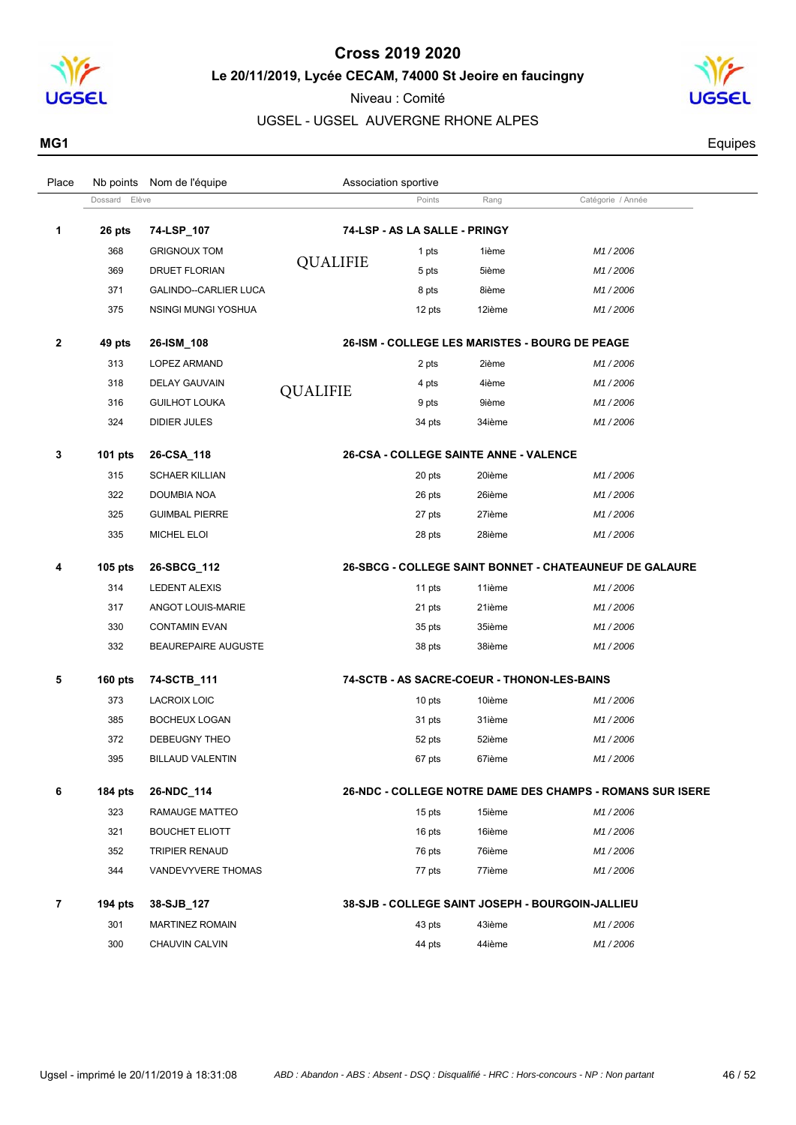

#### Niveau : Comité



| MG1 | Equipes |
|-----|---------|
|     |         |
| ___ |         |

| Elève<br>Dossard<br>Points<br>Rang<br>Catégorie / Année<br>74-LSP - AS LA SALLE - PRINGY<br>1<br>26 pts<br>74-LSP_107<br>368<br>M1/2006<br><b>GRIGNOUX TOM</b><br>1 pts<br>1ième<br><b>QUALIFIE</b><br>369<br>5 pts<br><b>DRUET FLORIAN</b><br>5ième<br>M1/2006<br>371<br>GALINDO--CARLIER LUCA<br>8 pts<br>8ième<br>M1/2006<br>375<br>NSINGI MUNGI YOSHUA<br>12 pts<br>12ième<br>M1/2006<br>26-ISM - COLLEGE LES MARISTES - BOURG DE PEAGE<br>$\mathbf{2}$<br>49 pts<br>26-ISM_108<br>313<br><b>LOPEZ ARMAND</b><br>2 pts<br>2ième<br>M1/2006<br>318<br>4ième<br>M1/2006<br><b>DELAY GAUVAIN</b><br>4 pts<br><b>QUALIFIE</b><br>316<br><b>GUILHOT LOUKA</b><br>9 pts<br>9ième<br>M1/2006<br>324<br><b>DIDIER JULES</b><br>34 pts<br>34ième<br>M1/2006<br>3<br><b>26-CSA - COLLEGE SAINTE ANNE - VALENCE</b><br><b>101 pts</b><br>26-CSA 118<br>315<br>20ième<br><b>SCHAER KILLIAN</b><br>20 pts<br>M1/2006<br>322<br>DOUMBIA NOA<br>26 pts<br>26ième<br>M1/2006<br>325<br><b>GUIMBAL PIERRE</b><br>27 pts<br>27ième<br>M1/2006<br>335<br>MICHEL ELOI<br>28 pts<br>28ième<br>M1/2006<br>26-SBCG - COLLEGE SAINT BONNET - CHATEAUNEUF DE GALAURE<br>4<br>$105$ pts<br>26-SBCG_112<br>314<br><b>LEDENT ALEXIS</b><br>11 pts<br>11ième<br>M1/2006<br>317<br>21 pts<br>21ième<br>M1/2006<br>ANGOT LOUIS-MARIE<br>330<br><b>CONTAMIN EVAN</b><br>35 pts<br>35ième<br>M1/2006 |  |
|-------------------------------------------------------------------------------------------------------------------------------------------------------------------------------------------------------------------------------------------------------------------------------------------------------------------------------------------------------------------------------------------------------------------------------------------------------------------------------------------------------------------------------------------------------------------------------------------------------------------------------------------------------------------------------------------------------------------------------------------------------------------------------------------------------------------------------------------------------------------------------------------------------------------------------------------------------------------------------------------------------------------------------------------------------------------------------------------------------------------------------------------------------------------------------------------------------------------------------------------------------------------------------------------------------------------------------------------------------------------------|--|
|                                                                                                                                                                                                                                                                                                                                                                                                                                                                                                                                                                                                                                                                                                                                                                                                                                                                                                                                                                                                                                                                                                                                                                                                                                                                                                                                                                         |  |
|                                                                                                                                                                                                                                                                                                                                                                                                                                                                                                                                                                                                                                                                                                                                                                                                                                                                                                                                                                                                                                                                                                                                                                                                                                                                                                                                                                         |  |
|                                                                                                                                                                                                                                                                                                                                                                                                                                                                                                                                                                                                                                                                                                                                                                                                                                                                                                                                                                                                                                                                                                                                                                                                                                                                                                                                                                         |  |
|                                                                                                                                                                                                                                                                                                                                                                                                                                                                                                                                                                                                                                                                                                                                                                                                                                                                                                                                                                                                                                                                                                                                                                                                                                                                                                                                                                         |  |
|                                                                                                                                                                                                                                                                                                                                                                                                                                                                                                                                                                                                                                                                                                                                                                                                                                                                                                                                                                                                                                                                                                                                                                                                                                                                                                                                                                         |  |
|                                                                                                                                                                                                                                                                                                                                                                                                                                                                                                                                                                                                                                                                                                                                                                                                                                                                                                                                                                                                                                                                                                                                                                                                                                                                                                                                                                         |  |
|                                                                                                                                                                                                                                                                                                                                                                                                                                                                                                                                                                                                                                                                                                                                                                                                                                                                                                                                                                                                                                                                                                                                                                                                                                                                                                                                                                         |  |
|                                                                                                                                                                                                                                                                                                                                                                                                                                                                                                                                                                                                                                                                                                                                                                                                                                                                                                                                                                                                                                                                                                                                                                                                                                                                                                                                                                         |  |
|                                                                                                                                                                                                                                                                                                                                                                                                                                                                                                                                                                                                                                                                                                                                                                                                                                                                                                                                                                                                                                                                                                                                                                                                                                                                                                                                                                         |  |
|                                                                                                                                                                                                                                                                                                                                                                                                                                                                                                                                                                                                                                                                                                                                                                                                                                                                                                                                                                                                                                                                                                                                                                                                                                                                                                                                                                         |  |
|                                                                                                                                                                                                                                                                                                                                                                                                                                                                                                                                                                                                                                                                                                                                                                                                                                                                                                                                                                                                                                                                                                                                                                                                                                                                                                                                                                         |  |
|                                                                                                                                                                                                                                                                                                                                                                                                                                                                                                                                                                                                                                                                                                                                                                                                                                                                                                                                                                                                                                                                                                                                                                                                                                                                                                                                                                         |  |
|                                                                                                                                                                                                                                                                                                                                                                                                                                                                                                                                                                                                                                                                                                                                                                                                                                                                                                                                                                                                                                                                                                                                                                                                                                                                                                                                                                         |  |
|                                                                                                                                                                                                                                                                                                                                                                                                                                                                                                                                                                                                                                                                                                                                                                                                                                                                                                                                                                                                                                                                                                                                                                                                                                                                                                                                                                         |  |
|                                                                                                                                                                                                                                                                                                                                                                                                                                                                                                                                                                                                                                                                                                                                                                                                                                                                                                                                                                                                                                                                                                                                                                                                                                                                                                                                                                         |  |
|                                                                                                                                                                                                                                                                                                                                                                                                                                                                                                                                                                                                                                                                                                                                                                                                                                                                                                                                                                                                                                                                                                                                                                                                                                                                                                                                                                         |  |
|                                                                                                                                                                                                                                                                                                                                                                                                                                                                                                                                                                                                                                                                                                                                                                                                                                                                                                                                                                                                                                                                                                                                                                                                                                                                                                                                                                         |  |
|                                                                                                                                                                                                                                                                                                                                                                                                                                                                                                                                                                                                                                                                                                                                                                                                                                                                                                                                                                                                                                                                                                                                                                                                                                                                                                                                                                         |  |
|                                                                                                                                                                                                                                                                                                                                                                                                                                                                                                                                                                                                                                                                                                                                                                                                                                                                                                                                                                                                                                                                                                                                                                                                                                                                                                                                                                         |  |
|                                                                                                                                                                                                                                                                                                                                                                                                                                                                                                                                                                                                                                                                                                                                                                                                                                                                                                                                                                                                                                                                                                                                                                                                                                                                                                                                                                         |  |
| 332<br><b>BEAUREPAIRE AUGUSTE</b><br>38 pts<br>38ième<br>M1/2006                                                                                                                                                                                                                                                                                                                                                                                                                                                                                                                                                                                                                                                                                                                                                                                                                                                                                                                                                                                                                                                                                                                                                                                                                                                                                                        |  |
| 5<br>74-SCTB - AS SACRE-COEUR - THONON-LES-BAINS<br><b>160 pts</b><br>74-SCTB_111                                                                                                                                                                                                                                                                                                                                                                                                                                                                                                                                                                                                                                                                                                                                                                                                                                                                                                                                                                                                                                                                                                                                                                                                                                                                                       |  |
| 373<br>10ième<br><b>LACROIX LOIC</b><br>10 pts<br>M1/2006                                                                                                                                                                                                                                                                                                                                                                                                                                                                                                                                                                                                                                                                                                                                                                                                                                                                                                                                                                                                                                                                                                                                                                                                                                                                                                               |  |
| 385<br>31 pts<br>31ième<br>M1/2006<br><b>BOCHEUX LOGAN</b>                                                                                                                                                                                                                                                                                                                                                                                                                                                                                                                                                                                                                                                                                                                                                                                                                                                                                                                                                                                                                                                                                                                                                                                                                                                                                                              |  |
| 372<br>DEBEUGNY THEO<br>52 pts<br>52ième<br>M1/2006                                                                                                                                                                                                                                                                                                                                                                                                                                                                                                                                                                                                                                                                                                                                                                                                                                                                                                                                                                                                                                                                                                                                                                                                                                                                                                                     |  |
| 395<br><b>BILLAUD VALENTIN</b><br>67 pts<br>67ième<br>M1/2006                                                                                                                                                                                                                                                                                                                                                                                                                                                                                                                                                                                                                                                                                                                                                                                                                                                                                                                                                                                                                                                                                                                                                                                                                                                                                                           |  |
| 26-NDC - COLLEGE NOTRE DAME DES CHAMPS - ROMANS SUR ISERE<br>6<br><b>184 pts</b><br>26-NDC 114                                                                                                                                                                                                                                                                                                                                                                                                                                                                                                                                                                                                                                                                                                                                                                                                                                                                                                                                                                                                                                                                                                                                                                                                                                                                          |  |
| 323<br>RAMAUGE MATTEO<br>15 pts<br>15ième<br>M1/2006                                                                                                                                                                                                                                                                                                                                                                                                                                                                                                                                                                                                                                                                                                                                                                                                                                                                                                                                                                                                                                                                                                                                                                                                                                                                                                                    |  |
| 321<br><b>BOUCHET ELIOTT</b><br>16ième<br>M1/2006<br>16 pts                                                                                                                                                                                                                                                                                                                                                                                                                                                                                                                                                                                                                                                                                                                                                                                                                                                                                                                                                                                                                                                                                                                                                                                                                                                                                                             |  |
| 352<br><b>TRIPIER RENAUD</b><br>76 pts<br>76ième<br>M1/2006                                                                                                                                                                                                                                                                                                                                                                                                                                                                                                                                                                                                                                                                                                                                                                                                                                                                                                                                                                                                                                                                                                                                                                                                                                                                                                             |  |
| 344<br>77 pts<br>VANDEVYVERE THOMAS<br>77ième<br>M1/2006                                                                                                                                                                                                                                                                                                                                                                                                                                                                                                                                                                                                                                                                                                                                                                                                                                                                                                                                                                                                                                                                                                                                                                                                                                                                                                                |  |
| 7<br>38-SJB_127<br>38-SJB - COLLEGE SAINT JOSEPH - BOURGOIN-JALLIEU<br>194 pts                                                                                                                                                                                                                                                                                                                                                                                                                                                                                                                                                                                                                                                                                                                                                                                                                                                                                                                                                                                                                                                                                                                                                                                                                                                                                          |  |
| 301<br><b>MARTINEZ ROMAIN</b><br>43 pts<br>43ième<br>M1/2006                                                                                                                                                                                                                                                                                                                                                                                                                                                                                                                                                                                                                                                                                                                                                                                                                                                                                                                                                                                                                                                                                                                                                                                                                                                                                                            |  |
| 300<br>M1/2006<br>CHAUVIN CALVIN<br>44 pts<br>44ième                                                                                                                                                                                                                                                                                                                                                                                                                                                                                                                                                                                                                                                                                                                                                                                                                                                                                                                                                                                                                                                                                                                                                                                                                                                                                                                    |  |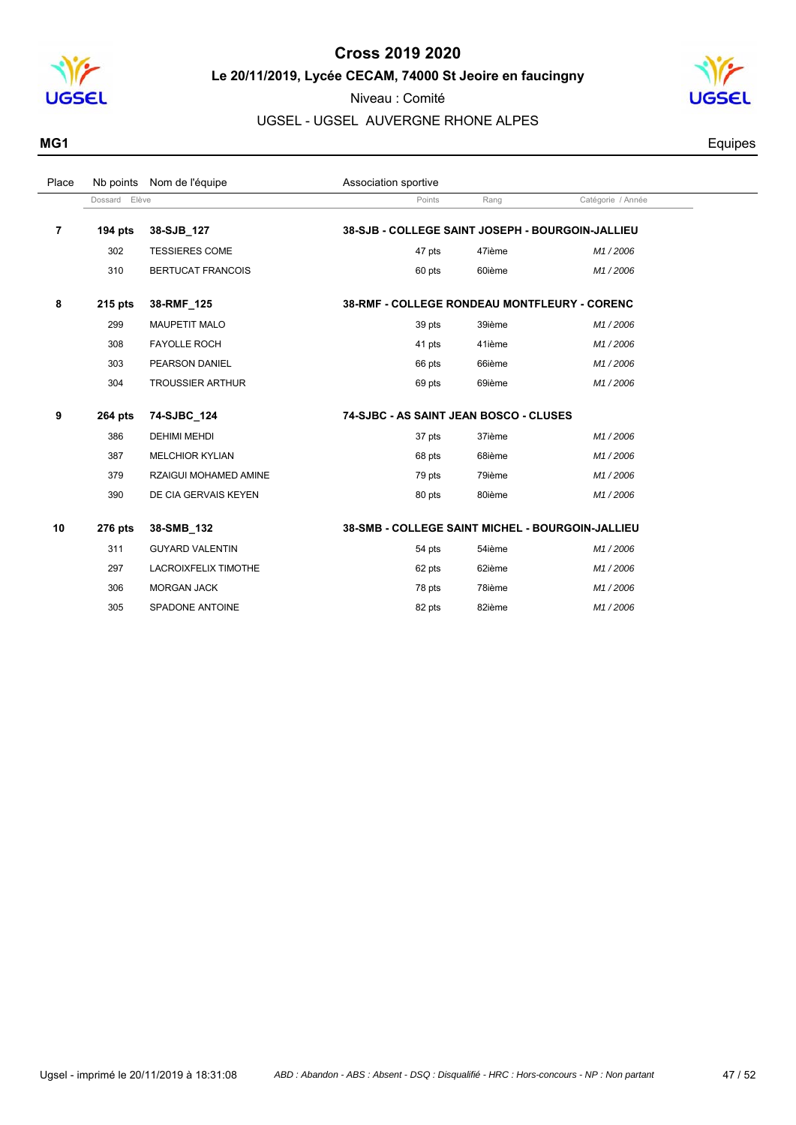

Niveau : Comité



| Place          | Nb points     | Nom de l'équipe          | Association sportive                                    |        |                   |  |
|----------------|---------------|--------------------------|---------------------------------------------------------|--------|-------------------|--|
|                | Dossard Elève |                          | Points                                                  | Rang   | Catégorie / Année |  |
| $\overline{7}$ | 194 pts       | 38-SJB 127               | 38-SJB - COLLEGE SAINT JOSEPH - BOURGOIN-JALLIEU        |        |                   |  |
|                | 302           | <b>TESSIERES COME</b>    | 47 pts                                                  | 47ième | M1/2006           |  |
|                | 310           | <b>BERTUCAT FRANCOIS</b> | 60 pts                                                  | 60ième | M1/2006           |  |
| 8              | $215$ pts     | 38-RMF 125               | 38-RMF - COLLEGE RONDEAU MONTFLEURY - CORENC            |        |                   |  |
|                | 299           | <b>MAUPETIT MALO</b>     | 39 pts                                                  | 39ième | M1/2006           |  |
|                | 308           | <b>FAYOLLE ROCH</b>      | 41 pts                                                  | 41ième | M1/2006           |  |
|                | 303           | PEARSON DANIEL           | 66 pts                                                  | 66ième | M1/2006           |  |
|                | 304           | <b>TROUSSIER ARTHUR</b>  | 69 pts                                                  | 69ième | M1/2006           |  |
| 9              | 264 pts       | 74-SJBC 124              | 74-SJBC - AS SAINT JEAN BOSCO - CLUSES                  |        |                   |  |
|                | 386           | <b>DEHIMI MEHDI</b>      | 37 pts                                                  | 37ième | M1/2006           |  |
|                | 387           | <b>MELCHIOR KYLIAN</b>   | 68 pts                                                  | 68ième | M1/2006           |  |
|                | 379           | RZAIGUI MOHAMED AMINE    | 79 pts                                                  | 79ième | M1/2006           |  |
|                | 390           | DE CIA GERVAIS KEYEN     | 80 pts                                                  | 80ième | M1/2006           |  |
| 10             | 276 pts       | 38-SMB_132               | <b>38-SMB - COLLEGE SAINT MICHEL - BOURGOIN-JALLIEU</b> |        |                   |  |
|                | 311           | <b>GUYARD VALENTIN</b>   | 54 pts                                                  | 54ième | M1/2006           |  |
|                | 297           | LACROIXFELIX TIMOTHE     | 62 pts                                                  | 62ième | M1/2006           |  |
|                | 306           | <b>MORGAN JACK</b>       | 78 pts                                                  | 78ième | M1/2006           |  |
|                | 305           | <b>SPADONE ANTOINE</b>   | 82 pts                                                  | 82ième | M1/2006           |  |
|                |               |                          |                                                         |        |                   |  |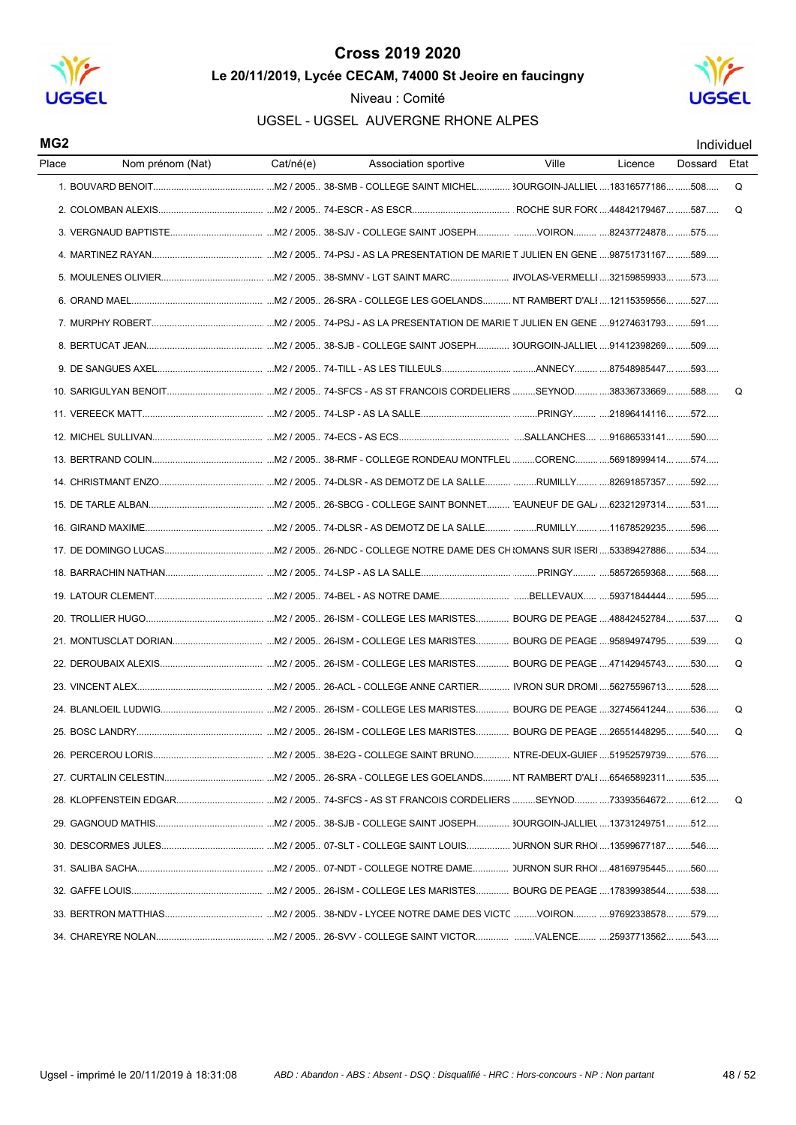

## Niveau : Comité UGSEL - UGSEL AUVERGNE RHONE ALPES



## **MG2** Individuel Place Nom prénom (Nat) Cat/né(e) Association sportive Ville Licence Dossard Etat 1. BOUVARD BENOIT........................................... 38-SMB ...M2 / 2005.. - COLLEGE SAINT MICHEL.............BOURGOIN-JALLIEU....18316577186... ......508..... Q 2. COLOMBAN ALEXIS......................................... 74-ESCR ...M2 / 2005.. - AS ESCR......................................A ROCHE SUR FORO....44842179467... ......587..... Q 3. VERGNAUD BAPTISTE.................................... 38-SJV - C ...M2 / 2005.. .........VOIRON......... OLLEGE SAINT JOSEPH............. ....82437724878... ......575..... 4. MARTINEZ RAYAN............................................ ...M2 / 2005.. 74-PSJ - AS LA PRESENTATION DE MARIE T JULIEN EN GENE ....98751731167... ......589..... 5. MOULENES OLIVIER........................................ 38-SMNV ...M2 / 2005.. - LGT SAINT MARC.......................NIVOLAS-VERMELLE....32159859933... ......573..... 6. ORAND MAEL.................................................... ...M2 / 2005.. 26-SRA - COLLEGE LES GOELANDS........... NT RAMBERT D'ALB....12115359556... ......527..... 7. MURPHY ROBERT............................................ ...M2 / 2005.. 74-PSJ - AS LA PRESENTATION DE MARIE T JULIEN EN GENE ....91274631793... ......591..... 8. BERTUCAT JEAN.............................................. ...M2 / 2005.. 38-SJB - COLLEGE SAINT JOSEPH.............BOURGOIN-JALLIEU....91412398269... ......509..... 9. DE SANGUES AXEL......................................... 74-TILL ...M2 / 2005.. .........ANNECY......... - AS LES TILLEULS........................... ....87548985447... ......593..... 10. SARIGULYAN BENOIT...................................... ...M2 / 2005.. 74-SFCS - AS ST FRANCOIS CORDELIERS .........SEYNOD......... ....38336733669... ......588..... Q 11. VEREECK MATT............................................... 74-L ...M2 / 2005.. SP - AS LA SALLE.............................................PRINGY......... ....21896414116... ......572..... 12. MICHEL SULLIVAN........................................... 74-EC ...M2 / 2005.. ....SALLANCHES.... S - AS ECS........................................... ....91686533141... ......590..... 13. BERTRAND COLIN........................................... 38-RMF ...M2 / 2005.. - COLLEGE RONDEAU MONTFLEU.........CORENC.............56918999414... ......574..... 14. CHRISTMANT ENZO......................................... ...M2 / 2005.. .........RUMILLY........ 74-DLSR - AS DEMOTZ DE LA SALLE.......... ....82691857357... ......592..... 15. DE TARLE ALBAN............................................. ...M2 / 2005.. 26-SBCG - COLLEGE SAINT BONNET.........TEAUNEUF DE GALA....62321297314... ......531..... 16. GIRAND MAXIME.............................................. 74-D ...M2 / 2005.. .........RUMILLY........ LSR - AS DEMOTZ DE LA SALLE.......... ....11678529235... ......596..... 17. DE DOMINGO LUCAS....................................... ...M2 / 2005.. 26-NDC - COLLEGE NOTRE DAME DES CHROMANS SUR ISERE....53389427886... ......534..... 18. BARRACHIN NATHAN...................................... 74-LSP - ...M2 / 2005.. AS LA SALLE.............................................PRINGY......... ....58572659368... ......568..... 19. LATOUR CLEMENT.......................................... 74-BEL ...M2 / 2005.. ......BELLEVAUX..... - AS NOTRE DAME........................... ....59371844444... ......595..... 20. TROLLIER HUGO.............................................. 26-I ...M2 / 2005.. BOURG DE PEAGE SM - COLLEGE LES MARISTES............. ....48842452784... ......537..... Q 21. MONTUSCLAT DORIAN................................... 26-ISM - CO ...M2 / 2005.. BOURG DE PEAGE LLEGE LES MARISTES............. ....95894974795... ......539..... Q 22. DEROUBAIX ALEXIS......................................... ...M2 / 2005.. BOURG DE PEAGE 26-ISM - COLLEGE LES MARISTES............. ....47142945743... ......530..... Q 23. VINCENT ALEX................................................. 26 ...M2 / 2005.. IVRON SUR DROM -ACL - COLLEGE ANNE CARTIER............ E....56275596713... ......528..... 24. BLANLOEIL LUDWIG........................................ 26-ISM ...M2 / 2005.. BOURG DE PEAGE - COLLEGE LES MARISTES............. ....32745641244... ......536..... Q 25. BOSC LANDRY................................................. 26- ...M2 / 2005.. BOURG DE PEAGE ISM - COLLEGE LES MARISTES............. ....26551448295... ......540..... Q 26. PERCEROU LORIS........................................... 38-E2G ...M2 / 2005.. NTRE-DEUX-GUIE - COLLEGE SAINT BRUNO.............. R....51952579739... ......576..... 27. CURTALIN CELESTIN....................................... ...M2 / 2005.. 26-SRA - COLLEGE LES GOELANDS........... NT RAMBERT D'ALB....65465892311... ......535..... 28. KLOPFENSTEIN EDGAR.................................. 74-SFCS - A ...M2 / 2005.. S ST FRANCOIS CORDELIERS .........SEYNOD......... ....73393564672... ......612..... Q 29. GAGNOUD MATHIS.......................................... 38-SJB ...M2 / 2005.. - COLLEGE SAINT JOSEPH.............BOURGOIN-JALLIEU....13731249751... ......512..... 30. DESCORMES JULES........................................ ...M2 / 2005.. 07-SLT - COLLEGE SAINT LOUIS.................OURNON SUR RHON....13599677187... ......546..... 31. SALIBA SACHA................................................. 07 ...M2 / 2005.. -NDT - COLLEGE NOTRE DAME..............OURNON SUR RHON....48169795445... ......560..... 32. GAFFE LOUIS.................................................... ...M2 / 2005.. BOURG DE PEAGE 26-ISM - COLLEGE LES MARISTES............. ....17839938544... ......538..... 33. BERTRON MATTHIAS...................................... 38-NDV - ...M2 / 2005.. .........VOIRON......... LYCEE NOTRE DAME DES VICTO ....97692338578... ......579.....

34. CHAREYRE NOLAN.......................................... ...M2 / 2005.. ........VALENCE....... 26-SVV - COLLEGE SAINT VICTOR............. ....25937713562... ......543.....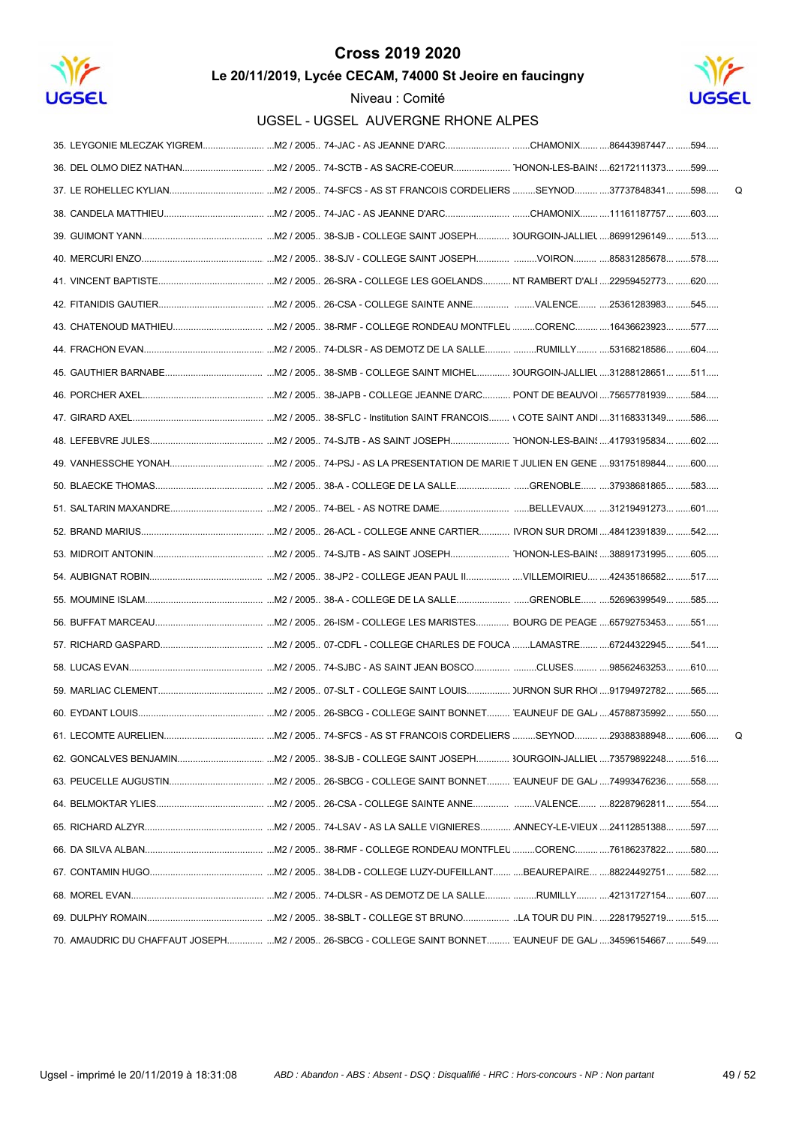

**Le 20/11/2019, Lycée CECAM, 74000 St Jeoire en faucingny**



# Niveau : Comité

| UGSEL - UGSEL AUVERGNE RHONE ALPES |  |
|------------------------------------|--|
|                                    |  |

|                                                                                                         | Q |
|---------------------------------------------------------------------------------------------------------|---|
|                                                                                                         |   |
|                                                                                                         |   |
|                                                                                                         |   |
|                                                                                                         |   |
|                                                                                                         |   |
|                                                                                                         |   |
|                                                                                                         |   |
|                                                                                                         |   |
|                                                                                                         |   |
|                                                                                                         |   |
|                                                                                                         |   |
|                                                                                                         |   |
|                                                                                                         |   |
|                                                                                                         |   |
|                                                                                                         |   |
|                                                                                                         |   |
|                                                                                                         |   |
|                                                                                                         |   |
|                                                                                                         |   |
|                                                                                                         |   |
|                                                                                                         |   |
|                                                                                                         |   |
|                                                                                                         |   |
|                                                                                                         |   |
|                                                                                                         |   |
|                                                                                                         |   |
|                                                                                                         |   |
|                                                                                                         |   |
|                                                                                                         |   |
|                                                                                                         |   |
|                                                                                                         |   |
|                                                                                                         |   |
| 70. AMAUDRIC DU CHAFFAUT JOSEPH M2 / 2005 26-SBCG - COLLEGE SAINT BONNET EAUNEUF DE GAL 34596154667 549 |   |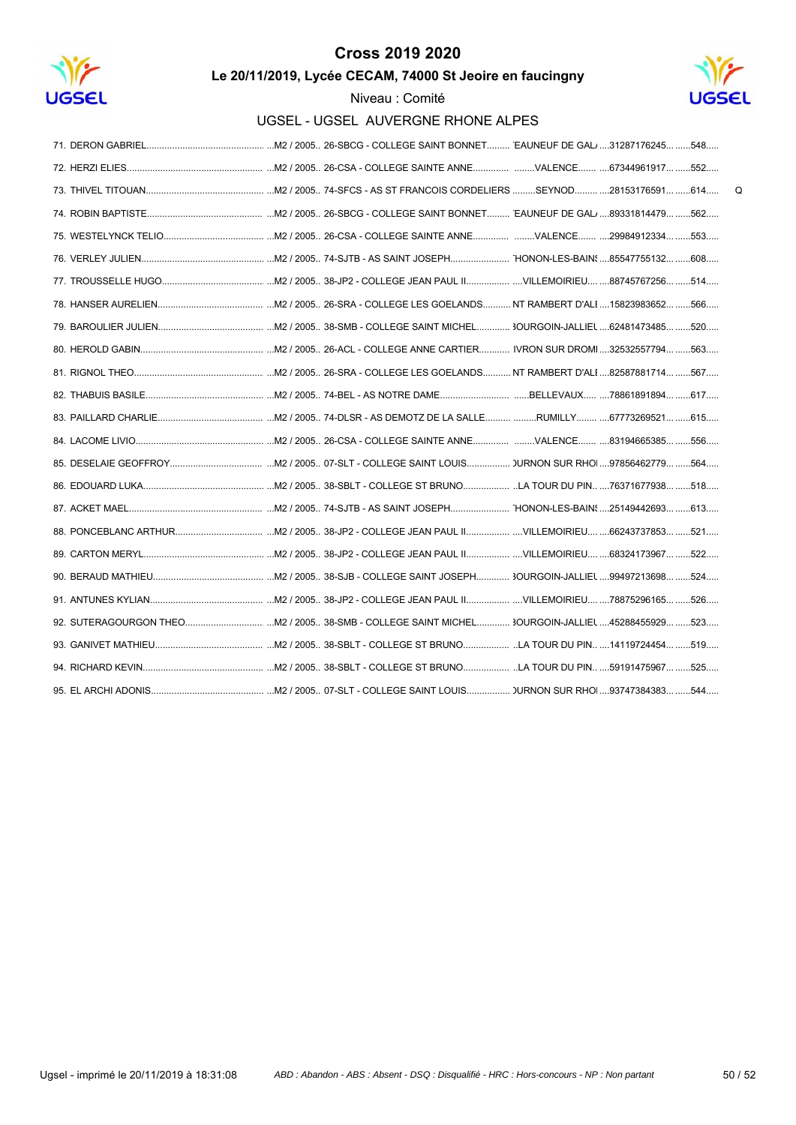

**Le 20/11/2019, Lycée CECAM, 74000 St Jeoire en faucingny**



## Niveau : Comité

|  | C. |
|--|----|
|  |    |
|  |    |
|  |    |
|  |    |
|  |    |
|  |    |
|  |    |
|  |    |
|  |    |
|  |    |
|  |    |
|  |    |
|  |    |
|  |    |
|  |    |
|  |    |
|  |    |
|  |    |
|  |    |
|  |    |
|  |    |
|  |    |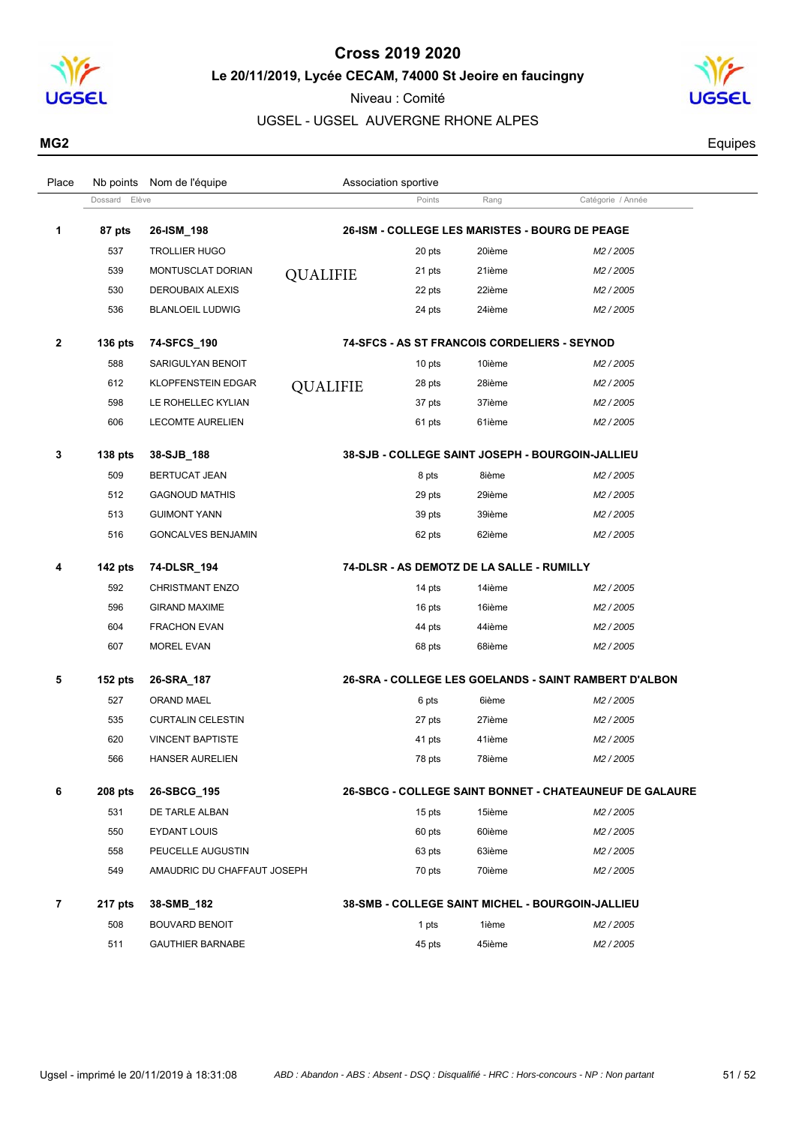

Niveau : Comité



| MG <sub>2</sub> | Equipes |
|-----------------|---------|
|                 |         |

| Place        | Nb points        | Nom de l'équipe             |                 | Association sportive |                                              |                                                         |  |
|--------------|------------------|-----------------------------|-----------------|----------------------|----------------------------------------------|---------------------------------------------------------|--|
|              | Elève<br>Dossard |                             |                 | Points               | Rang                                         | Catégorie / Année                                       |  |
| 1            | 87 pts           | 26-ISM_198                  |                 |                      |                                              | <b>26-ISM - COLLEGE LES MARISTES - BOURG DE PEAGE</b>   |  |
|              | 537              | <b>TROLLIER HUGO</b>        |                 | 20 pts               | 20ième                                       | M <sub>2</sub> / 2005                                   |  |
|              | 539              | MONTUSCLAT DORIAN           | <b>QUALIFIE</b> | 21 pts               | 21ième                                       | M <sub>2</sub> / 2005                                   |  |
|              | 530              | DEROUBAIX ALEXIS            |                 | 22 pts               | 22ième                                       | M <sub>2</sub> / 2005                                   |  |
|              | 536              | <b>BLANLOEIL LUDWIG</b>     |                 | 24 pts               | 24ième                                       | M <sub>2</sub> / 2005                                   |  |
| $\mathbf{2}$ | <b>136 pts</b>   | 74-SFCS_190                 |                 |                      | 74-SFCS - AS ST FRANCOIS CORDELIERS - SEYNOD |                                                         |  |
|              | 588              | SARIGULYAN BENOIT           |                 | 10 pts               | 10ième                                       | M <sub>2</sub> / 2005                                   |  |
|              | 612              | <b>KLOPFENSTEIN EDGAR</b>   | <b>QUALIFIE</b> | 28 pts               | 28ième                                       | M <sub>2</sub> / 2005                                   |  |
|              | 598              | LE ROHELLEC KYLIAN          |                 | 37 pts               | 37ième                                       | M <sub>2</sub> / 2005                                   |  |
|              | 606              | <b>LECOMTE AURELIEN</b>     |                 | 61 pts               | 61ième                                       | M <sub>2</sub> / 2005                                   |  |
| 3            | <b>138 pts</b>   | 38-SJB_188                  |                 |                      |                                              | 38-SJB - COLLEGE SAINT JOSEPH - BOURGOIN-JALLIEU        |  |
|              | 509              | BERTUCAT JEAN               |                 | 8 pts                | 8ième                                        | M <sub>2</sub> / 2005                                   |  |
|              | 512              | <b>GAGNOUD MATHIS</b>       |                 | 29 pts               | 29ième                                       | M <sub>2</sub> / 2005                                   |  |
|              | 513              | <b>GUIMONT YANN</b>         |                 | 39 pts               | 39ième                                       | M <sub>2</sub> / 2005                                   |  |
|              | 516              | <b>GONCALVES BENJAMIN</b>   |                 | 62 pts               | 62ième                                       | M <sub>2</sub> / 2005                                   |  |
| 4            | $142$ pts        | 74-DLSR_194                 |                 |                      | 74-DLSR - AS DEMOTZ DE LA SALLE - RUMILLY    |                                                         |  |
|              | 592              | <b>CHRISTMANT ENZO</b>      |                 | 14 pts               | 14ième                                       | M <sub>2</sub> / 2005                                   |  |
|              | 596              | <b>GIRAND MAXIME</b>        |                 | 16 pts               | 16ième                                       | M <sub>2</sub> / 2005                                   |  |
|              | 604              | <b>FRACHON EVAN</b>         |                 | 44 pts               | 44ième                                       | M <sub>2</sub> / 2005                                   |  |
|              | 607              | MOREL EVAN                  |                 | 68 pts               | 68ième                                       | M <sub>2</sub> / 2005                                   |  |
| 5            | $152$ pts        | 26-SRA_187                  |                 |                      |                                              | 26-SRA - COLLEGE LES GOELANDS - SAINT RAMBERT D'ALBON   |  |
|              | 527              | <b>ORAND MAEL</b>           |                 | 6 pts                | 6ième                                        | M <sub>2</sub> / 2005                                   |  |
|              | 535              | <b>CURTALIN CELESTIN</b>    |                 | 27 pts               | 27ième                                       | M <sub>2</sub> / 2005                                   |  |
|              | 620              | <b>VINCENT BAPTISTE</b>     |                 | 41 pts               | 41ième                                       | M <sub>2</sub> / 2005                                   |  |
|              | 566              | <b>HANSER AURELIEN</b>      |                 | 78 pts               | 78ième                                       | M <sub>2</sub> / 2005                                   |  |
| 6            | <b>208 pts</b>   | 26-SBCG_195                 |                 |                      |                                              | 26-SBCG - COLLEGE SAINT BONNET - CHATEAUNEUF DE GALAURE |  |
|              | 531              | DE TARLE ALBAN              |                 | 15 pts               | 15ième                                       | M <sub>2</sub> / 2005                                   |  |
|              | 550              | <b>EYDANT LOUIS</b>         |                 | 60 pts               | 60ième                                       | M <sub>2</sub> / 2005                                   |  |
|              | 558              | PEUCELLE AUGUSTIN           |                 | 63 pts               | 63ième                                       | M <sub>2</sub> / 2005                                   |  |
|              | 549              | AMAUDRIC DU CHAFFAUT JOSEPH |                 | 70 pts               | 70ième                                       | M <sub>2</sub> / 2005                                   |  |
| 7            | 217 pts          | 38-SMB_182                  |                 |                      |                                              | <b>38-SMB - COLLEGE SAINT MICHEL - BOURGOIN-JALLIEU</b> |  |
|              | 508              | <b>BOUVARD BENOIT</b>       |                 | 1 pts                | 1ième                                        | M <sub>2</sub> / 2005                                   |  |
|              | 511              | <b>GAUTHIER BARNABE</b>     |                 | 45 pts               | 45ième                                       | M <sub>2</sub> / 2005                                   |  |